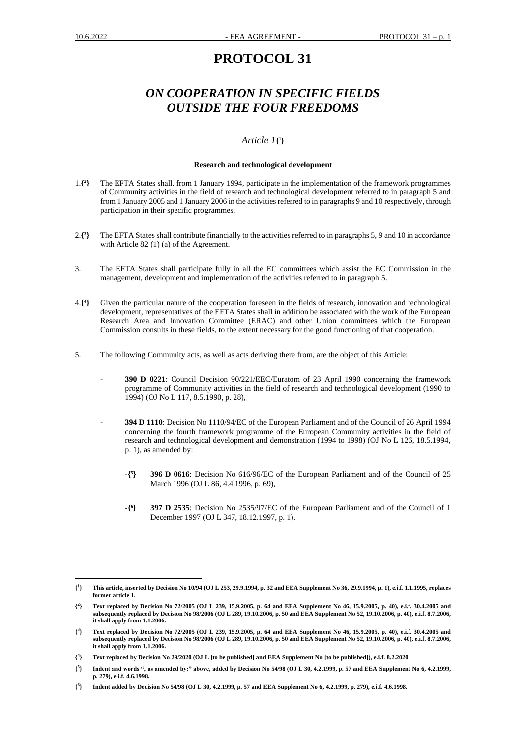# **PROTOCOL 31**

# *ON COOPERATION IN SPECIFIC FIELDS OUTSIDE THE FOUR FREEDOMS*

# *Article 1***{ 1 }**

### **Research and technological development**

- 1.**{ 2 }** The EFTA States shall, from 1 January 1994, participate in the implementation of the framework programmes of Community activities in the field of research and technological development referred to in paragraph 5 and from 1 January 2005 and 1 January 2006 in the activities referred to in paragraphs 9 and 10 respectively, through participation in their specific programmes.
- 2.**{ 3 }** The EFTA States shall contribute financially to the activities referred to in paragraphs 5, 9 and 10 in accordance with Article 82 (1) (a) of the Agreement.
- 3. The EFTA States shall participate fully in all the EC committees which assist the EC Commission in the management, development and implementation of the activities referred to in paragraph 5.
- 4.**{ 4 }** Given the particular nature of the cooperation foreseen in the fields of research, innovation and technological development, representatives of the EFTA States shall in addition be associated with the work of the European Research Area and Innovation Committee (ERAC) and other Union committees which the European Commission consults in these fields, to the extent necessary for the good functioning of that cooperation.
- 5. The following Community acts, as well as acts deriving there from, are the object of this Article:
	- **390 D 0221**: Council Decision 90/221/EEC/Euratom of 23 April 1990 concerning the framework programme of Community activities in the field of research and technological development (1990 to 1994) (OJ No L 117, 8.5.1990, p. 28),
	- **394 D 1110**: Decision No 1110/94/EC of the European Parliament and of the Council of 26 April 1994 concerning the fourth framework programme of the European Community activities in the field of research and technological development and demonstration (1994 to 1998) (OJ No L 126, 18.5.1994, p. 1), as amended by:
		- -**{ 5 } 396 D 0616**: Decision No 616/96/EC of the European Parliament and of the Council of 25 March 1996 (OJ L 86, 4.4.1996, p. 69),
		- -**{ 6 } 397 D 2535**: Decision No 2535/97/EC of the European Parliament and of the Council of 1 December 1997 (OJ L 347, 18.12.1997, p. 1).

**<sup>{</sup> 1 } This article, inserted by Decision No 10/94 (OJ L 253, 29.9.1994, p. 32 and EEA Supplement No 36, 29.9.1994, p. 1), e.i.f. 1.1.1995, replaces former article 1.**

**<sup>{</sup> 2 } Text replaced by Decision No 72/2005 (OJ L 239, 15.9.2005, p. 64 and EEA Supplement No 46, 15.9.2005, p. 40), e.i.f. 30.4.2005 and subsequently replaced by Decision No 98/2006 (OJ L 289, 19.10.2006, p. 50 and EEA Supplement No 52, 19.10.2006, p. 40), e.i.f. 8.7.2006, it shall apply from 1.1.2006.**

**<sup>{</sup> 3 } Text replaced by Decision No 72/2005 (OJ L 239, 15.9.2005, p. 64 and EEA Supplement No 46, 15.9.2005, p. 40), e.i.f. 30.4.2005 and subsequently replaced by Decision No 98/2006 (OJ L 289, 19.10.2006, p. 50 and EEA Supplement No 52, 19.10.2006, p. 40), e.i.f. 8.7.2006, it shall apply from 1.1.2006.**

**<sup>{</sup> 4 } Text replaced by Decision No 29/2020 (OJ L [to be published] and EEA Supplement No [to be published]), e.i.f. 8.2.2020.** 

**<sup>{</sup> 5 } Indent and words ", as amended by:" above, added by Decision No 54/98 (OJ L 30, 4.2.1999, p. 57 and EEA Supplement No 6, 4.2.1999, p. 279), e.i.f. 4.6.1998.**

**<sup>{</sup> 6 } Indent added by Decision No 54/98 (OJ L 30, 4.2.1999, p. 57 and EEA Supplement No 6, 4.2.1999, p. 279), e.i.f. 4.6.1998.**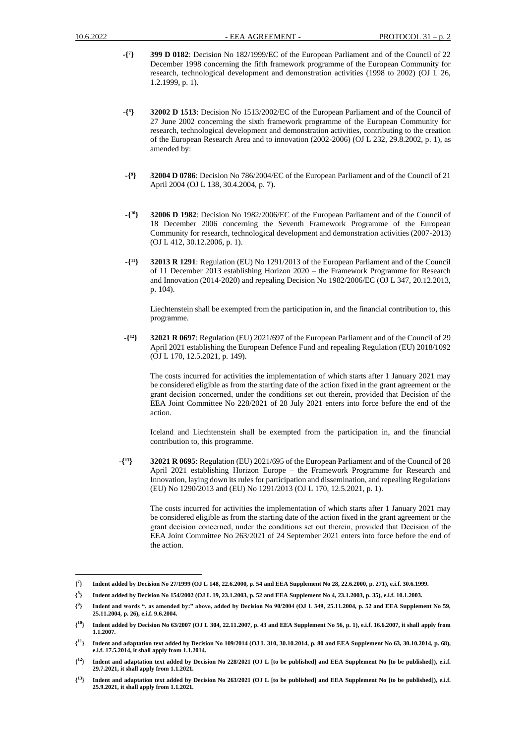- -**{ 7 } 399 D 0182**: Decision No 182/1999/EC of the European Parliament and of the Council of 22 December 1998 concerning the fifth framework programme of the European Community for research, technological development and demonstration activities (1998 to 2002) (OJ L 26, 1.2.1999, p. 1).
- -**{ 8 } 32002 D 1513**: Decision No 1513/2002/EC of the European Parliament and of the Council of 27 June 2002 concerning the sixth framework programme of the European Community for research, technological development and demonstration activities, contributing to the creation of the European Research Area and to innovation (2002-2006) (OJ L 232, 29.8.2002, p. 1), as amended by:
- -**{ 9 } 32004 D 0786**: Decision No 786/2004/EC of the European Parliament and of the Council of 21 April 2004 (OJ L 138, 30.4.2004, p. 7).
- -**{ <sup>10</sup>} 32006 D 1982**: Decision No 1982/2006/EC of the European Parliament and of the Council of 18 December 2006 concerning the Seventh Framework Programme of the European Community for research, technological development and demonstration activities (2007-2013) (OJ L 412, 30.12.2006, p. 1).
- *-***{ <sup>11</sup>} 32013 R 1291**: Regulation (EU) No 1291/2013 of the European Parliament and of the Council of 11 December 2013 establishing Horizon 2020 – the Framework Programme for Research and Innovation (2014-2020) and repealing Decision No 1982/2006/EC (OJ L 347, 20.12.2013, p. 104).

Liechtenstein shall be exempted from the participation in, and the financial contribution to, this programme.

-**{ <sup>12</sup>} 32021 R 0697**: Regulation (EU) 2021/697 of the European Parliament and of the Council of 29 April 2021 establishing the European Defence Fund and repealing Regulation (EU) 2018/1092 (OJ L 170, 12.5.2021, p. 149).

The costs incurred for activities the implementation of which starts after 1 January 2021 may be considered eligible as from the starting date of the action fixed in the grant agreement or the grаnt decision concerned, under the conditions set out therein, provided that Decision of the EEA Joint Committee No 228/2021 of 28 July 2021 enters into force before the end of the action.

Iceland and Liechtenstein shall be exempted from the participation in, and the financial contribution to, this programme.

-**{ <sup>13</sup>} 32021 R 0695**: Regulation (EU) 2021/695 of the European Parliament and of the Council of 28 April 2021 establishing Horizon Europe – the Framework Programme for Research and Innovation, laying down its rules for participation and dissemination, and repealing Regulations (EU) No 1290/2013 and (EU) No 1291/2013 (OJ L 170, 12.5.2021, p. 1).

The costs incurred for activities the implementation of which starts after 1 January 2021 may be considered eligible as from the starting date of the action fixed in the grant agreement or the grаnt decision concerned, under the conditions set out therein, provided that Decision of the EEA Joint Committee No 263/2021 of 24 September 2021 enters into force before the end of the action.

**<sup>{</sup> 7 } Indent added by Decision No 27/1999 (OJ L 148, 22.6.2000, p. 54 and EEA Supplement No 28, 22.6.2000, p. 271), e.i.f. 30.6.1999.**

**<sup>{</sup> 8 } Indent added by Decision No 154/2002 (OJ L 19, 23.1.2003, p. 52 and EEA Supplement No 4, 23.1.2003, p. 35), e.i.f. 10.1.2003.**

**<sup>{</sup> 9 } Indent and words ", as amended by:" above, added by Decision No 90/2004 (OJ L 349, 25.11.2004, p. 52 and EEA Supplement No 59, 25.11.2004, p. 26), e.i.f. 9.6.2004.**

 $\{^{10}\}$ **<sup>10</sup>} Indent added by Decision No 63/2007 (OJ L 304, 22.11.2007, p. 43 and EEA Supplement No 56, p. 1), e.i.f. 16.6.2007, it shall apply from 1.1.2007.**

**<sup>{</sup> <sup>11</sup>} Indent and adaptation text added by Decision No 109/2014 (OJ L 310, 30.10.2014, p. 80 and EEA Supplement No 63, 30.10.2014, p. 68), e.i.f. 17.5.2014, it shall apply from 1.1.2014.**

**<sup>{</sup> <sup>12</sup>} Indent and adaptation text added by Decision No 228/2021 (OJ L [to be published] and EEA Supplement No [to be published]), e.i.f. 29.7.2021, it shall apply from 1.1.2021.**

 $\{^{13}\}$ **<sup>13</sup>} Indent and adaptation text added by Decision No 263/2021 (OJ L [to be published] and EEA Supplement No [to be published]), e.i.f. 25.9.2021, it shall apply from 1.1.2021.**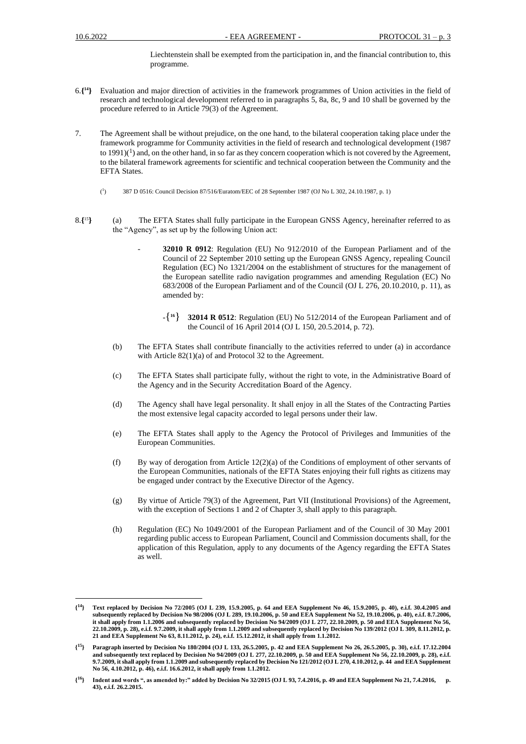Liechtenstein shall be exempted from the participation in, and the financial contribution to, this programme.

- 6.**{ <sup>14</sup>}** Evaluation and major direction of activities in the framework programmes of Union activities in the field of research and technological development referred to in paragraphs 5, 8a, 8c, 9 and 10 shall be governed by the procedure referred to in Article 79(3) of the Agreement.
- 7. The Agreement shall be without prejudice, on the one hand, to the bilateral cooperation taking place under the framework programme for Community activities in the field of research and technological development (1987 to 1991)( $<sup>1</sup>$ ) and, on the other hand, in so far as they concern cooperation which is not covered by the Agreement,</sup> to the bilateral framework agreements for scientific and technical cooperation between the Community and the EFTA States.
	- $(^1$ ) 387 D 0516: Council Decision 87/516/Euratom/EEC of 28 September 1987 (OJ No L 302, 24.10.1987, p. 1)
- 8.**{** <sup>15</sup>**}** (a) The EFTA States shall fully participate in the European GNSS Agency, hereinafter referred to as the "Agency", as set up by the following Union act:
	- **32010 R 0912**: Regulation (EU) No 912/2010 of the European Parliament and of the Council of 22 September 2010 setting up the European GNSS Agency, repealing Council Regulation (EC) No 1321/2004 on the establishment of structures for the management of the European satellite radio navigation programmes and amending Regulation (EC) No 683/2008 of the European Parliament and of the Council (OJ L 276, 20.10.2010, p. 11), as amended by:
		- $-$ { 16 } **<sup>16</sup>**} **32014 R 0512**: Regulation (EU) No 512/2014 of the European Parliament and of the Council of 16 April 2014 (OJ L 150, 20.5.2014, p. 72).
	- (b) The EFTA States shall contribute financially to the activities referred to under (a) in accordance with Article 82(1)(a) of and Protocol 32 to the Agreement.
	- (c) The EFTA States shall participate fully, without the right to vote, in the Administrative Board of the Agency and in the Security Accreditation Board of the Agency.
	- (d) The Agency shall have legal personality. It shall enjoy in all the States of the Contracting Parties the most extensive legal capacity accorded to legal persons under their law.
	- (e) The EFTA States shall apply to the Agency the Protocol of Privileges and Immunities of the European Communities.
	- (f) By way of derogation from Article 12(2)(a) of the Conditions of employment of other servants of the European Communities, nationals of the EFTA States enjoying their full rights as citizens may be engaged under contract by the Executive Director of the Agency.
	- (g) By virtue of Article 79(3) of the Agreement, Part VII (Institutional Provisions) of the Agreement, with the exception of Sections 1 and 2 of Chapter 3, shall apply to this paragraph.
	- (h) Regulation (EC) No 1049/2001 of the European Parliament and of the Council of 30 May 2001 regarding public access to European Parliament, Council and Commission documents shall, for the application of this Regulation, apply to any documents of the Agency regarding the EFTA States as well.

 $\{^{14}\}$ **<sup>14</sup>} Text replaced by Decision No 72/2005 (OJ L 239, 15.9.2005, p. 64 and EEA Supplement No 46, 15.9.2005, p. 40), e.i.f. 30.4.2005 and subsequently replaced by Decision No 98/2006 (OJ L 289, 19.10.2006, p. 50 and EEA Supplement No 52, 19.10.2006, p. 40), e.i.f. 8.7.2006, it shall apply from 1.1.2006 and subsequently replaced by Decision No 94/2009 (OJ L 277, 22.10.2009, p. 50 and EEA Supplement No 56, 22.10.2009, p. 28), e.i.f. 9.7.2009, it shall apply from 1.1.2009 and subsequently replaced by Decision No 139/2012 (OJ L 309, 8.11.2012, p. 21 and EEA Supplement No 63, 8.11.2012, p. 24), e.i.f. 15.12.2012, it shall apply from 1.1.2012.**

**<sup>{</sup> <sup>15</sup>} Paragraph inserted by Decision No 180/2004 (OJ L 133, 26.5.2005, p. 42 and EEA Supplement No 26, 26.5.2005, p. 30), e.i.f. 17.12.2004 and subsequently text replaced by Decision No 94/2009 (OJ L 277, 22.10.2009, p. 50 and EEA Supplement No 56, 22.10.2009, p. 28), e.i.f. 9.7.2009, it shall apply from 1.1.2009 and subsequently replaced by Decision No 121/2012 (OJ L 270, 4.10.2012, p. 44 and EEA Supplement No 56, 4.10.2012, p. 46), e.i.f. 16.6.2012, it shall apply from 1.1.2012.**

 $\{^{16}\}$ **<sup>16</sup>} Indent and words ", as amended by:" added by Decision No 32/2015 (OJ L 93, 7.4.2016, p. 49 and EEA Supplement No 21, 7.4.2016, p. 43), e.i.f. 26.2.2015.**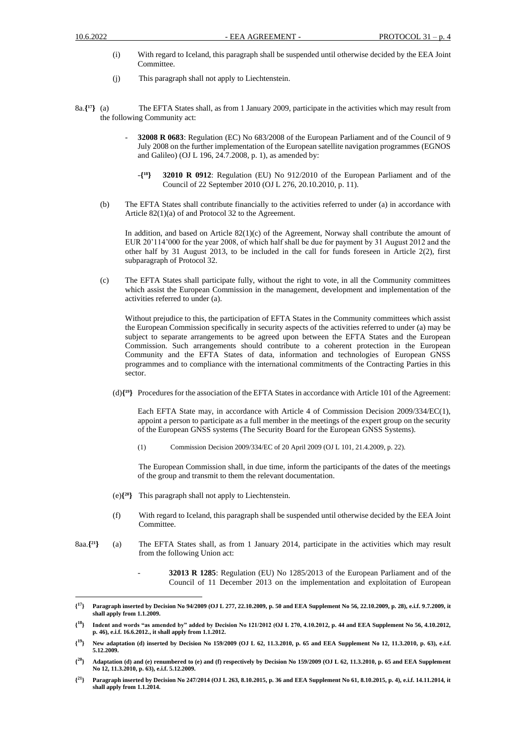- (i) With regard to Iceland, this paragraph shall be suspended until otherwise decided by the EEA Joint Committee.
- (j) This paragraph shall not apply to Liechtenstein.
- 8a.**{ <sup>17</sup>}** (a) The EFTA States shall, as from 1 January 2009, participate in the activities which may result from the following Community act:
	- **32008 R 0683**: Regulation (EC) No 683/2008 of the European Parliament and of the Council of 9 July 2008 on the further implementation of the European satellite navigation programmes (EGNOS and Galileo) (OJ L 196, 24.7.2008, p. 1), as amended by:
		- -**{ <sup>18</sup>} 32010 R 0912**: Regulation (EU) No 912/2010 of the European Parliament and of the Council of 22 September 2010 (OJ L 276, 20.10.2010, p. 11).
	- (b) The EFTA States shall contribute financially to the activities referred to under (a) in accordance with Article 82(1)(a) of and Protocol 32 to the Agreement.

In addition, and based on Article  $82(1)(c)$  of the Agreement, Norway shall contribute the amount of EUR 20'114'000 for the year 2008, of which half shall be due for payment by 31 August 2012 and the other half by 31 August 2013, to be included in the call for funds foreseen in Article 2(2), first subparagraph of Protocol 32.

(c) The EFTA States shall participate fully, without the right to vote, in all the Community committees which assist the European Commission in the management, development and implementation of the activities referred to under (a).

Without prejudice to this, the participation of EFTA States in the Community committees which assist the European Commission specifically in security aspects of the activities referred to under (a) may be subject to separate arrangements to be agreed upon between the EFTA States and the European Commission. Such arrangements should contribute to a coherent protection in the European Community and the EFTA States of data, information and technologies of European GNSS programmes and to compliance with the international commitments of the Contracting Parties in this sector.

(d)**{ <sup>19</sup>}** Procedures for the association of the EFTA States in accordance with Article 101 of the Agreement:

Each EFTA State may, in accordance with Article 4 of Commission Decision 2009/334/EC(1), appoint a person to participate as a full member in the meetings of the expert group on the security of the European GNSS systems (The Security Board for the European GNSS Systems).

(1) Commission Decision 2009/334/EC of 20 April 2009 (OJ L 101, 21.4.2009, p. 22).

The European Commission shall, in due time, inform the participants of the dates of the meetings of the group and transmit to them the relevant documentation.

- (e)**{ <sup>20</sup>}** This paragraph shall not apply to Liechtenstein.
- (f) With regard to Iceland, this paragraph shall be suspended until otherwise decided by the EEA Joint Committee.
- 8aa.**{ <sup>21</sup>}** (a) The EFTA States shall, as from 1 January 2014, participate in the activities which may result from the following Union act:
	- **32013 R 1285**: Regulation (EU) No 1285/2013 of the European Parliament and of the Council of 11 December 2013 on the implementation and exploitation of European

**<sup>{</sup> <sup>17</sup>} Paragraph inserted by Decision No 94/2009 (OJ L 277, 22.10.2009, p. 50 and EEA Supplement No 56, 22.10.2009, p. 28), e.i.f. 9.7.2009, it shall apply from 1.1.2009.**

**<sup>{</sup> <sup>18</sup>} Indent and words "as amended by" added by Decision No 121/2012 (OJ L 270, 4.10.2012, p. 44 and EEA Supplement No 56, 4.10.2012, p. 46), e.i.f. 16.6.2012., it shall apply from 1.1.2012.**

 $\{^{19}\}$ **<sup>19</sup>} New adaptation (d) inserted by Decision No 159/2009 (OJ L 62, 11.3.2010, p. 65 and EEA Supplement No 12, 11.3.2010, p. 63), e.i.f. 5.12.2009.**

 $\{^{20}\}$  **Adaptation (d) and (e) renumbered to (e) and (f) respectively by Decision No 159/2009 (OJ L 62, 11.3.2010, p. 65 and EEA Supplement No 12, 11.3.2010, p. 63), e.i.f. 5.12.2009.**

 $\{^{21}\}$ **<sup>21</sup>} Paragraph inserted by Decision No 247/2014 (OJ L 263, 8.10.2015, p. 36 and EEA Supplement No 61, 8.10.2015, p. 4), e.i.f. 14.11.2014, it shall apply from 1.1.2014.**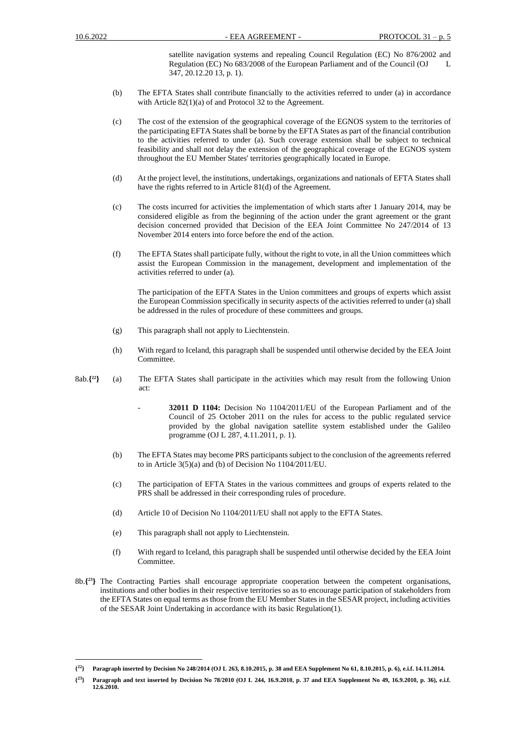satellite navigation systems and repealing Council Regulation (EC) No 876/2002 and Regulation (EC) No 683/2008 of the European Parliament and of the Council (OJ 347, 20.12.20 13, p. 1).

- (b) The EFTA States shall contribute financially to the activities referred to under (a) in accordance with Article 82(1)(a) of and Protocol 32 to the Agreement.
- (c) The cost of the extension of the geographical coverage of the EGNOS system to the territories of the participating EFTA States shall be borne by the EFTA States as part of the financial contribution to the activities referred to under (a). Such coverage extension shall be subject to technical feasibility and shall not delay the extension of the geographical coverage of the EGNOS system throughout the EU Member States' territories geographically located in Europe.
- (d) At the project level, the institutions, undertakings, organizations and nationals of EFTA States shall have the rights referred to in Article 81(d) of the Agreement.
- (c) The costs incurred for activities the implementation of which starts after 1 January 2014, may be considered eligible as from the beginning of the action under the grant agreement or the grant decision concerned provided that Decision of the EEA Joint Committee No 247/2014 of 13 November 2014 enters into force before the end of the action.
- (f) The EFTA States shall participate fully, without the right to vote, in all the Union committees which assist the European Commission in the management, development and implementation of the activities referred to under (a).

The participation of the EFTA States in the Union committees and groups of experts which assist the European Commission specifically in security aspects of the activities referred to under (a) shall be addressed in the rules of procedure of these committees and groups.

- (g) This paragraph shall not apply to Liechtenstein.
- (h) With regard to Iceland, this paragraph shall be suspended until otherwise decided by the EEA Joint Committee.
- 8ab.**{ <sup>22</sup>}** (a) The EFTA States shall participate in the activities which may result from the following Union act:
	- **32011 D 1104:** Decision No 1104/2011/EU of the European Parliament and of the Council of 25 October 2011 on the rules for access to the public regulated service provided by the global navigation satellite system established under the Galileo programme (OJ L 287, 4.11.2011, p. 1).
	- (b) The EFTA States may become PRS participants subject to the conclusion of the agreements referred to in Article 3(5)(a) and (b) of Decision No 1104/2011/EU.
	- (c) The participation of EFTA States in the various committees and groups of experts related to the PRS shall be addressed in their corresponding rules of procedure.
	- (d) Article 10 of Decision No 1104/2011/EU shall not apply to the EFTA States.
	- (e) This paragraph shall not apply to Liechtenstein.
	- (f) With regard to Iceland, this paragraph shall be suspended until otherwise decided by the EEA Joint Committee.
- 8b.**{ <sup>23</sup>}** The Contracting Parties shall encourage appropriate cooperation between the competent organisations, institutions and other bodies in their respective territories so as to encourage participation of stakeholders from the EFTA States on equal terms as those from the EU Member States in the SESAR project, including activities of the SESAR Joint Undertaking in accordance with its basic Regulation(1).

**<sup>{</sup> <sup>22</sup>} Paragraph inserted by Decision No 248/2014 (OJ L 263, 8.10.2015, p. 38 and EEA Supplement No 61, 8.10.2015, p. 6), e.i.f. 14.11.2014.**

 $\{^{23}\}$ **<sup>23</sup>} Paragraph and text inserted by Decision No 78/2010 (OJ L 244, 16.9.2010, p. 37 and EEA Supplement No 49, 16.9.2010, p. 36), e.i.f. 12.6.2010.**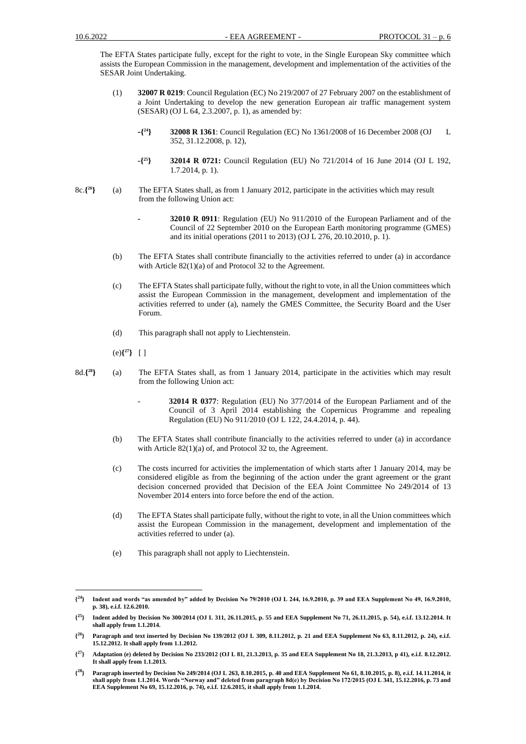The EFTA States participate fully, except for the right to vote, in the Single European Sky committee which assists the European Commission in the management, development and implementation of the activities of the SESAR Joint Undertaking.

- (1) **32007 R 0219**: Council Regulation (EC) No 219/2007 of 27 February 2007 on the establishment of a Joint Undertaking to develop the new generation European air traffic management system (SESAR) (OJ L 64, 2.3.2007, p. 1), as amended by:
	- **-{ <sup>24</sup>} 32008 R 1361**: Council Regulation (EC) No 1361/2008 of 16 December 2008 (OJ L 352, 31.12.2008, p. 12),
	- **-{ <sup>25</sup>} 32014 R 0721:** Council Regulation (EU) No 721/2014 of 16 June 2014 (OJ L 192, 1.7.2014, p. 1).
- 8c.**{ <sup>26</sup>}** (a) The EFTA States shall, as from 1 January 2012, participate in the activities which may result from the following Union act:
	- **- 32010 R 0911**: Regulation (EU) No 911/2010 of the European Parliament and of the Council of 22 September 2010 on the European Earth monitoring programme (GMES) and its initial operations (2011 to 2013) (OJ L 276, 20.10.2010, p. 1).
	- (b) The EFTA States shall contribute financially to the activities referred to under (a) in accordance with Article 82(1)(a) of and Protocol 32 to the Agreement.
	- (c) The EFTA States shall participate fully, without the right to vote, in all the Union committees which assist the European Commission in the management, development and implementation of the activities referred to under (a), namely the GMES Committee, the Security Board and the User Forum.
	- (d) This paragraph shall not apply to Liechtenstein.
	- (e)**{ <sup>27</sup>}** [ ]
- 8d.**{ <sup>28</sup>}** (a) The EFTA States shall, as from 1 January 2014, participate in the activities which may result from the following Union act:
	- **32014 R 0377**: Regulation (EU) No 377/2014 of the European Parliament and of the Council of 3 April 2014 establishing the Copernicus Programme and repealing Regulation (EU) No 911/2010 (OJ L 122, 24.4.2014, p. 44).
	- (b) The EFTA States shall contribute financially to the activities referred to under (a) in accordance with Article 82(1)(a) of, and Protocol 32 to, the Agreement.
	- (c) The costs incurred for activities the implementation of which starts after 1 January 2014, may be considered eligible as from the beginning of the action under the grant agreement or the grant decision concerned provided that Decision of the EEA Joint Committee No 249/2014 of 13 November 2014 enters into force before the end of the action.
	- (d) The EFTA States shall participate fully, without the right to vote, in all the Union committees which assist the European Commission in the management, development and implementation of the activities referred to under (a).
	- (e) This paragraph shall not apply to Liechtenstein.

 $\{^{24}\}$ **<sup>24</sup>} Indent and words "as amended by" added by Decision No 79/2010 (OJ L 244, 16.9.2010, p. 39 and EEA Supplement No 49, 16.9.2010, p. 38), e.i.f. 12.6.2010.**

 $\{^{25}\}$ **<sup>25</sup>} Indent added by Decision No 300/2014 (OJ L 311, 26.11.2015, p. 55 and EEA Supplement No 71, 26.11.2015, p. 54), e.i.f. 13.12.2014. It shall apply from 1.1.2014.**

 $\{^{26}\}$ **<sup>26</sup>} Paragraph and text inserted by Decision No 139/2012 (OJ L 309, 8.11.2012, p. 21 and EEA Supplement No 63, 8.11.2012, p. 24), e.i.f. 15.12.2012. It shall apply from 1.1.2012.**

**<sup>{</sup> <sup>27</sup>} Adaptation (e) deleted by Decision No 233/2012 (OJ L 81, 21.3.2013, p. 35 and EEA Supplement No 18, 21.3.2013, p 41), e.i.f. 8.12.2012. It shall apply from 1.1.2013.**

**<sup>{</sup> <sup>28</sup>} Paragraph inserted by Decision No 249/2014 (OJ L 263, 8.10.2015, p. 40 and EEA Supplement No 61, 8.10.2015, p. 8), e.i.f. 14.11.2014, it shall apply from 1.1.2014. Words "Norway and" deleted from paragraph 8d(e) by Decision No 172/2015 (OJ L 341, 15.12.2016, p. 73 and EEA Supplement No 69, 15.12.2016, p. 74), e.i.f. 12.6.2015, it shall apply from 1.1.2014.**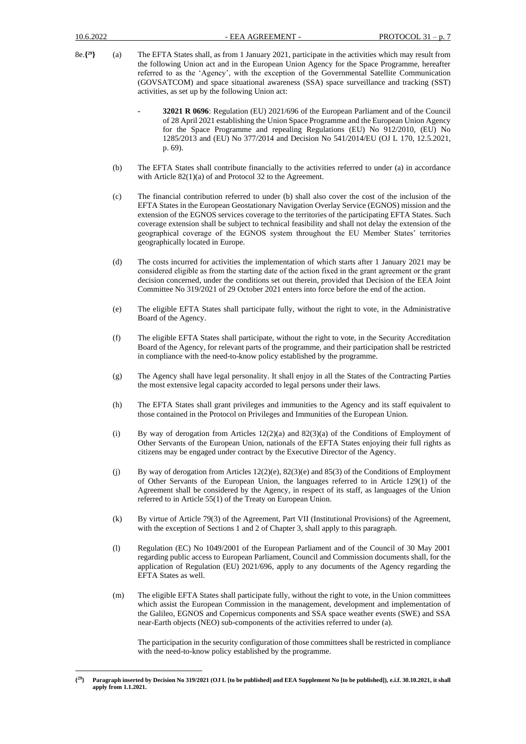- 8e.**{ <sup>29</sup>}** (a) The EFTA States shall, as from 1 January 2021, participate in the activities which may result from the following Union act and in the European Union Agency for the Space Programme, hereafter referred to as the 'Agency', with the exception of the Governmental Satellite Communication (GOVSATCOM) and space situational awareness (SSA) space surveillance and tracking (SST) activities, as set up by the following Union act:
	- **- 32021 R 0696**: Regulation (EU) 2021/696 of the European Parliament and of the Council of 28 April 2021 establishing the Union Space Programme and the European Union Agency for the Space Programme and repealing Regulations (EU) No 912/2010, (EU) No 1285/2013 and (EU) No 377/2014 and Decision No 541/2014/EU (OJ L 170, 12.5.2021, p. 69).
	- (b) The EFTA States shall contribute financially to the activities referred to under (a) in accordance with Article 82(1)(a) of and Protocol 32 to the Agreement.
	- (c) The financial contribution referred to under (b) shall also cover the cost of the inclusion of the EFTA States in the European Geostationary Navigation Overlay Service (EGNOS) mission and the extension of the EGNOS services coverage to the territories of the participating EFTA States. Such coverage extension shall be subject to technical feasibility and shall not delay the extension of the geographical coverage of the EGNOS system throughout the EU Member States' territories geographically located in Europe.
	- (d) The costs incurred for activities the implementation of which starts after 1 January 2021 may be considered eligible as from the starting date of the action fixed in the grant agreement or the grаnt decision concerned, under the conditions set out therein, provided that Decision of the EEA Joint Committee No 319/2021 of 29 October 2021 enters into force before the end of the action.
	- (e) The eligible EFTA States shall participate fully, without the right to vote, in the Administrative Board of the Agency.
	- (f) The eligible EFTA States shall participate, without the right to vote, in the Security Accreditation Board of the Agency, for relevant parts of the programme, and their participation shall be restricted in compliance with the need-to-know policy established by the programme.
	- (g) The Agency shall have legal personality. It shall enjoy in all the States of the Contracting Parties the most extensive legal capacity accorded to legal persons under their laws.
	- (h) The EFTA States shall grant privileges and immunities to the Agency and its staff equivalent to those contained in the Protocol on Privileges and Immunities of the European Union.
	- (i) By way of derogation from Articles  $12(2)(a)$  and  $82(3)(a)$  of the Conditions of Employment of Other Servants of the European Union, nationals of the EFTA States enjoying their full rights as citizens may be engaged under contract by the Executive Director of the Agency.
	- (j) By way of derogation from Articles 12(2)(e), 82(3)(e) and 85(3) of the Conditions of Employment of Other Servants of the European Union, the languages referred to in Article 129(1) of the Agreement shall be considered by the Agency, in respect of its staff, as languages of the Union referred to in Article 55(1) of the Treaty on European Union.
	- (k) By virtue of Article 79(3) of the Agreement, Part VII (Institutional Provisions) of the Agreement, with the exception of Sections 1 and 2 of Chapter 3, shall apply to this paragraph.
	- (l) Regulation (EC) No 1049/2001 of the European Parliament and of the Council of 30 May 2001 regarding public access to European Parliament, Council and Commission documents shall, for the application of Regulation (EU) 2021/696, apply to any documents of the Agency regarding the EFTA States as well.
	- (m) The eligible EFTA States shall participate fully, without the right to vote, in the Union committees which assist the European Commission in the management, development and implementation of the Galileo, EGNOS and Copernicus components and SSA space weather events (SWE) and SSA near-Earth objects (NEO) sub-components of the activities referred to under (a).

The participation in the security configuration of those committees shall be restricted in compliance with the need-to-know policy established by the programme.

**<sup>{</sup> <sup>29</sup>} Paragraph inserted by Decision No 319/2021 (OJ L [to be published] and EEA Supplement No [to be published]), e.i.f. 30.10.2021, it shall apply from 1.1.2021.**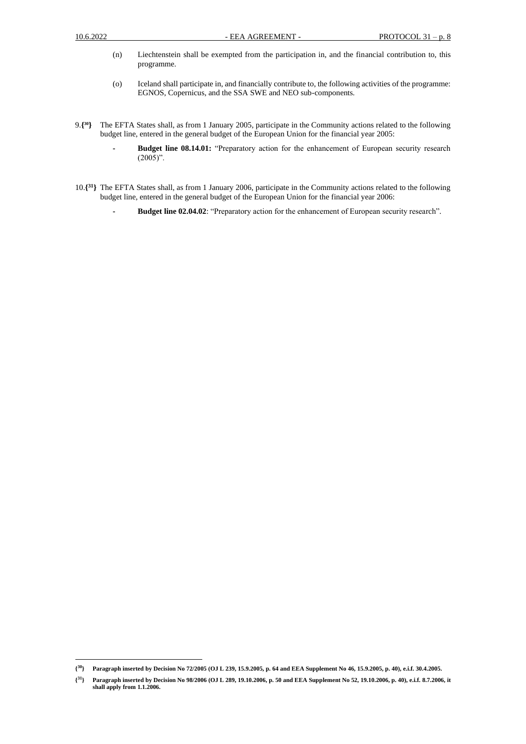- (n) Liechtenstein shall be exempted from the participation in, and the financial contribution to, this programme.
- (o) Iceland shall participate in, and financially contribute to, the following activities of the programme: EGNOS, Copernicus, and the SSA SWE and NEO sub-components.
- 9.**{ <sup>30</sup>}** The EFTA States shall, as from 1 January 2005, participate in the Community actions related to the following budget line, entered in the general budget of the European Union for the financial year 2005:
	- **- Budget line 08.14.01:** "Preparatory action for the enhancement of European security research  $(2005)$ ".
- 10.**{ <sup>31</sup>}** The EFTA States shall, as from 1 January 2006, participate in the Community actions related to the following budget line, entered in the general budget of the European Union for the financial year 2006:
	- **- Budget line 02.04.02**: "Preparatory action for the enhancement of European security research".

**<sup>{</sup> <sup>30</sup>} Paragraph inserted by Decision No 72/2005 (OJ L 239, 15.9.2005, p. 64 and EEA Supplement No 46, 15.9.2005, p. 40), e.i.f. 30.4.2005.**

 $\{^{31}\}$ **<sup>31</sup>} Paragraph inserted by Decision No 98/2006 (OJ L 289, 19.10.2006, p. 50 and EEA Supplement No 52, 19.10.2006, p. 40), e.i.f. 8.7.2006, it shall apply from 1.1.2006.**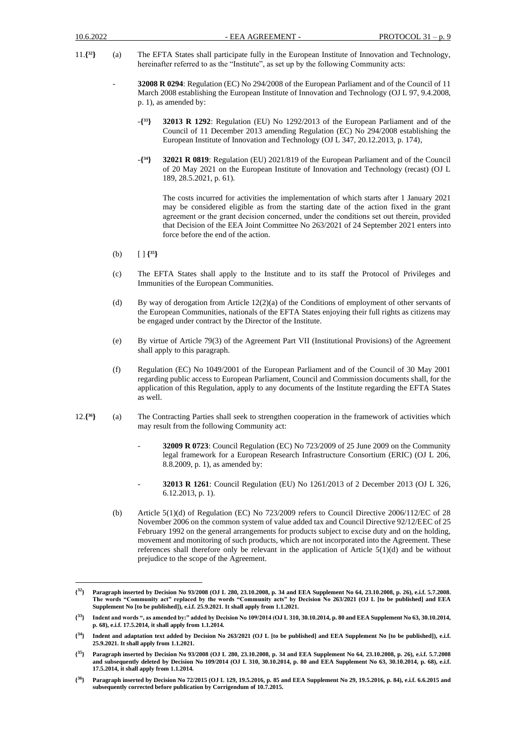- 11.**{ <sup>32</sup>}** (a) The EFTA States shall participate fully in the European Institute of Innovation and Technology, hereinafter referred to as the "Institute", as set up by the following Community acts:
	- **32008 R 0294**: Regulation (EC) No 294/2008 of the European Parliament and of the Council of 11 March 2008 establishing the European Institute of Innovation and Technology (OJ L 97, 9.4.2008, p. 1), as amended by:
		- -**{ <sup>33</sup>} 32013 R 1292**: Regulation (EU) No 1292/2013 of the European Parliament and of the Council of 11 December 2013 amending Regulation (EC) No 294/2008 establishing the European Institute of Innovation and Technology (OJ L 347, 20.12.2013, p. 174),
		- -**{ <sup>34</sup>} 32021 R 0819**: Regulation (EU) 2021/819 of the European Parliament and of the Council of 20 May 2021 on the European Institute of Innovation and Technology (recast) (OJ L 189, 28.5.2021, p. 61).

The costs incurred for activities the implementation of which starts after 1 January 2021 may be considered eligible as from the starting date of the action fixed in the grant agreement or the grаnt decision concerned, under the conditions set out therein, provided that Decision of the EEA Joint Committee No 263/2021 of 24 September 2021 enters into force before the end of the action.

- (b) [ ] **{ 35}**
- (c) The EFTA States shall apply to the Institute and to its staff the Protocol of Privileges and Immunities of the European Communities.
- (d) By way of derogation from Article 12(2)(a) of the Conditions of employment of other servants of the European Communities, nationals of the EFTA States enjoying their full rights as citizens may be engaged under contract by the Director of the Institute.
- (e) By virtue of Article 79(3) of the Agreement Part VII (Institutional Provisions) of the Agreement shall apply to this paragraph.
- (f) Regulation (EC) No 1049/2001 of the European Parliament and of the Council of 30 May 2001 regarding public access to European Parliament, Council and Commission documents shall, for the application of this Regulation, apply to any documents of the Institute regarding the EFTA States as well.
- 12.**{ <sup>36</sup>}** (a) The Contracting Parties shall seek to strengthen cooperation in the framework of activities which may result from the following Community act:
	- **32009 R 0723**: Council Regulation (EC) No 723/2009 of 25 June 2009 on the Community legal framework for a European Research Infrastructure Consortium (ERIC) (OJ L 206, 8.8.2009, p. 1), as amended by:
	- **32013 R 1261**: Council Regulation (EU) No 1261/2013 of 2 December 2013 (OJ L 326, 6.12.2013, p. 1).
	- (b) Article 5(1)(d) of Regulation (EC) No 723/2009 refers to Council Directive 2006/112/EC of 28 November 2006 on the common system of value added tax and Council Directive 92/12/EEC of 25 February 1992 on the general arrangements for products subject to excise duty and on the holding, movement and monitoring of such products, which are not incorporated into the Agreement. These references shall therefore only be relevant in the application of Article  $5(1)(d)$  and be without prejudice to the scope of the Agreement.

 $\{^{32}\}$ **<sup>32</sup>} Paragraph inserted by Decision No 93/2008 (OJ L 280, 23.10.2008, p. 34 and EEA Supplement No 64, 23.10.2008, p. 26), e.i.f. 5.7.2008. The words "Community act" replaced by the words "Community acts" by Decision No 263/2021 (OJ L [to be published] and EEA Supplement No [to be published]), e.i.f. 25.9.2021. It shall apply from 1.1.2021.**

**<sup>{</sup> <sup>33</sup>} Indent and words ", as amended by:" added by Decision No 109/2014 (OJ L 310, 30.10.2014, p. 80 and EEA Supplement No 63, 30.10.2014, p. 68), e.i.f. 17.5.2014, it shall apply from 1.1.2014.**

**<sup>{</sup> <sup>34</sup>} Indent and adaptation text added by Decision No 263/2021 (OJ L [to be published] and EEA Supplement No [to be published]), e.i.f. 25.9.2021. It shall apply from 1.1.2021.**

**<sup>{</sup> <sup>35</sup>} Paragraph inserted by Decision No 93/2008 (OJ L 280, 23.10.2008, p. 34 and EEA Supplement No 64, 23.10.2008, p. 26), e.i.f. 5.7.2008 and subsequently deleted by Decision No 109/2014 (OJ L 310, 30.10.2014, p. 80 and EEA Supplement No 63, 30.10.2014, p. 68), e.i.f. 17.5.2014, it shall apply from 1.1.2014.**

 $\{^{36}\}$ **<sup>36</sup>} Paragraph inserted by Decision No 72/2015 (OJ L 129, 19.5.2016, p. 85 and EEA Supplement No 29, 19.5.2016, p. 84), e.i.f. 6.6.2015 and subsequently corrected before publication by Corrigendum of 10.7.2015.**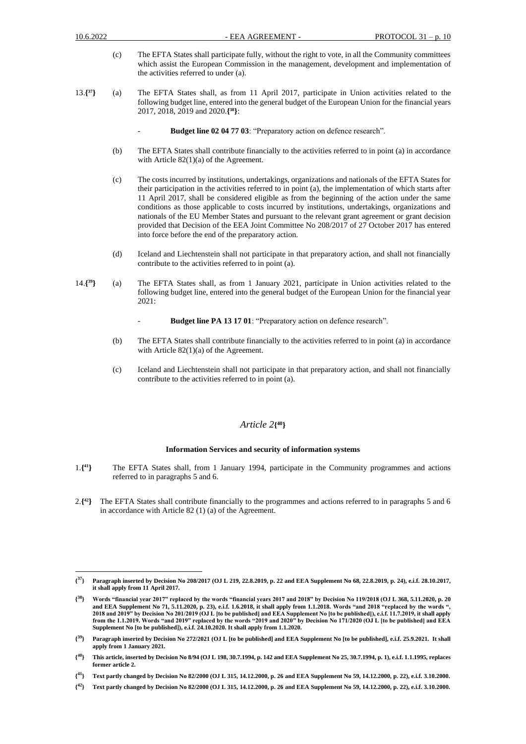- (c) The EFTA States shall participate fully, without the right to vote, in all the Community committees which assist the European Commission in the management, development and implementation of the activities referred to under (a).
- 13.**{ <sup>37</sup>}** (a) The EFTA States shall, as from 11 April 2017, participate in Union activities related to the following budget line, entered into the general budget of the European Union for the financial years 2017, 2018, 2019 and 2020.**{ <sup>38</sup>}**:
	- Budget line 02 04 77 03: "Preparatory action on defence research".
	- (b) The EFTA States shall contribute financially to the activities referred to in point (a) in accordance with Article 82(1)(a) of the Agreement.
	- (c) The costs incurred by institutions, undertakings, organizations and nationals of the EFTA States for their participation in the activities referred to in point (a), the implementation of which starts after 11 April 2017, shall be considered eligible as from the beginning of the action under the same conditions as those applicable to costs incurred by institutions, undertakings, organizations and nationals of the EU Member States and pursuant to the relevant grant agreement or grant decision provided that Decision of the EEA Joint Committee No 208/2017 of 27 October 2017 has entered into force before the end of the preparatory action.
	- (d) Iceland and Liechtenstein shall not participate in that preparatory action, and shall not financially contribute to the activities referred to in point (a).
- 14.**{ <sup>39</sup>}** (a) The EFTA States shall, as from 1 January 2021, participate in Union activities related to the following budget line, entered into the general budget of the European Union for the financial year 2021:
	- Budget line PA 13 17 01: "Preparatory action on defence research".
	- (b) The EFTA States shall contribute financially to the activities referred to in point (a) in accordance with Article 82(1)(a) of the Agreement.
	- (c) Iceland and Liechtenstein shall not participate in that preparatory action, and shall not financially contribute to the activities referred to in point (a).

### *Article 2***{ 40}**

#### **Information Services and security of information systems**

- 1.**{ <sup>41</sup>}** The EFTA States shall, from 1 January 1994, participate in the Community programmes and actions referred to in paragraphs 5 and 6.
- 2.**{ <sup>42</sup>}** The EFTA States shall contribute financially to the programmes and actions referred to in paragraphs 5 and 6 in accordance with Article 82 (1) (a) of the Agreement.

 $\{^{37}\}$ **<sup>37</sup>} Paragraph inserted by Decision No 208/2017 (OJ L 219, 22.8.2019, p. 22 and EEA Supplement No 68, 22.8.2019, p. 24), e.i.f. 28.10.2017, it shall apply from 11 April 2017.**

**<sup>{</sup> <sup>38</sup>} Words "financial year 2017" replaced by the words "financial years 2017 and 2018" by Decision No 119/2018 (OJ L 368, 5.11.2020, p. 20 and EEA Supplement No 71, 5.11.2020, p. 23), e.i.f. 1.6.2018, it shall apply from 1.1.2018. Words "and 2018 "replaced by the words ", 2018 and 2019" by Decision No 201/2019 (OJ L [to be published] and EEA Supplement No [to be published]), e.i.f. 11.7.2019, it shall apply from the 1.1.2019. Words "and 2019" replaced by the words "2019 and 2020" by Decision No 171/2020 (OJ L [to be published] and EEA Supplement No [to be published]), e.i.f. 24.10.2020. It shall apply from 1.1.2020.**

**<sup>{</sup> <sup>39</sup>} Paragraph inserted by Decision No 272/2021 (OJ L [to be published] and EEA Supplement No [to be published], e.i.f. 25.9.2021. It shall apply from 1 January 2021.**

**<sup>{</sup> <sup>40</sup>} This article, inserted by Decision No 8/94 (OJ L 198, 30.7.1994, p. 142 and EEA Supplement No 25, 30.7.1994, p. 1), e.i.f. 1.1.1995, replaces former article 2.**

**<sup>{</sup> <sup>41</sup>} Text partly changed by Decision No 82/2000 (OJ L 315, 14.12.2000, p. 26 and EEA Supplement No 59, 14.12.2000, p. 22), e.i.f. 3.10.2000.**

**<sup>{</sup> <sup>42</sup>} Text partly changed by Decision No 82/2000 (OJ L 315, 14.12.2000, p. 26 and EEA Supplement No 59, 14.12.2000, p. 22), e.i.f. 3.10.2000.**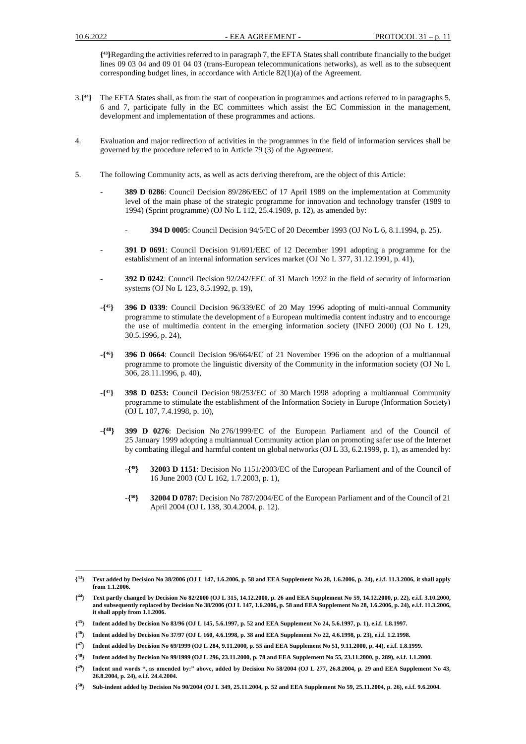**{ <sup>43</sup>}**Regarding the activities referred to in paragraph 7, the EFTA States shall contribute financially to the budget lines 09 03 04 and 09 01 04 03 (trans-European telecommunications networks), as well as to the subsequent corresponding budget lines, in accordance with Article 82(1)(a) of the Agreement.

- 3.**{ <sup>44</sup>}** The EFTA States shall, as from the start of cooperation in programmes and actions referred to in paragraphs 5, 6 and 7, participate fully in the EC committees which assist the EC Commission in the management, development and implementation of these programmes and actions.
- 4. Evaluation and major redirection of activities in the programmes in the field of information services shall be governed by the procedure referred to in Article 79 (3) of the Agreement.
- 5. The following Community acts, as well as acts deriving therefrom, are the object of this Article:
	- **389 D 0286**: Council Decision 89/286/EEC of 17 April 1989 on the implementation at Community level of the main phase of the strategic programme for innovation and technology transfer (1989 to 1994) (Sprint programme) (OJ No L 112, 25.4.1989, p. 12), as amended by:
		- **394 D 0005**: Council Decision 94/5/EC of 20 December 1993 (OJ No L 6, 8.1.1994, p. 25).
	- **391 D 0691**: Council Decision 91/691/EEC of 12 December 1991 adopting a programme for the establishment of an internal information services market (OJ No L 377, 31.12.1991, p. 41),
	- **392 D 0242**: Council Decision 92/242/EEC of 31 March 1992 in the field of security of information systems (OJ No L 123, 8.5.1992, p. 19),
	- -**{ <sup>45</sup>} 396 D 0339**: Council Decision 96/339/EC of 20 May 1996 adopting of multi-annual Community programme to stimulate the development of a European multimedia content industry and to encourage the use of multimedia content in the emerging information society (INFO 2000) (OJ No L 129, 30.5.1996, p. 24),
	- -**{ <sup>46</sup>} 396 D 0664**: Council Decision 96/664/EC of 21 November 1996 on the adoption of a multiannual programme to promote the linguistic diversity of the Community in the information society (OJ No L 306, 28.11.1996, p. 40),
	- -**{ <sup>47</sup>} 398 D 0253:** Council Decision 98/253/EC of 30 March 1998 adopting a multiannual Community programme to stimulate the establishment of the Information Society in Europe (Information Society) (OJ L 107, 7.4.1998, p. 10),
	- -**{ <sup>48</sup>} 399 D 0276**: Decision No 276/1999/EC of the European Parliament and of the Council of 25 January 1999 adopting a multiannual Community action plan on promoting safer use of the Internet by combating illegal and harmful content on global networks (OJ L 33, 6.2.1999, p. 1), as amended by:
		- -**{ <sup>49</sup>} 32003 D 1151**: Decision No 1151/2003/EC of the European Parliament and of the Council of 16 June 2003 (OJ L 162, 1.7.2003, p. 1),
		- -**{ <sup>50</sup>} 32004 D 0787**: Decision No 787/2004/EC of the European Parliament and of the Council of 21 April 2004 (OJ L 138, 30.4.2004, p. 12).

 $\{^{43}\}$ **<sup>43</sup>} Text added by Decision No 38/2006 (OJ L 147, 1.6.2006, p. 58 and EEA Supplement No 28, 1.6.2006, p. 24), e.i.f. 11.3.2006, it shall apply from 1.1.2006.**

**<sup>{</sup> <sup>44</sup>} Text partly changed by Decision No 82/2000 (OJ L 315, 14.12.2000, p. 26 and EEA Supplement No 59, 14.12.2000, p. 22), e.i.f. 3.10.2000, and subsequently replaced by Decision No 38/2006 (OJ L 147, 1.6.2006, p. 58 and EEA Supplement No 28, 1.6.2006, p. 24), e.i.f. 11.3.2006, it shall apply from 1.1.2006.**

**<sup>{</sup> <sup>45</sup>} Indent added by Decision No 83/96 (OJ L 145, 5.6.1997, p. 52 and EEA Supplement No 24, 5.6.1997, p. 1), e.i.f. 1.8.1997.**

 $\{^{46}\}$ **<sup>46</sup>} Indent added by Decision No 37/97 (OJ L 160, 4.6.1998, p. 38 and EEA Supplement No 22, 4.6.1998, p. 23), e.i.f. 1.2.1998.**

**<sup>{</sup> <sup>47</sup>} Indent added by Decision No 69/1999 (OJ L 284, 9.11.2000, p. 55 and EEA Supplement No 51, 9.11.2000, p. 44), e.i.f. 1.8.1999.**

**<sup>{</sup> <sup>48</sup>} Indent added by Decision No 99/1999 (OJ L 296, 23.11.2000, p. 78 and EEA Supplement No 55, 23.11.2000, p. 289), e.i.f. 1.1.2000.**

**<sup>{</sup> <sup>49</sup>} Indent and words ", as amended by:" above, added by Decision No 58/2004 (OJ L 277, 26.8.2004, p. 29 and EEA Supplement No 43, 26.8.2004, p. 24), e.i.f. 24.4.2004.**

 $\{50\}$ **<sup>50</sup>} Sub-indent added by Decision No 90/2004 (OJ L 349, 25.11.2004, p. 52 and EEA Supplement No 59, 25.11.2004, p. 26), e.i.f. 9.6.2004.**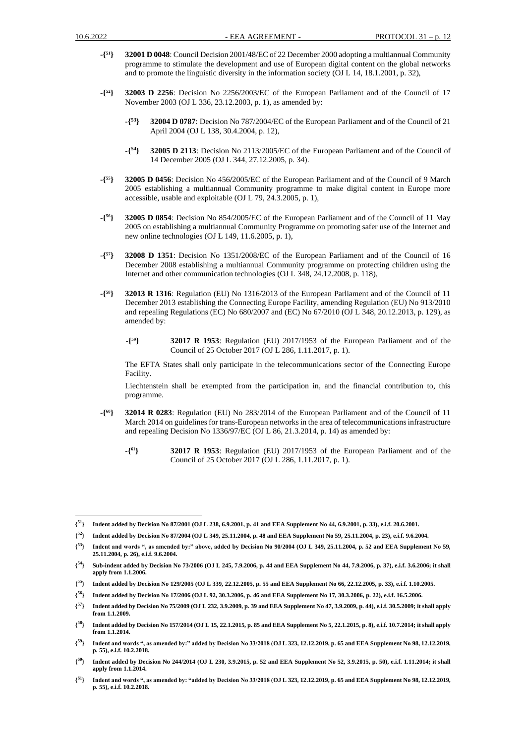- -**{ <sup>51</sup>} 32001 D 0048**: Council Decision 2001/48/EC of 22 December 2000 adopting a multiannual Community programme to stimulate the development and use of European digital content on the global networks and to promote the linguistic diversity in the information society (OJ L 14, 18.1.2001, p. 32),
- -**{ <sup>52</sup>} 32003 D 2256**: Decision No 2256/2003/EC of the European Parliament and of the Council of 17 November 2003 (OJ L 336, 23.12.2003, p. 1), as amended by:
	- -**{ <sup>53</sup>} 32004 D 0787**: Decision No 787/2004/EC of the European Parliament and of the Council of 21 April 2004 (OJ L 138, 30.4.2004, p. 12),
	- -**{ <sup>54</sup>} 32005 D 2113**: Decision No 2113/2005/EC of the European Parliament and of the Council of 14 December 2005 (OJ L 344, 27.12.2005, p. 34).
- -**{ <sup>55</sup>} 32005 D 0456**: Decision No 456**/**2005/EC of the European Parliament and of the Council of 9 March 2005 establishing a multiannual Community programme to make digital content in Europe more accessible, usable and exploitable (OJ L 79, 24.3.2005, p. 1),
- -**{ <sup>56</sup>} 32005 D 0854**: Decision No 854/2005/EC of the European Parliament and of the Council of 11 May 2005 on establishing a multiannual Community Programme on promoting safer use of the Internet and new online technologies (OJ L 149, 11.6.2005, p. 1),
- -**{ <sup>57</sup>} 32008 D 1351**: Decision No 1351/2008/EC of the European Parliament and of the Council of 16 December 2008 establishing a multiannual Community programme on protecting children using the Internet and other communication technologies (OJ L 348, 24.12.2008, p. 118),
- -**{ <sup>58</sup>} 32013 R 1316**: Regulation (EU) No 1316/2013 of the European Parliament and of the Council of 11 December 2013 establishing the Connecting Europe Facility, amending Regulation (EU) No 913/2010 and repealing Regulations (EC) No 680/2007 and (EC) No 67/2010 (OJ L 348, 20.12.2013, p. 129), as amended by:
	- -**{ <sup>59</sup>} 32017 R 1953**: Regulation (EU) 2017/1953 of the European Parliament and of the Council of 25 October 2017 (OJ L 286, 1.11.2017, p. 1).

The EFTA States shall only participate in the telecommunications sector of the Connecting Europe Facility.

Liechtenstein shall be exempted from the participation in, and the financial contribution to, this programme.

- -**{ <sup>60</sup>} 32014 R 0283**: Regulation (EU) No 283/2014 of the European Parliament and of the Council of 11 March 2014 on guidelines for trans-European networks in the area of telecommunications infrastructure and repealing Decision No 1336/97/EC (OJ L 86, 21.3.2014, p. 14) as amended by:
	- -**{ <sup>61</sup>} 32017 R 1953**: Regulation (EU) 2017/1953 of the European Parliament and of the Council of 25 October 2017 (OJ L 286, 1.11.2017, p. 1).

- **{ <sup>56</sup>} Indent added by Decision No 17/2006 (OJ L 92, 30.3.2006, p. 46 and EEA Supplement No 17, 30.3.2006, p. 22), e.i.f. 16.5.2006.**
- $\{57\}$ **<sup>57</sup>} Indent added by Decision No 75/2009 (OJ L 232, 3.9.2009, p. 39 and EEA Supplement No 47, 3.9.2009, p. 44), e.i.f. 30.5.2009; it shall apply from 1.1.2009.**
- $\{^{58}\}$ **<sup>58</sup>} Indent added by Decision No 157/2014 (OJ L 15, 22.1.2015, p. 85 and EEA Supplement No 5, 22.1.2015, p. 8), e.i.f. 10.7.2014; it shall apply from 1.1.2014.**
- **{ <sup>59</sup>} Indent and words ", as amended by:" added by Decision No 33/2018 (OJ L 323, 12.12.2019, p. 65 and EEA Supplement No 98, 12.12.2019, p. 55), e.i.f. 10.2.2018.**
- **{ <sup>60</sup>} Indent added by Decision No 244/2014 (OJ L 230, 3.9.2015, p. 52 and EEA Supplement No 52, 3.9.2015, p. 50), e.i.f. 1.11.2014; it shall apply from 1.1.2014.**

**<sup>{</sup> <sup>51</sup>} Indent added by Decision No 87/2001 (OJ L 238, 6.9.2001, p. 41 and EEA Supplement No 44, 6.9.2001, p. 33), e.i.f. 20.6.2001.**

**<sup>{</sup> <sup>52</sup>} Indent added by Decision No 87/2004 (OJ L 349, 25.11.2004, p. 48 and EEA Supplement No 59, 25.11.2004, p. 23), e.i.f. 9.6.2004.**

 $\{^{53}\}$ **<sup>53</sup>} Indent and words ", as amended by:" above, added by Decision No 90/2004 (OJ L 349, 25.11.2004, p. 52 and EEA Supplement No 59, 25.11.2004, p. 26), e.i.f. 9.6.2004.**

 $\{^{54}\}$ **<sup>54</sup>} Sub-indent added by Decision No 73/2006 (OJ L 245, 7.9.2006, p. 44 and EEA Supplement No 44, 7.9.2006, p. 37), e.i.f. 3.6.2006; it shall apply from 1.1.2006.**

**<sup>{</sup> <sup>55</sup>} Indent added by Decision No 129/2005 (OJ L 339, 22.12.2005, p. 55 and EEA Supplement No 66, 22.12.2005, p. 33), e.i.f. 1.10.2005.**

**<sup>{</sup> <sup>61</sup>} Indent and words ", as amended by: "added by Decision No 33/2018 (OJ L 323, 12.12.2019, p. 65 and EEA Supplement No 98, 12.12.2019, p. 55), e.i.f. 10.2.2018.**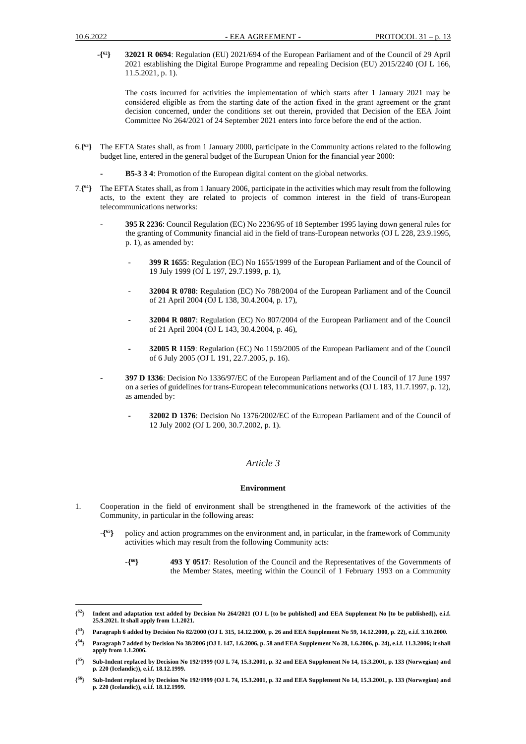-**{ <sup>62</sup>} 32021 R 0694**: Regulation (EU) 2021/694 of the European Parliament and of the Council of 29 April 2021 establishing the Digital Europe Programme and repealing Decision (EU) 2015/2240 (OJ L 166, 11.5.2021, p. 1).

The costs incurred for activities the implementation of which starts after 1 January 2021 may be considered eligible as from the starting date of the action fixed in the grant agreement or the grаnt decision concerned, under the conditions set out therein, provided that Decision of the EEA Joint Committee No 264/2021 of 24 September 2021 enters into force before the end of the action.

- 6.**{ <sup>63</sup>}** The EFTA States shall, as from 1 January 2000, participate in the Community actions related to the following budget line, entered in the general budget of the European Union for the financial year 2000:
	- **- B5-3 3 4**: Promotion of the European digital content on the global networks.
- 7.**{ <sup>64</sup>}** The EFTA States shall, as from 1 January 2006, participate in the activities which may result from the following acts, to the extent they are related to projects of common interest in the field of trans-European telecommunications networks:
	- **- 395 R 2236**: Council Regulation (EC) No 2236/95 of 18 September 1995 laying down general rules for the granting of Community financial aid in the field of trans-European networks (OJ L 228, 23.9.1995, p. 1), as amended by:
		- **- 399 R 1655**: Regulation (EC) No 1655/1999 of the European Parliament and of the Council of 19 July 1999 (OJ L 197, 29.7.1999, p. 1),
		- **- 32004 R 0788**: Regulation (EC) No 788/2004 of the European Parliament and of the Council of 21 April 2004 (OJ L 138, 30.4.2004, p. 17),
		- **- 32004 R 0807**: Regulation (EC) No 807/2004 of the European Parliament and of the Council of 21 April 2004 (OJ L 143, 30.4.2004, p. 46),
		- **- 32005 R 1159**: Regulation (EC) No 1159/2005 of the European Parliament and of the Council of 6 July 2005 (OJ L 191, 22.7.2005, p. 16).
	- **- 397 D 1336**: Decision No 1336/97/EC of the European Parliament and of the Council of 17 June 1997 on a series of guidelines for trans-European telecommunications networks (OJ L 183, 11.7.1997, p. 12), as amended by:
		- **- 32002 D 1376**: Decision No 1376/2002/EC of the European Parliament and of the Council of 12 July 2002 (OJ L 200, 30.7.2002, p. 1).

# *Article 3*

#### **Environment**

- 1. Cooperation in the field of environment shall be strengthened in the framework of the activities of the Community, in particular in the following areas:
	- -**{ <sup>65</sup>}** policy and action programmes on the environment and, in particular, in the framework of Community activities which may result from the following Community acts:
		- -**{ <sup>66</sup>} 493 Y 0517**: Resolution of the Council and the Representatives of the Governments of the Member States, meeting within the Council of 1 February 1993 on a Community

**<sup>{</sup> <sup>62</sup>} Indent and adaptation text added by Decision No 264/2021 (OJ L [to be published] and EEA Supplement No [to be published]), e.i.f. 25.9.2021. It shall apply from 1.1.2021.**

**<sup>{</sup> <sup>63</sup>} Paragraph 6 added by Decision No 82/2000 (OJ L 315, 14.12.2000, p. 26 and EEA Supplement No 59, 14.12.2000, p. 22), e.i.f. 3.10.2000.**

**<sup>{</sup> <sup>64</sup>} Paragraph 7 added by Decision No 38/2006 (OJ L 147, 1.6.2006, p. 58 and EEA Supplement No 28, 1.6.2006, p. 24), e.i.f. 11.3.2006; it shall apply from 1.1.2006.**

**<sup>{</sup> <sup>65</sup>} Sub-Indent replaced by Decision No 192/1999 (OJ L 74, 15.3.2001, p. 32 and EEA Supplement No 14, 15.3.2001, p. 133 (Norwegian) and p. 220 (Icelandic)), e.i.f. 18.12.1999.**

**<sup>{</sup> <sup>66</sup>} Sub-Indent replaced by Decision No 192/1999 (OJ L 74, 15.3.2001, p. 32 and EEA Supplement No 14, 15.3.2001, p. 133 (Norwegian) and p. 220 (Icelandic)), e.i.f. 18.12.1999.**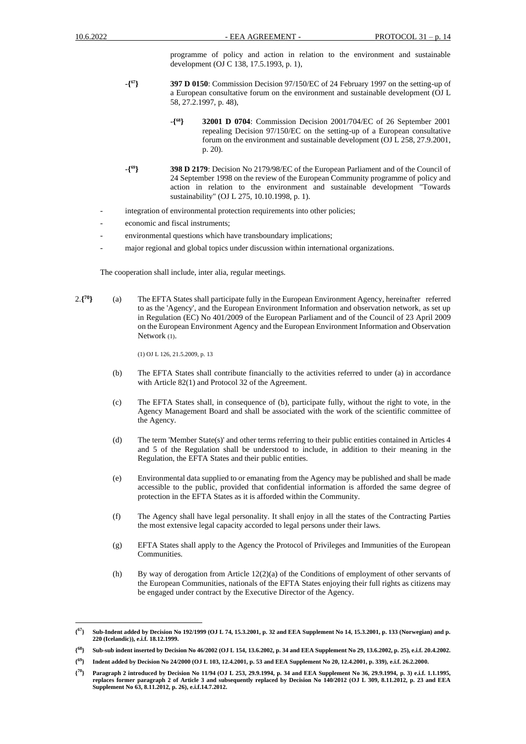programme of policy and action in relation to the environment and sustainable development (OJ C 138, 17.5.1993, p. 1),

- -**{ <sup>67</sup>} 397 D 0150**: Commission Decision 97/150/EC of 24 February 1997 on the setting-up of a European consultative forum on the environment and sustainable development (OJ L 58, 27.2.1997, p. 48),
	- -**{ <sup>68</sup>} 32001 D 0704**: Commission Decision 2001/704/EC of 26 September 2001 repealing Decision 97/150/EC on the setting-up of a European consultative forum on the environment and sustainable development (OJ L 258, 27.9.2001, p. 20).
- -**{ <sup>69</sup>} 398 D 2179**: Decision No 2179/98/EC of the European Parliament and of the Council of 24 September 1998 on the review of the European Community programme of policy and action in relation to the environment and sustainable development "Towards sustainability" (OJ L 275, 10.10.1998, p. 1).
- integration of environmental protection requirements into other policies;
- economic and fiscal instruments;
- environmental questions which have transboundary implications;
- major regional and global topics under discussion within international organizations.

The cooperation shall include, inter alia, regular meetings.

2.**{ <sup>70</sup>}** (a) The EFTA States shall participate fully in the European Environment Agency, hereinafter referred to as the 'Agency', and the European Environment Information and observation network, as set up in Regulation (EC) No 401/2009 of the European Parliament and of the Council of 23 April 2009 on the European Environment Agency and the European Environment Information and Observation Network (1).

(1) OJ L 126, 21.5.2009, p. 13

- (b) The EFTA States shall contribute financially to the activities referred to under (a) in accordance with Article 82(1) and Protocol 32 of the Agreement.
- (c) The EFTA States shall, in consequence of (b), participate fully, without the right to vote, in the Agency Management Board and shall be associated with the work of the scientific committee of the Agency.
- (d) The term 'Member State(s)' and other terms referring to their public entities contained in Articles 4 and 5 of the Regulation shall be understood to include, in addition to their meaning in the Regulation, the EFTA States and their public entities.
- (e) Environmental data supplied to or emanating from the Agency may be published and shall be made accessible to the public, provided that confidential information is afforded the same degree of protection in the EFTA States as it is afforded within the Community.
- (f) The Agency shall have legal personality. It shall enjoy in all the states of the Contracting Parties the most extensive legal capacity accorded to legal persons under their laws.
- (g) EFTA States shall apply to the Agency the Protocol of Privileges and Immunities of the European Communities.
- (h) By way of derogation from Article 12(2)(a) of the Conditions of employment of other servants of the European Communities, nationals of the EFTA States enjoying their full rights as citizens may be engaged under contract by the Executive Director of the Agency.

 ${^{67}}$ } **<sup>67</sup>} Sub-Indent added by Decision No 192/1999 (OJ L 74, 15.3.2001, p. 32 and EEA Supplement No 14, 15.3.2001, p. 133 (Norwegian) and p. 220 (Icelandic)), e.i.f. 18.12.1999.**

**<sup>{</sup> <sup>68</sup>} Sub-sub indent inserted by Decision No 46/2002 (OJ L 154, 13.6.2002, p. 34 and EEA Supplement No 29, 13.6.2002, p. 25), e.i.f. 20.4.2002.** 

**<sup>{</sup> <sup>69</sup>} Indent added by Decision No 24/2000 (OJ L 103, 12.4.2001, p. 53 and EEA Supplement No 20, 12.4.2001, p. 339), e.i.f. 26.2.2000.**

**<sup>{</sup> <sup>70</sup>} Paragraph 2 introduced by Decision No 11/94 (OJ L 253, 29.9.1994, p. 34 and EEA Supplement No 36, 29.9.1994, p. 3) e.i.f. 1.1.1995, replaces former paragraph 2 of Article 3 and subsequently replaced by Decision No 140/2012 (OJ L 309, 8.11.2012, p. 23 and EEA Supplement No 63, 8.11.2012, p. 26), e.i.f.14.7.2012.**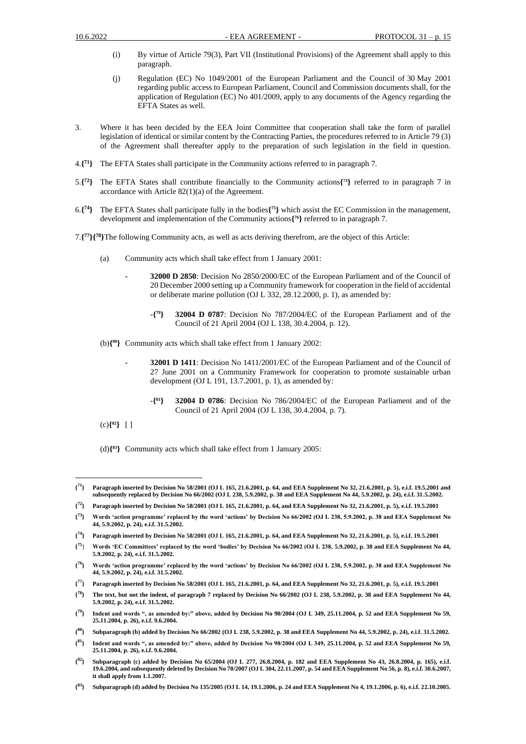- (i) By virtue of Article 79(3), Part VII (Institutional Provisions) of the Agreement shall apply to this paragraph.
- (j) Regulation (EC) No 1049/2001 of the European Parliament and the Council of 30 May 2001 regarding public access to European Parliament, Council and Commission documents shall, for the application of Regulation (EC) No 401/2009, apply to any documents of the Agency regarding the EFTA States as well.
- 3. Where it has been decided by the EEA Joint Committee that cooperation shall take the form of parallel legislation of identical or similar content by the Contracting Parties, the procedures referred to in Article 79 (3) of the Agreement shall thereafter apply to the preparation of such legislation in the field in question.
- 4.**{ <sup>71</sup>}** The EFTA States shall participate in the Community actions referred to in paragraph 7.
- 5.**{ <sup>72</sup>}** The EFTA States shall contribute financially to the Community actions**{ <sup>73</sup>}** referred to in paragraph 7 in accordance with Article 82(1)(a) of the Agreement.
- 6.**{ <sup>74</sup>}** The EFTA States shall participate fully in the bodies**{ <sup>75</sup>}** which assist the EC Commission in the management, development and implementation of the Community actions**{ <sup>76</sup>}** referred to in paragraph 7.
- 7.**{ <sup>77</sup>}{<sup>78</sup>}**The following Community acts, as well as acts deriving therefrom, are the object of this Article:
	- (a) Community acts which shall take effect from 1 January 2001:
		- **- 32000 D 2850**: Decision No 2850/2000/EC of the European Parliament and of the Council of 20 December 2000 setting up a Community framework for cooperation in the field of accidental or deliberate marine pollution (OJ L 332, 28.12.2000, p. 1), as amended by:
			- -**{ <sup>79</sup>} 32004 D 0787**: Decision No 787/2004/EC of the European Parliament and of the Council of 21 April 2004 (OJ L 138, 30.4.2004, p. 12).
	- (b)**{ <sup>80</sup>}** Community acts which shall take effect from 1 January 2002:
		- **- 32001 D 1411**: Decision No 1411/2001/EC of the European Parliament and of the Council of 27 June 2001 on a Community Framework for cooperation to promote sustainable urban development (OJ L 191, 13.7.2001, p. 1), as amended by:
			- -**{ <sup>81</sup>} 32004 D 0786**: Decision No 786/2004/EC of the European Parliament and of the Council of 21 April 2004 (OJ L 138, 30.4.2004, p. 7).
	- (c)**{ <sup>82</sup>}** [ ]
	- (d)**{ <sup>83</sup>}** Community acts which shall take effect from 1 January 2005:

- **{ <sup>77</sup>} Paragraph inserted by Decision No 58/2001 (OJ L 165, 21.6.2001, p. 64, and EEA Supplement No 32, 21.6.2001, p. 5), e.i.f. 19.5.2001**
- **{ <sup>78</sup>} The text, but not the indent, of paragraph 7 replaced by Decision No 66/2002 (OJ L 238, 5.9.2002, p. 38 and EEA Supplement No 44, 5.9.2002, p. 24), e.i.f. 31.5.2002.**

 $\{^{71}\}$ **<sup>71</sup>} Paragraph inserted by Decision No 58/2001 (OJ L 165, 21.6.2001, p. 64, and EEA Supplement No 32, 21.6.2001, p. 5), e.i.f. 19.5.2001 and subsequently replaced by Decision No 66/2002 (OJ L 238, 5.9.2002, p. 38 and EEA Supplement No 44, 5.9.2002, p. 24), e.i.f. 31.5.2002.**

**<sup>{</sup> <sup>72</sup>} Paragraph inserted by Decision No 58/2001 (OJ L 165, 21.6.2001, p. 64, and EEA Supplement No 32, 21.6.2001, p. 5), e.i.f. 19.5.2001**

 $\{^{73}\}$ **<sup>73</sup>} Words 'action programme' replaced by the word 'actions' by Decision No 66/2002 (OJ L 238, 5.9.2002, p. 38 and EEA Supplement No 44, 5.9.2002, p. 24), e.i.f. 31.5.2002.**

**<sup>{</sup> <sup>74</sup>} Paragraph inserted by Decision No 58/2001 (OJ L 165, 21.6.2001, p. 64, and EEA Supplement No 32, 21.6.2001, p. 5), e.i.f. 19.5.2001**

 $\{^{75}\}$ **<sup>75</sup>**} **Words 'EC Committees' replaced by the word 'bodies' by Decision No 66/2002 (OJ L 238, 5.9.2002, p. 38 and EEA Supplement No 44, 5.9.2002, p. 24), e.i.f. 31.5.2002.**

 $\{^{76}\}$ **<sup>76</sup>} Words 'action programme' replaced by the word 'actions' by Decision No 66/2002 (OJ L 238, 5.9.2002, p. 38 and EEA Supplement No 44, 5.9.2002, p. 24), e.i.f. 31.5.2002.** 

**<sup>{</sup> <sup>79</sup>} Indent and words ", as amended by:" above, added by Decision No 90/2004 (OJ L 349, 25.11.2004, p. 52 and EEA Supplement No 59, 25.11.2004, p. 26), e.i.f. 9.6.2004.**

**<sup>{</sup> <sup>80</sup>} Subparagraph (b) added by Decision No 66/2002 (OJ L 238, 5.9.2002, p. 38 and EEA Supplement No 44, 5.9.2002, p. 24), e.i.f. 31.5.2002.**

**<sup>{</sup> <sup>81</sup>} Indent and words ", as amended by:" above, added by Decision No 90/2004 (OJ L 349, 25.11.2004, p. 52 and EEA Supplement No 59, 25.11.2004, p. 26), e.i.f. 9.6.2004.**

 $\{^{82}\}$ **<sup>82</sup>} Subparagraph (c) added by Decision No 65/2004 (OJ L 277, 26.8.2004, p. 182 and EEA Supplement No 43, 26.8.2004, p. 165), e.i.f. 19.6.2004, and subsequently deleted by Decision No 70/2007 (OJ L 304, 22.11.2007, p. 54 and EEA Supplement No 56, p. 8), e.i.f. 30.6.2007, it shall apply from 1.1.2007.**

**<sup>{</sup> <sup>83</sup>} Subparagraph (d) added by Decision No 135/2005 (OJ L 14, 19.1.2006, p. 24 and EEA Supplement No 4, 19.1.2006, p. 6), e.i.f. 22.10.2005.**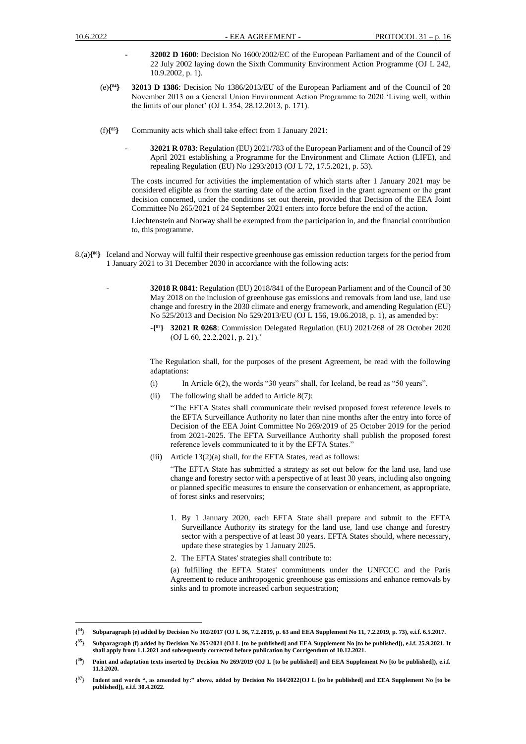- **32002 D 1600**: Decision No 1600/2002/EC of the European Parliament and of the Council of 22 July 2002 laying down the Sixth Community Environment Action Programme (OJ L 242, 10.9.2002, p. 1).
- $(e)$ {<sup>84</sup>} **<sup>84</sup>} 32013 D 1386**: Decision No 1386/2013/EU of the European Parliament and of the Council of 20 November 2013 on a General Union Environment Action Programme to 2020 'Living well, within the limits of our planet' (OJ L 354, 28.12.2013, p. 171).
- (f)**{ <sup>85</sup>}** Community acts which shall take effect from 1 January 2021:
	- **32021 R 0783**: Regulation (EU) 2021/783 of the European Parliament and of the Council of 29 April 2021 establishing a Programme for the Environment and Climate Action (LIFE), and repealing Regulation (EU) No 1293/2013 (OJ L 72, 17.5.2021, p. 53).

The costs incurred for activities the implementation of which starts after 1 January 2021 may be considered eligible as from the starting date of the action fixed in the grant agreement or the grаnt decision concerned, under the conditions set out therein, provided that Decision of the EEA Joint Committee No 265/2021 of 24 September 2021 enters into force before the end of the action.

Liechtenstein and Norway shall be exempted from the participation in, and the financial contribution to, this programme.

- 8.(a)**{ <sup>86</sup>}** Iceland and Norway will fulfil their respective greenhouse gas emission reduction targets for the period from 1 January 2021 to 31 December 2030 in accordance with the following acts:
	- **32018 R 0841**: Regulation (EU) 2018/841 of the European Parliament and of the Council of 30 May 2018 on the inclusion of greenhouse gas emissions and removals from land use, land use change and forestry in the 2030 climate and energy framework, and amending Regulation (EU) No 525/2013 and Decision No 529/2013/EU (OJ L 156, 19.06.2018, p. 1), as amended by:
		- -**{ <sup>87</sup>} 32021 R 0268**: Commission Delegated Regulation (EU) 2021/268 of 28 October 2020 (OJ L 60, 22.2.2021, p. 21).'

The Regulation shall, for the purposes of the present Agreement, be read with the following adaptations:

- (i) In Article 6(2), the words "30 years" shall, for Iceland, be read as "50 years".
- (ii) The following shall be added to Article 8(7):

"The EFTA States shall communicate their revised proposed forest reference levels to the EFTA Surveillance Authority no later than nine months after the entry into force of Decision of the EEA Joint Committee No 269/2019 of 25 October 2019 for the period from 2021-2025. The EFTA Surveillance Authority shall publish the proposed forest reference levels communicated to it by the EFTA States."

(iii) Article 13(2)(a) shall, for the EFTA States, read as follows:

"The EFTA State has submitted a strategy as set out below for the land use, land use change and forestry sector with a perspective of at least 30 years, including also ongoing or planned specific measures to ensure the conservation or enhancement, as appropriate, of forest sinks and reservoirs;

- 1. By 1 January 2020, each EFTA State shall prepare and submit to the EFTA Surveillance Authority its strategy for the land use, land use change and forestry sector with a perspective of at least 30 years. EFTA States should, where necessary, update these strategies by 1 January 2025.
- 2. The EFTA States' strategies shall contribute to:

(a) fulfilling the EFTA States' commitments under the UNFCCC and the Paris Agreement to reduce anthropogenic greenhouse gas emissions and enhance removals by sinks and to promote increased carbon sequestration;

 ${^{84}}$ } **<sup>84</sup>} Subparagraph (e) added by Decision No 102/2017 (OJ L 36, 7.2.2019, p. 63 and EEA Supplement No 11, 7.2.2019, p. 73), e.i.f. 6.5.2017.**

**<sup>{</sup> <sup>85</sup>} Subparagraph (f) added by Decision No 265/2021 (OJ L [to be published] and EEA Supplement No [to be published]), e.i.f. 25.9.2021. It shall apply from 1.1.2021 and subsequently corrected before publication by Corrigendum of 10.12.2021.**

**<sup>{</sup> <sup>86</sup>} Point and adaptation texts inserted by Decision No 269/2019 (OJ L [to be published] and EEA Supplement No [to be published]), e.i.f. 11.3.2020.**

**<sup>{</sup> <sup>87</sup>} Indent and words ", as amended by:" above, added by Decision No 164/2022(OJ L [to be published] and EEA Supplement No [to be published]), e.i.f. 30.4.2022.**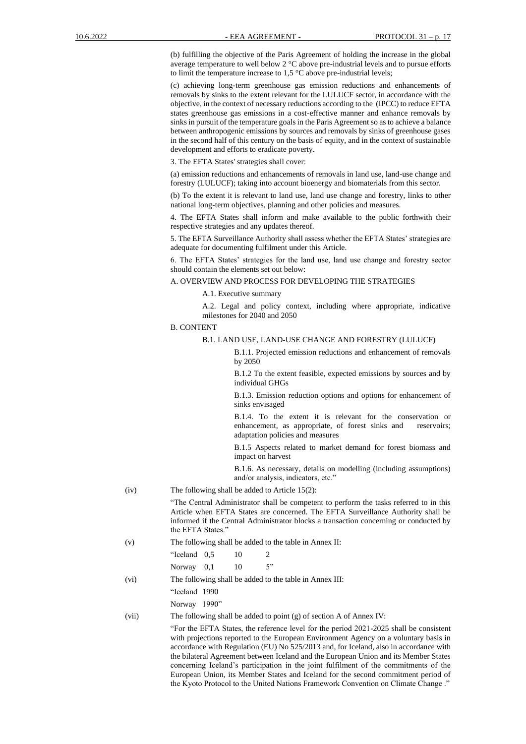(b) fulfilling the objective of the Paris Agreement of holding the increase in the global average temperature to well below 2 °C above pre-industrial levels and to pursue efforts to limit the temperature increase to  $1.5 \degree$ C above pre-industrial levels;

(c) achieving long-term greenhouse gas emission reductions and enhancements of removals by sinks to the extent relevant for the LULUCF sector, in accordance with the objective, in the context of necessary reductions according to the (IPCC) to reduce EFTA states greenhouse gas emissions in a cost-effective manner and enhance removals by sinks in pursuit of the temperature goals in the Paris Agreement so as to achieve a balance between anthropogenic emissions by sources and removals by sinks of greenhouse gases in the second half of this century on the basis of equity, and in the context of sustainable development and efforts to eradicate poverty.

3. The EFTA States' strategies shall cover:

(a) emission reductions and enhancements of removals in land use, land-use change and forestry (LULUCF); taking into account bioenergy and biomaterials from this sector.

(b) To the extent it is relevant to land use, land use change and forestry, links to other national long-term objectives, planning and other policies and measures.

4. The EFTA States shall inform and make available to the public forthwith their respective strategies and any updates thereof.

5. The EFTA Surveillance Authority shall assess whether the EFTA States' strategies are adequate for documenting fulfilment under this Article.

6. The EFTA States' strategies for the land use, land use change and forestry sector should contain the elements set out below:

#### A. OVERVIEW AND PROCESS FOR DEVELOPING THE STRATEGIES

A.1. Executive summary

A.2. Legal and policy context, including where appropriate, indicative milestones for 2040 and 2050

B. CONTENT

#### B.1. LAND USE, LAND-USE CHANGE AND FORESTRY (LULUCF)

B.1.1. Projected emission reductions and enhancement of removals by 2050

B.1.2 To the extent feasible, expected emissions by sources and by individual GHGs

B.1.3. Emission reduction options and options for enhancement of sinks envisaged

B.1.4. To the extent it is relevant for the conservation or enhancement, as appropriate, of forest sinks and reservoirs; adaptation policies and measures

B.1.5 Aspects related to market demand for forest biomass and impact on harvest

B.1.6. As necessary, details on modelling (including assumptions) and/or analysis, indicators, etc."

(iv) The following shall be added to Article 15(2):

"The Central Administrator shall be competent to perform the tasks referred to in this Article when EFTA States are concerned. The EFTA Surveillance Authority shall be informed if the Central Administrator blocks a transaction concerning or conducted by the EFTA States."

(v) The following shall be added to the table in Annex II:

| "Iceland 0.5" | 10 |    |
|---------------|----|----|
| Norway $0,1$  | 10 | 5" |

(vi) The following shall be added to the table in Annex III:

"Iceland 1990

Norway 1990"

(vii) The following shall be added to point (g) of section A of Annex IV:

"For the EFTA States, the reference level for the period 2021-2025 shall be consistent with projections reported to the European Environment Agency on a voluntary basis in accordance with Regulation (EU) No 525/2013 and, for Iceland, also in accordance with the bilateral Agreement between Iceland and the European Union and its Member States concerning Iceland's participation in the joint fulfilment of the commitments of the European Union, its Member States and Iceland for the second commitment period of the Kyoto Protocol to the United Nations Framework Convention on Climate Change ."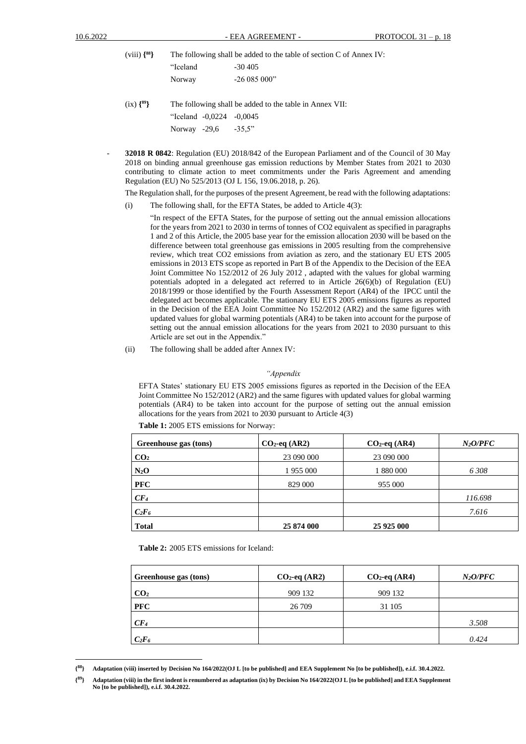| $(viii) \{88\}$ | The following shall be added to the table of section C of Annex IV: |                                                         |  |  |  |
|-----------------|---------------------------------------------------------------------|---------------------------------------------------------|--|--|--|
|                 | "Iceland                                                            | $-30,405$                                               |  |  |  |
|                 | Norway                                                              | $-26085000"$                                            |  |  |  |
| $(ix)$ $\{89\}$ |                                                                     | The following shall be added to the table in Annex VII: |  |  |  |
|                 | "Iceland -0,0224 -0,0045                                            |                                                         |  |  |  |

Norway -29,6 -35,5"

- **32018 R 0842**: Regulation (EU) 2018/842 of the European Parliament and of the Council of 30 May 2018 on binding annual greenhouse gas emission reductions by Member States from 2021 to 2030 contributing to climate action to meet commitments under the Paris Agreement and amending Regulation (EU) No 525/2013 (OJ L 156, 19.06.2018, p. 26).

The Regulation shall, for the purposes of the present Agreement, be read with the following adaptations:

(i) The following shall, for the EFTA States, be added to Article 4(3):

"In respect of the EFTA States, for the purpose of setting out the annual emission allocations for the years from 2021 to 2030 in terms of tonnes of CO2 equivalent as specified in paragraphs 1 and 2 of this Article, the 2005 base year for the emission allocation 2030 will be based on the difference between total greenhouse gas emissions in 2005 resulting from the comprehensive review, which treat CO2 emissions from aviation as zero, and the stationary EU ETS 2005 emissions in 2013 ETS scope as reported in Part B of the Appendix to the Decision of the EEA Joint Committee No 152/2012 of 26 July 2012 , adapted with the values for global warming potentials adopted in a delegated act referred to in Article  $26(6)(b)$  of Regulation (EU) 2018/1999 or those identified by the Fourth Assessment Report (AR4) of the IPCC until the delegated act becomes applicable. The stationary EU ETS 2005 emissions figures as reported in the Decision of the EEA Joint Committee No 152/2012 (AR2) and the same figures with updated values for global warming potentials (AR4) to be taken into account for the purpose of setting out the annual emission allocations for the years from 2021 to 2030 pursuant to this Article are set out in the Appendix."

(ii) The following shall be added after Annex IV:

#### *"Appendix*

EFTA States' stationary EU ETS 2005 emissions figures as reported in the Decision of the EEA Joint Committee No 152/2012 (AR2) and the same figures with updated values for global warming potentials (AR4) to be taken into account for the purpose of setting out the annual emission allocations for the years from 2021 to 2030 pursuant to Article 4(3)

| Greenhouse gas (tons) | $CO2$ -eq (AR2) | $CO2$ -eq (AR4) | $N_2$ O/PFC |
|-----------------------|-----------------|-----------------|-------------|
| CO <sub>2</sub>       | 23 090 000      | 23 090 000      |             |
| $N_2O$                | 1 955 000       | 1 880 000       | 6308        |
| <b>PFC</b>            | 829 000         | 955 000         |             |
| CF <sub>4</sub>       |                 |                 | 116.698     |
| $C_2F_6$              |                 |                 | 7.616       |
| <b>Total</b>          | 25 874 000      | 25 9 25 000     |             |

**Table 1:** 2005 ETS emissions for Norway:

**Table 2:** 2005 ETS emissions for Iceland:

| Greenhouse gas (tons) | $CO2$ -eq (AR2) | $CO2$ -eq (AR4) | $N_2$ O/PFC |
|-----------------------|-----------------|-----------------|-------------|
| CO <sub>2</sub>       | 909 132         | 909 132         |             |
| <b>PFC</b>            | 26 709          | 31 105          |             |
| CF <sub>4</sub>       |                 |                 | 3.508       |
| $C_2F_6$              |                 |                 | 0.424       |

**<sup>{</sup> <sup>88</sup>} Adaptation (viii) inserted by Decision No 164/2022(OJ L [to be published] and EEA Supplement No [to be published]), e.i.f. 30.4.2022.**

**<sup>{</sup> <sup>89</sup>} Adaptation (viii) in the first indent is renumbered as adaptation (ix) by Decision No 164/2022(OJ L [to be published] and EEA Supplement No [to be published]), e.i.f. 30.4.2022.**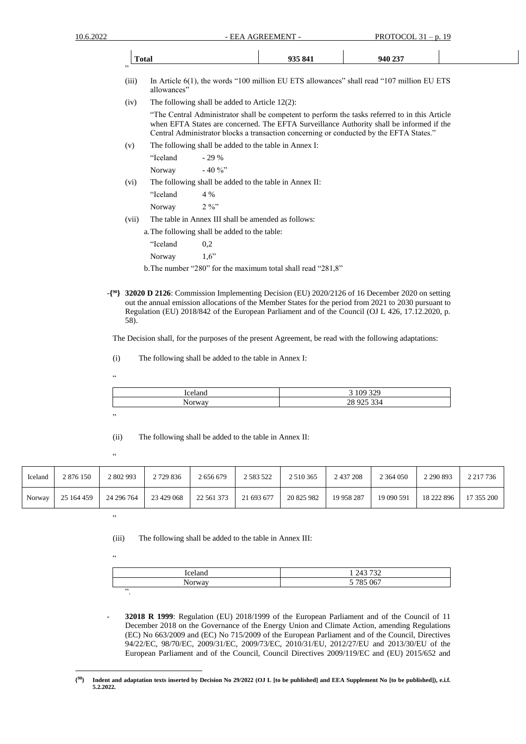|    | <b>Total</b> | 935 841 | 940 237 |  |
|----|--------------|---------|---------|--|
| 55 |              |         |         |  |

- (iii) In Article 6(1), the words "100 million EU ETS allowances" shall read "107 million EU ETS allowances"
- (iv) The following shall be added to Article 12(2):

"The Central Administrator shall be competent to perform the tasks referred to in this Article when EFTA States are concerned. The EFTA Surveillance Authority shall be informed if the Central Administrator blocks a transaction concerning or conducted by the EFTA States."

(v) The following shall be added to the table in Annex I:

|       | "Iceland                                               | $-29%$                                              |  |  |  |
|-------|--------------------------------------------------------|-----------------------------------------------------|--|--|--|
|       | Norway                                                 | $-40\%$                                             |  |  |  |
| (vi)  | The following shall be added to the table in Annex II: |                                                     |  |  |  |
|       | "Iceland                                               | $4\%$                                               |  |  |  |
|       | Norway                                                 | 2.96                                                |  |  |  |
| (vii) |                                                        | The table in Annex III shall be amended as follows: |  |  |  |

a.The following shall be added to the table:

"Iceland 0,2 Norway 1,6"

- b.The number "280" for the maximum total shall read "281,8"
- -**{ <sup>90</sup>} 32020 D 2126**: Commission Implementing Decision (EU) 2020/2126 of 16 December 2020 on setting out the annual emission allocations of the Member States for the period from 2021 to 2030 pursuant to Regulation (EU) 2018/842 of the European Parliament and of the Council (OJ L 426, 17.12.2020, p. 58).

The Decision shall, for the purposes of the present Agreement, be read with the following adaptations:

- (i) The following shall be added to the table in Annex I:
- .<br>44

| iceland         | 222<br>ΩO<br>$\sim$ $\sim$<br>ے ر<br>◡ |
|-----------------|----------------------------------------|
| - -<br>$\cdots$ | 28 9 25<br>221<br>74                   |
|                 |                                        |

"

"

(ii) The following shall be added to the table in Annex II:

Iceland | 2 876 150 | 2 802 993 | 2 729 836 | 2 656 679 | 2 583 522 | 2 510 365 | 2 437 208 | 2 364 050 | 2 290 893 | 2 217 736 Norway 25 164 459 24 296 764 23 429 068 22 561 373 21 693 677 20 825 982 19 958 287 19 090 591 18 222 896 17 355 200

"

(iii) The following shall be added to the table in Annex III:

"

| Iceland                | 1 243 732<br>ے ر |
|------------------------|------------------|
| $\mathbf{r}$<br>Norway | 5 785 067        |
| $\bullet$              |                  |

- **32018 R 1999**: Regulation (EU) 2018/1999 of the European Parliament and of the Council of 11 December 2018 on the Governance of the Energy Union and Climate Action, amending Regulations (EC) No 663/2009 and (EC) No 715/2009 of the European Parliament and of the Council, Directives 94/22/EC, 98/70/EC, 2009/31/EC, 2009/73/EC, 2010/31/EU, 2012/27/EU and 2013/30/EU of the European Parliament and of the Council, Council Directives 2009/119/EC and (EU) 2015/652 and

**<sup>{</sup> <sup>90</sup>} Indent and adaptation texts inserted by Decision No 29/2022 (OJ L [to be published] and EEA Supplement No [to be published]), e.i.f. 5.2.2022.**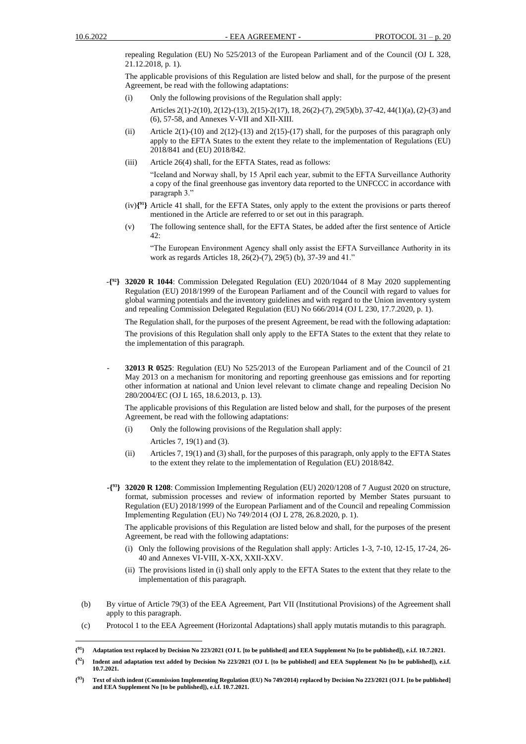repealing Regulation (EU) No 525/2013 of the European Parliament and of the Council (OJ L 328, 21.12.2018, p. 1).

The applicable provisions of this Regulation are listed below and shall, for the purpose of the present Agreement, be read with the following adaptations:

(i) Only the following provisions of the Regulation shall apply:

Articles 2(1)-2(10), 2(12)-(13), 2(15)-2(17), 18, 26(2)-(7), 29(5)(b), 37-42, 44(1)(a), (2)-(3) and (6), 57-58, and Annexes V-VII and XII-XIII.

- (ii) Article  $2(1)-(10)$  and  $2(12)-(13)$  and  $2(15)-(17)$  shall, for the purposes of this paragraph only apply to the EFTA States to the extent they relate to the implementation of Regulations (EU) 2018/841 and (EU) 2018/842.
- (iii) Article 26(4) shall, for the EFTA States, read as follows:

"Iceland and Norway shall, by 15 April each year, submit to the EFTA Surveillance Authority a copy of the final greenhouse gas inventory data reported to the UNFCCC in accordance with paragraph 3."

- (iv)**{ <sup>91</sup>}** Article 41 shall, for the EFTA States, only apply to the extent the provisions or parts thereof mentioned in the Article are referred to or set out in this paragraph.
- (v) The following sentence shall, for the EFTA States, be added after the first sentence of Article 42:

"The European Environment Agency shall only assist the EFTA Surveillance Authority in its work as regards Articles 18, 26(2)-(7), 29(5) (b), 37-39 and 41."

-**{ <sup>92</sup>} 32020 R 1044**: Commission Delegated Regulation (EU) 2020/1044 of 8 May 2020 supplementing Regulation (EU) 2018/1999 of the European Parliament and of the Council with regard to values for global warming potentials and the inventory guidelines and with regard to the Union inventory system and repealing Commission Delegated Regulation (EU) No 666/2014 (OJ L 230, 17.7.2020, p. 1).

The Regulation shall, for the purposes of the present Agreement, be read with the following adaptation: The provisions of this Regulation shall only apply to the EFTA States to the extent that they relate to the implementation of this paragraph.

- **32013 R 0525**: Regulation (EU) No 525/2013 of the European Parliament and of the Council of 21 May 2013 on a mechanism for monitoring and reporting greenhouse gas emissions and for reporting other information at national and Union level relevant to climate change and repealing Decision No 280/2004/EC (OJ L 165, 18.6.2013, p. 13).

The applicable provisions of this Regulation are listed below and shall, for the purposes of the present Agreement, be read with the following adaptations:

- (i) Only the following provisions of the Regulation shall apply: Articles 7, 19(1) and (3).
- (ii) Articles 7, 19(1) and (3) shall, for the purposes of this paragraph, only apply to the EFTA States to the extent they relate to the implementation of Regulation (EU) 2018/842.
- **-{ <sup>93</sup>} 32020 R 1208**: Commission Implementing Regulation (EU) 2020/1208 of 7 August 2020 on structure, format, submission processes and review of information reported by Member States pursuant to Regulation (EU) 2018/1999 of the European Parliament and of the Council and repealing Commission Implementing Regulation (EU) No 749/2014 (OJ L 278, 26.8.2020, p. 1).

The applicable provisions of this Regulation are listed below and shall, for the purposes of the present Agreement, be read with the following adaptations:

- (i) Only the following provisions of the Regulation shall apply: Articles 1-3, 7-10, 12-15, 17-24, 26- 40 and Annexes VI-VIII, X-XX, XXII-XXV.
- (ii) The provisions listed in (i) shall only apply to the EFTA States to the extent that they relate to the implementation of this paragraph.
- (b) By virtue of Article 79(3) of the EEA Agreement, Part VII (Institutional Provisions) of the Agreement shall apply to this paragraph.
- (c) Protocol 1 to the EEA Agreement (Horizontal Adaptations) shall apply mutatis mutandis to this paragraph.

**{ <sup>92</sup>} Indent and adaptation text added by Decision No 223/2021 (OJ L [to be published] and EEA Supplement No [to be published]), e.i.f. 10.7.2021.**

**<sup>{</sup> <sup>91</sup>} Adaptation text replaced by Decision No 223/2021 (OJ L [to be published] and EEA Supplement No [to be published]), e.i.f. 10.7.2021.**

**<sup>{</sup> <sup>93</sup>} Text of sixth indent (Commission Implementing Regulation (EU) No 749/2014) replaced by Decision No 223/2021 (OJ L [to be published] and EEA Supplement No [to be published]), e.i.f. 10.7.2021.**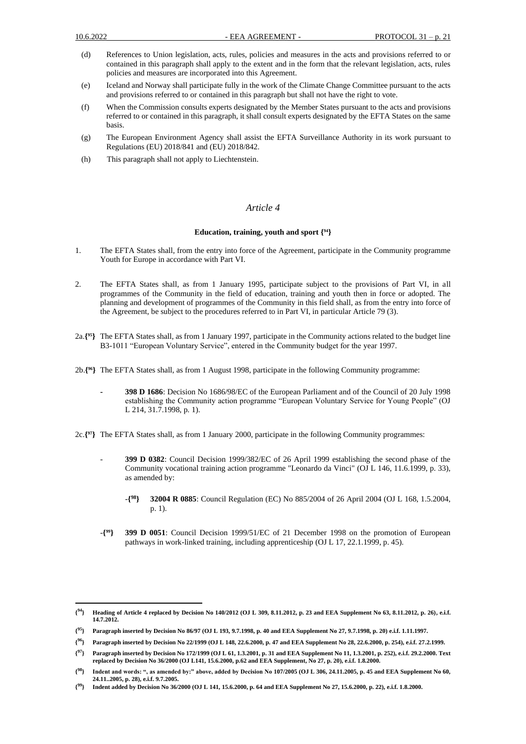- (d) References to Union legislation, acts, rules, policies and measures in the acts and provisions referred to or contained in this paragraph shall apply to the extent and in the form that the relevant legislation, acts, rules policies and measures are incorporated into this Agreement.
- (e) Iceland and Norway shall participate fully in the work of the Climate Change Committee pursuant to the acts and provisions referred to or contained in this paragraph but shall not have the right to vote.
- (f) When the Commission consults experts designated by the Member States pursuant to the acts and provisions referred to or contained in this paragraph, it shall consult experts designated by the EFTA States on the same basis.
- (g) The European Environment Agency shall assist the EFTA Surveillance Authority in its work pursuant to Regulations (EU) 2018/841 and (EU) 2018/842.
- (h) This paragraph shall not apply to Liechtenstein.

### *Article 4*

### **Education, training, youth and sport { 94}**

- 1. The EFTA States shall, from the entry into force of the Agreement, participate in the Community programme Youth for Europe in accordance with Part VI.
- 2. The EFTA States shall, as from 1 January 1995, participate subject to the provisions of Part VI, in all programmes of the Community in the field of education, training and youth then in force or adopted. The planning and development of programmes of the Community in this field shall, as from the entry into force of the Agreement, be subject to the procedures referred to in Part VI, in particular Article 79 (3).
- 2a.**{ <sup>95</sup>}** The EFTA States shall, as from 1 January 1997, participate in the Community actions related to the budget line B3-1011 "European Voluntary Service", entered in the Community budget for the year 1997.
- 2b.**{ <sup>96</sup>}** The EFTA States shall, as from 1 August 1998, participate in the following Community programme:
	- **- 398 D 1686**: Decision No 1686/98/EC of the European Parliament and of the Council of 20 July 1998 establishing the Community action programme "European Voluntary Service for Young People" (OJ L 214, 31.7.1998, p. 1).
- 2c.**{ <sup>97</sup>}** The EFTA States shall, as from 1 January 2000, participate in the following Community programmes:
	- **399 D 0382**: Council Decision 1999/382/EC of 26 April 1999 establishing the second phase of the Community vocational training action programme "Leonardo da Vinci" (OJ L 146, 11.6.1999, p. 33), as amended by:
		- -**{ <sup>98</sup>} 32004 R 0885**: Council Regulation (EC) No 885/2004 of 26 April 2004 (OJ L 168, 1.5.2004, p. 1).
	- -**{ <sup>99</sup>} 399 D 0051**: Council Decision 1999/51/EC of 21 December 1998 on the promotion of European pathways in work-linked training, including apprenticeship (OJ L 17, 22.1.1999, p. 45).

**<sup>{</sup> <sup>94</sup>} Heading of Article 4 replaced by Decision No 140/2012 (OJ L 309, 8.11.2012, p. 23 and EEA Supplement No 63, 8.11.2012, p. 26), e.i.f. 14.7.2012.**

**<sup>{</sup> <sup>95</sup>} Paragraph inserted by Decision No 86/97 (OJ L 193, 9.7.1998, p. 40 and EEA Supplement No 27, 9.7.1998, p. 20) e.i.f. 1.11.1997.**

**<sup>{</sup> <sup>96</sup>} Paragraph inserted by Decision No 22/1999 (OJ L 148, 22.6.2000, p. 47 and EEA Supplement No 28, 22.6.2000, p. 254), e.i.f. 27.2.1999.**

**<sup>{</sup> <sup>97</sup>} Paragraph inserted by Decision No 172/1999 (OJ L 61, 1.3.2001, p. 31 and EEA Supplement No 11, 1.3.2001, p. 252), e.i.f. 29.2.2000. Text replaced by Decision No 36/2000 (OJ L141, 15.6.2000, p.62 and EEA Supplement, No 27, p. 20), e.i.f. 1.8.2000.**

**<sup>{</sup>** <sup>8</sup>} Indent and words: ", as amended by:" above, added by Decision No 107/2005 (OJ L 306, 24.11.2005, p. 45 and EEA Supplement No 60, **24.11..2005, p. 28), e.i.f. 9.7.2005.**

**<sup>{</sup> <sup>99</sup>} Indent added by Decision No 36/2000 (OJ L 141, 15.6.2000, p. 64 and EEA Supplement No 27, 15.6.2000, p. 22), e.i.f. 1.8.2000.**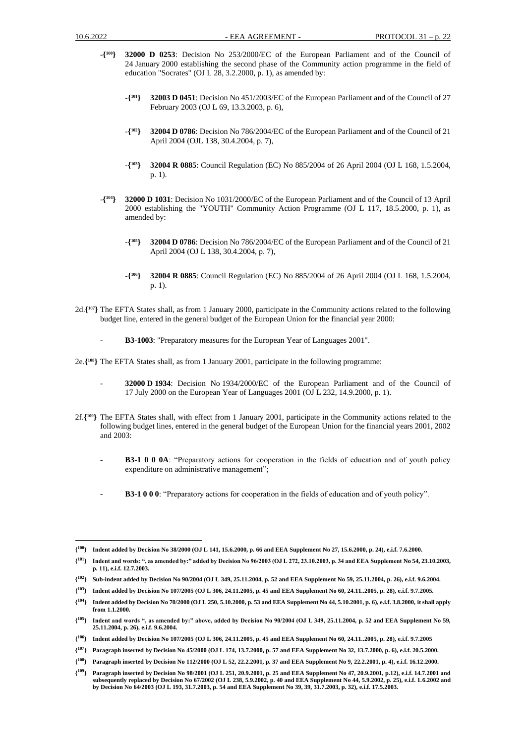- -**{ <sup>100</sup>} 32000 D 0253**: Decision No 253/2000/EC of the European Parliament and of the Council of 24 January 2000 establishing the second phase of the Community action programme in the field of education "Socrates" (OJ L 28, 3.2.2000, p. 1), as amended by:
	- -**{ <sup>101</sup>} 32003 D 0451**: Decision No 451/2003/EC of the European Parliament and of the Council of 27 February 2003 (OJ L 69, 13.3.2003, p. 6),
	- -**{ <sup>102</sup>} 32004 D 0786**: Decision No 786/2004/EC of the European Parliament and of the Council of 21 April 2004 (OJL 138, 30.4.2004, p. 7),
	- $-\{^{103}\}$ **<sup>103</sup>} 32004 R 0885**: Council Regulation (EC) No 885/2004 of 26 April 2004 (OJ L 168, 1.5.2004, p. 1).
- -**{ <sup>104</sup>} 32000 D 1031**: Decision No 1031/2000/EC of the European Parliament and of the Council of 13 April 2000 establishing the "YOUTH" Community Action Programme (OJ L 117, 18.5.2000, p. 1), as amended by:
	- -**{ <sup>105</sup>} 32004 D 0786**: Decision No 786/2004/EC of the European Parliament and of the Council of 21 April 2004 (OJ L 138, 30.4.2004, p. 7),
	- -**{ <sup>106</sup>} 32004 R 0885**: Council Regulation (EC) No 885/2004 of 26 April 2004 (OJ L 168, 1.5.2004, p. 1).
- 2d.**{ <sup>107</sup>}** The EFTA States shall, as from 1 January 2000, participate in the Community actions related to the following budget line, entered in the general budget of the European Union for the financial year 2000:
	- **- B3-1003**: "Preparatory measures for the European Year of Languages 2001".

2e.**{ <sup>108</sup>}** The EFTA States shall, as from 1 January 2001, participate in the following programme:

- **32000 D 1934**: Decision No 1934/2000/EC of the European Parliament and of the Council of 17 July 2000 on the European Year of Languages 2001 (OJ L 232, 14.9.2000, p. 1).
- 2f.**{ <sup>109</sup>}** The EFTA States shall, with effect from 1 January 2001, participate in the Community actions related to the following budget lines, entered in the general budget of the European Union for the financial years 2001, 2002 and 2003:
	- **- B3-1 0 0 0A**: "Preparatory actions for cooperation in the fields of education and of youth policy expenditure on administrative management";
	- **- B3-1 0 0 0**: "Preparatory actions for cooperation in the fields of education and of youth policy".

- **{ <sup>103</sup>} Indent added by Decision No 107/2005 (OJ L 306, 24.11.2005, p. 45 and EEA Supplement No 60, 24.11..2005, p. 28), e.i.f. 9.7.2005.**
- **{ <sup>104</sup>} Indent added by Decision No 70/2000 (OJ L 250, 5.10.2000, p. 53 and EEA Supplement No 44, 5.10.2001, p. 6), e.i.f. 3.8.2000, it shall apply from 1.1.2000.**

**<sup>{</sup> <sup>100</sup>} Indent added by Decision No 38/2000 (OJ L 141, 15.6.2000, p. 66 and EEA Supplement No 27, 15.6.2000, p. 24), e.i.f. 7.6.2000.**

**<sup>{</sup> <sup>101</sup>} Indent and words: ", as amended by:" added by Decision No 96/2003 (OJ L 272, 23.10.2003, p. 34 and EEA Supplement No 54, 23.10.2003, p. 11), e.i.f. 12.7.2003.**

**<sup>{</sup> <sup>102</sup>} Sub-indent added by Decision No 90/2004 (OJ L 349, 25.11.2004, p. 52 and EEA Supplement No 59, 25.11.2004, p. 26), e.i.f. 9.6.2004.**

**<sup>{</sup> <sup>105</sup>} Indent and words ", as amended by:" above, added by Decision No 90/2004 (OJ L 349, 25.11.2004, p. 52 and EEA Supplement No 59, 25.11.2004, p. 26), e.i.f. 9.6.2004.**

**<sup>{</sup> <sup>106</sup>} Indent added by Decision No 107/2005 (OJ L 306, 24.11.2005, p. 45 and EEA Supplement No 60, 24.11..2005, p. 28), e.i.f. 9.7.2005**

**<sup>{</sup> <sup>107</sup>} Paragraph inserted by Decision No 45/2000 (OJ L 174, 13.7.2000, p. 57 and EEA Supplement No 32, 13.7.2000, p. 6), e.i.f. 20.5.2000.**

**<sup>{</sup> <sup>108</sup>} Paragraph inserted by Decision No 112/2000 (OJ L 52, 22.2.2001, p. 37 and EEA Supplement No 9, 22.2.2001, p. 4), e.i.f. 16.12.2000.**

**<sup>{</sup> <sup>109</sup>} Paragraph inserted by Decision No 98/2001 (OJ L 251, 20.9.2001, p. 25 and EEA Supplement No 47, 20.9.2001, p.12), e.i.f. 14.7.2001 and subsequently replaced by Decision No 67/2002 (OJ L 238, 5.9.2002, p. 40 and EEA Supplement No 44, 5.9.2002, p. 25), e.i.f. 1.6.2002 and by Decision No 64/2003 (OJ L 193, 31.7.2003, p. 54 and EEA Supplement No 39, 39, 31.7.2003, p. 32), e.i.f. 17.5.2003.**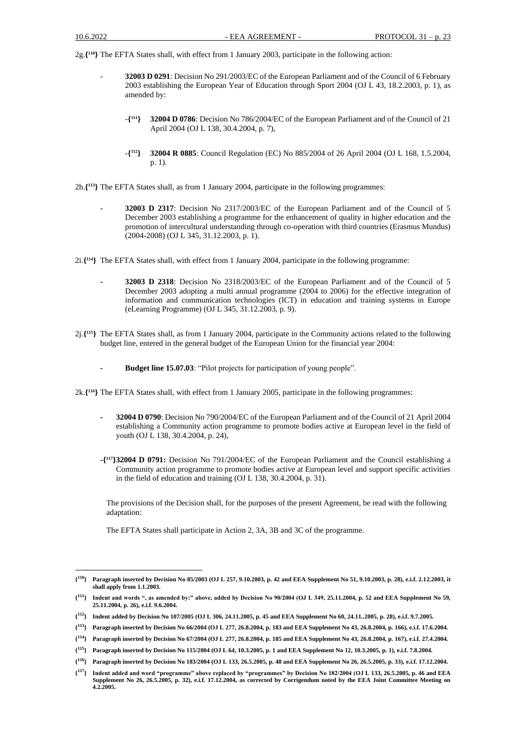2g.**{ <sup>110</sup>}** The EFTA States shall, with effect from 1 January 2003, participate in the following action:

- **32003 D 0291**: Decision No 291/2003/EC of the European Parliament and of the Council of 6 February 2003 establishing the European Year of Education through Sport 2004 (OJ L 43, 18.2.2003, p. 1), as amended by:
	- -**{ <sup>111</sup>} 32004 D 0786**: Decision No 786/2004/EC of the European Parliament and of the Council of 21 April 2004 (OJ L 138, 30.4.2004, p. 7),
	- -**{ <sup>112</sup>} 32004 R 0885**: Council Regulation (EC) No 885/2004 of 26 April 2004 (OJ L 168, 1.5.2004, p. 1).

2h.**{ <sup>113</sup>}** The EFTA States shall, as from 1 January 2004, participate in the following programmes:

- **- 32003 D 2317**: Decision No 2317/2003/EC of the European Parliament and of the Council of 5 December 2003 establishing a programme for the enhancement of quality in higher education and the promotion of intercultural understanding through co-operation with third countries (Erasmus Mundus) (2004-2008) (OJ L 345, 31.12.2003, p. 1).
- 2i.**{ <sup>114</sup>}** The EFTA States shall, with effect from 1 January 2004, participate in the following programme:
	- **- 32003 D 2318**: Decision No 2318/2003/EC of the European Parliament and of the Council of 5 December 2003 adopting a multi annual programme (2004 to 2006) for the effective integration of information and communication technologies (ICT) in education and training systems in Europe (eLearning Programme) (OJ L 345, 31.12.2003, p. 9).
- 2j.**{ <sup>115</sup>}** The EFTA States shall, as from 1 January 2004, participate in the Community actions related to the following budget line, entered in the general budget of the European Union for the financial year 2004:
	- **- Budget line 15.07.03**: "Pilot projects for participation of young people".

2k.**{ <sup>116</sup>}** The EFTA States shall, with effect from 1 January 2005, participate in the following programmes:

- **- 32004 D 0790**: Decision No 790/2004/EC of the European Parliament and of the Council of 21 April 2004 establishing a Community action programme to promote bodies active at European level in the field of youth (OJ L 138, 30.4.2004, p. 24),
- **-{ <sup>117</sup>}32004 D 0791:** Decision No 791/2004/EC of the European Parliament and the Council establishing a Community action programme to promote bodies active at European level and support specific activities in the field of education and training (OJ L 138, 30.4.2004, p. 31).

The provisions of the Decision shall, for the purposes of the present Agreement, be read with the following adaptation:

The EFTA States shall participate in Action 2, 3A, 3B and 3C of the programme.

**<sup>{</sup> <sup>110</sup>} Paragraph inserted by Decision No 85/2003 (OJ L 257, 9.10.2003, p. 42 and EEA Supplement No 51, 9.10.2003, p. 28), e.i.f. 2.12.2003, it shall apply from 1.1.2003.**

**<sup>{</sup> <sup>111</sup>} Indent and words ", as amended by:" above, added by Decision No 90/2004 (OJ L 349, 25.11.2004, p. 52 and EEA Supplement No 59, 25.11.2004, p. 26), e.i.f. 9.6.2004.**

**<sup>{</sup> <sup>112</sup>} Indent added by Decision No 107/2005 (OJ L 306, 24.11.2005, p. 45 and EEA Supplement No 60, 24.11..2005, p. 28), e.i.f. 9.7.2005.**

**<sup>{</sup> <sup>113</sup>} Paragraph inserted by Decision No 66/2004 (OJ L 277, 26.8.2004, p. 183 and EEA Supplement No 43, 26.8.2004, p. 166), e.i.f. 17.6.2004.**

**<sup>{</sup> <sup>114</sup>} Paragraph inserted by Decision No 67/2004 (OJ L 277, 26.8.2004, p. 185 and EEA Supplement No 43, 26.8.2004, p. 167), e.i.f. 27.4.2004.**

**<sup>{</sup> <sup>115</sup>} Paragraph inserted by Decision No 115/2004 (OJ L 64, 10.3.2005, p. 1 and EEA Supplement No 12, 10.3.2005, p. 1), e.i.f. 7.8.2004.**

**<sup>{</sup> <sup>116</sup>} Paragraph inserted by Decision No 183/2004 (OJ L 133, 26.5.2005, p. 48 and EEA Supplement No 26, 26.5.2005, p. 33), e.i.f. 17.12.2004.**

**<sup>{</sup> <sup>117</sup>} Indent added and word "programme" above replaced by "programmes" by Decision No 182/2004 (OJ L 133, 26.5.2005, p. 46 and EEA Supplement No 26, 26.5.2005, p. 32), e.i.f. 17.12.2004, as corrected by Corrigendum noted by the EEA Joint Committee Meeting on 4.2.2005.**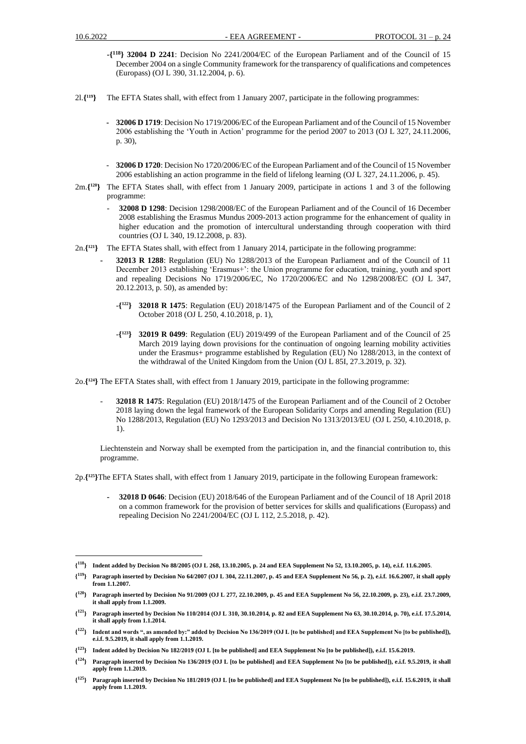- **-{ <sup>118</sup>} 32004 D 2241**: Decision No 2241/2004/EC of the European Parliament and of the Council of 15 December 2004 on a single Community framework for the transparency of qualifications and competences (Europass) (OJ L 390, 31.12.2004, p. 6).
- 2l.**{ <sup>119</sup>}** The EFTA States shall, with effect from 1 January 2007, participate in the following programmes:
	- **- 32006 D 1719**: Decision No 1719/2006/EC of the European Parliament and of the Council of 15 November 2006 establishing the 'Youth in Action' programme for the period 2007 to 2013 (OJ L 327, 24.11.2006, p. 30),
	- **32006 D 1720**: Decision No 1720/2006/EC of the European Parliament and of the Council of 15 November 2006 establishing an action programme in the field of lifelong learning (OJ L 327, 24.11.2006, p. 45).
- 2m.**{ <sup>120</sup>}** The EFTA States shall, with effect from 1 January 2009, participate in actions 1 and 3 of the following programme:
	- **32008 D 1298**: Decision 1298/2008/EC of the European Parliament and of the Council of 16 December 2008 establishing the Erasmus Mundus 2009-2013 action programme for the enhancement of quality in higher education and the promotion of intercultural understanding through cooperation with third countries (OJ L 340, 19.12.2008, p. 83).
- 2n.**{ <sup>121</sup>}** The EFTA States shall, with effect from 1 January 2014, participate in the following programme:
	- **- 32013 R 1288**: Regulation (EU) No 1288/2013 of the European Parliament and of the Council of 11 December 2013 establishing 'Erasmus+': the Union programme for education, training, youth and sport and repealing Decisions No 1719/2006/EC, No 1720/2006/EC and No 1298/2008/EC (OJ L 347, 20.12.2013, p. 50), as amended by:
		- -**{ <sup>122</sup>} 32018 R 1475**: Regulation (EU) 2018/1475 of the European Parliament and of the Council of 2 October 2018 (OJ L 250, 4.10.2018, p. 1),
		- -**{ <sup>123</sup>} 32019 R 0499**: Regulation (EU) 2019/499 of the European Parliament and of the Council of 25 March 2019 laying down provisions for the continuation of ongoing learning mobility activities under the Erasmus+ programme established by Regulation (EU) No 1288/2013, in the context of the withdrawal of the United Kingdom from the Union (OJ L 85I, 27.3.2019, p. 32).

2o.**{ <sup>124</sup>}** The EFTA States shall, with effect from 1 January 2019, participate in the following programme:

- **32018 R 1475**: Regulation (EU) 2018/1475 of the European Parliament and of the Council of 2 October 2018 laying down the legal framework of the European Solidarity Corps and amending Regulation (EU) No 1288/2013, Regulation (EU) No 1293/2013 and Decision No 1313/2013/EU (OJ L 250, 4.10.2018, p. 1).

Liechtenstein and Norway shall be exempted from the participation in, and the financial contribution to, this programme.

2p.**{ <sup>125</sup>}**The EFTA States shall, with effect from 1 January 2019, participate in the following European framework:

**- 32018 D 0646**: Decision (EU) 2018/646 of the European Parliament and of the Council of 18 April 2018 on a common framework for the provision of better services for skills and qualifications (Europass) and repealing Decision No 2241/2004/EC (OJ L 112, 2.5.2018, p. 42).

**{ <sup>119</sup>} Paragraph inserted by Decision No 64/2007 (OJ L 304, 22.11.2007, p. 45 and EEA Supplement No 56, p. 2), e.i.f. 16.6.2007, it shall apply from 1.1.2007.**

**<sup>{</sup> <sup>118</sup>} Indent added by Decision No 88/2005 (OJ L 268, 13.10.2005, p. 24 and EEA Supplement No 52, 13.10.2005, p. 14), e.i.f. 11.6.2005**.

**<sup>{</sup> <sup>120</sup>} Paragraph inserted by Decision No 91/2009 (OJ L 277, 22.10.2009, p. 45 and EEA Supplement No 56, 22.10.2009, p. 23), e.i.f. 23.7.2009, it shall apply from 1.1.2009.**

**<sup>{</sup> <sup>121</sup>} Paragraph inserted by Decision No 110/2014 (OJ L 310, 30.10.2014, p. 82 and EEA Supplement No 63, 30.10.2014, p. 70), e.i.f. 17.5.2014, it shall apply from 1.1.2014.**

**<sup>{</sup> <sup>122</sup>} Indent and words ", as amended by:" added by Decision No 136/2019 (OJ L [to be published] and EEA Supplement No [to be published]), e.i.f. 9.5.2019, it shall apply from 1.1.2019.**

**<sup>{</sup> <sup>123</sup>} Indent added by Decision No 182/2019 (OJ L [to be published] and EEA Supplement No [to be published]), e.i.f. 15.6.2019.**

**<sup>{</sup> <sup>124</sup>} Paragraph inserted by Decision No 136/2019 (OJ L [to be published] and EEA Supplement No [to be published]), e.i.f. 9.5.2019, it shall apply from 1.1.2019.**

 $\{^{125}\}$ **<sup>125</sup>} Paragraph inserted by Decision No 181/2019 (OJ L [to be published] and EEA Supplement No [to be published]), e.i.f. 15.6.2019, it shall apply from 1.1.2019.**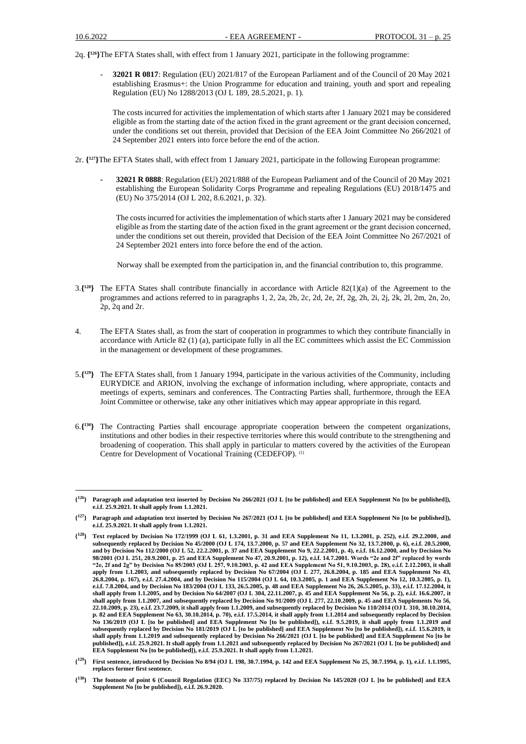2q. **{ <sup>126</sup>}**The EFTA States shall, with effect from 1 January 2021, participate in the following programme:

- **32021 R 0817**: Regulation (EU) 2021/817 of the European Parliament and of the Council of 20 May 2021 establishing Erasmus+: the Union Programme for education and training, youth and sport and repealing Regulation (EU) No 1288/2013 (OJ L 189, 28.5.2021, p. 1).

The costs incurred for activities the implementation of which starts after 1 January 2021 may be considered eligible as from the starting date of the action fixed in the grant agreement or the grаnt decision concerned, under the conditions set out therein, provided that Decision of the EEA Joint Committee No 266/2021 of 24 September 2021 enters into force before the end of the action.

2r. **{ <sup>127</sup>}**The EFTA States shall, with effect from 1 January 2021, participate in the following European programme:

**- 32021 R 0888**: Regulation (EU) 2021/888 of the European Parliament and of the Council of 20 May 2021 establishing the European Solidarity Corps Programme and repealing Regulations (EU) 2018/1475 and (EU) No 375/2014 (OJ L 202, 8.6.2021, p. 32).

The costs incurred for activities the implementation of which starts after 1 January 2021 may be considered eligible as from the starting date of the action fixed in the grant agreement or the grаnt decision concerned, under the conditions set out therein, provided that Decision of the EEA Joint Committee No 267/2021 of 24 September 2021 enters into force before the end of the action.

Norway shall be exempted from the participation in, and the financial contribution to, this programme.

- 3.**{ <sup>128</sup>}** The EFTA States shall contribute financially in accordance with Article 82(1)(a) of the Agreement to the programmes and actions referred to in paragraphs 1, 2, 2a, 2b, 2c, 2d, 2e, 2f, 2g, 2h, 2i, 2j, 2k, 2l, 2m, 2n, 2o, 2p, 2q and 2r.
- 4. The EFTA States shall, as from the start of cooperation in programmes to which they contribute financially in accordance with Article 82 (1) (a), participate fully in all the EC committees which assist the EC Commission in the management or development of these programmes.
- 5.**{ <sup>129</sup>}** The EFTA States shall, from 1 January 1994, participate in the various activities of the Community, including EURYDICE and ARION, involving the exchange of information including, where appropriate, contacts and meetings of experts, seminars and conferences. The Contracting Parties shall, furthermore, through the EEA Joint Committee or otherwise, take any other initiatives which may appear appropriate in this regard.
- 6.**{ <sup>130</sup>}** The Contracting Parties shall encourage appropriate cooperation between the competent organizations, institutions and other bodies in their respective territories where this would contribute to the strengthening and broadening of cooperation. This shall apply in particular to matters covered by the activities of the European Centre for Development of Vocational Training (CEDEFOP). (1)

**<sup>{</sup> <sup>126</sup>} Paragraph and adaptation text inserted by Decision No 266/2021 (OJ L [to be published] and EEA Supplement No [to be published]), e.i.f. 25.9.2021. It shall apply from 1.1.2021.**

**<sup>{</sup> <sup>127</sup>} Paragraph and adaptation text inserted by Decision No 267/2021 (OJ L [to be published] and EEA Supplement No [to be published]), e.i.f. 25.9.2021. It shall apply from 1.1.2021.**

**<sup>{</sup> <sup>128</sup>} Text replaced by Decision No 172/1999 (OJ L 61, 1.3.2001, p. 31 and EEA Supplement No 11, 1.3.2001, p. 252), e.i.f. 29.2.2000, and subsequently replaced by Decision No 45/2000 (OJ L 174, 13.7.2000, p. 57 and EEA Supplement No 32, 13.7.2000, p. 6), e.i.f. 20.5.2000, and by Decision No 112/2000 (OJ L 52, 22.2.2001, p. 37 and EEA Supplement No 9, 22.2.2001, p. 4), e.i.f. 16.12.2000, and by Decision No 98/2001 (OJ L 251, 20.9.2001, p. 25 and EEA Supplement No 47, 20.9.2001, p. 12), e.i.f. 14.7.2001. Words "2e and 2f" replaced by words "2e, 2f and 2g" by Decision No 85/2003 (OJ L 257, 9.10.2003, p. 42 and EEA Supplement No 51, 9.10.2003, p. 28), e.i.f. 2.12.2003, it shall apply from 1.1.2003, and subsequently replaced by Decision No 67/2004 (OJ L 277, 26.8.2004, p. 185 and EEA Supplement No 43, 26.8.2004, p. 167), e.i.f. 27.4.2004, and by Decision No 115/2004 (OJ L 64, 10.3.2005, p. 1 and EEA Supplement No 12, 10.3.2005, p. 1), e.i.f. 7.8.2004, and by Decision No 183/2004 (OJ L 133, 26.5.2005, p. 48 and EEA Supplement No 26, 26.5.2005, p. 33), e.i.f. 17.12.2004, it shall apply from 1.1.2005, and by Decision No 64/2007 (OJ L 304, 22.11.2007, p. 45 and EEA Supplement No 56, p. 2), e.i.f. 16.6.2007, it shall apply from 1.1.2007, and subsequently replaced by Decision No 91/2009 (OJ L 277, 22.10.2009, p. 45 and EEA Supplements No 56, 22.10.2009, p. 23), e.i.f. 23.7.2009, it shall apply from 1.1.2009, and subsequently replaced by Decision No 110/2014 (OJ L 310, 30.10.2014, p. 82 and EEA Supplement No 63, 30.10.2014, p. 70), e.i.f. 17.5.2014, it shall apply from 1.1.2014 and subsequently replaced by Decision No 136/2019 (OJ L [to be published] and EEA Supplement No [to be published]), e.i.f. 9.5.2019, it shall apply from 1.1.2019 and subsequently replaced by Decision No 181/2019 (OJ L [to be published] and EEA Supplement No [to be published]), e.i.f. 15.6.2019, it shall apply from 1.1.2019 and subsequently replaced by Decision No 266/2021 (OJ L [to be published] and EEA Supplement No [to be published]), e.i.f. 25.9.2021. It shall apply from 1.1.2021 and subsequently replaced by Decision No 267/2021 (OJ L [to be published] and EEA Supplement No [to be published]), e.i.f. 25.9.2021. It shall apply from 1.1.2021.**

**<sup>{</sup> <sup>129</sup>} First sentence, introduced by Decision No 8/94 (OJ L 198, 30.7.1994, p. 142 and EEA Supplement No 25, 30.7.1994, p. 1), e.i.f. 1.1.1995, replaces former first sentence.**

**<sup>{</sup> <sup>130</sup>} The footnote of point 6 (Council Regulation (EEC) No 337/75) replaced by Decision No 145/2020 (OJ L [to be published] and EEA Supplement No [to be published]), e.i.f. 26.9.2020.**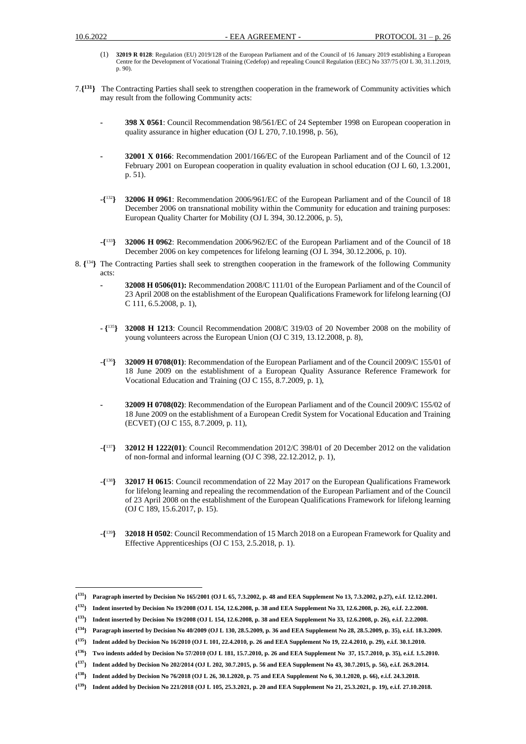- (1) **32019 R 0128**: Regulation (EU) 2019/128 of the European Parliament and of the Council of 16 January 2019 establishing a European Centre for the Development of Vocational Training (Cedefop) and repealing Council Regulation (EEC) No 337/75 (OJ L 30, 31.1.2019, p. 90).
- 7.**{ <sup>131</sup>}** The Contracting Parties shall seek to strengthen cooperation in the framework of Community activities which may result from the following Community acts:
	- **- 398 X 0561**: Council Recommendation 98/561/EC of 24 September 1998 on European cooperation in quality assurance in higher education (OJ L 270, 7.10.1998, p. 56),
	- **- 32001 X 0166**: Recommendation 2001/166/EC of the European Parliament and of the Council of 12 February 2001 on European cooperation in quality evaluation in school education (OJ L 60, 1.3.2001, p. 51).
	- **-{** <sup>132</sup>**} 32006 H 0961**: Recommendation 2006/961/EC of the European Parliament and of the Council of 18 December 2006 on transnational mobility within the Community for education and training purposes: European Quality Charter for Mobility (OJ L 394, 30.12.2006, p. 5),
	- **-{** <sup>133</sup>**} 32006 H 0962**: Recommendation 2006/962/EC of the European Parliament and of the Council of 18 December 2006 on key competences for lifelong learning (OJ L 394, 30.12.2006, p. 10).
- 8. **{** <sup>134</sup>**}** The Contracting Parties shall seek to strengthen cooperation in the framework of the following Community acts:
	- **- 32008 H 0506(01):** Recommendation 2008/C 111/01 of the European Parliament and of the Council of 23 April 2008 on the establishment of the European Qualifications Framework for lifelong learning (OJ C 111, 6.5.2008, p. 1),
	- **- {** <sup>135</sup>**} 32008 H 1213**: Council Recommendation 2008/C 319/03 of 20 November 2008 on the mobility of young volunteers across the European Union (OJ C 319, 13.12.2008, p. 8),
	- *-***{** <sup>136</sup>**} 32009 H 0708(01)**: Recommendation of the European Parliament and of the Council 2009/C 155/01 of 18 June 2009 on the establishment of a European Quality Assurance Reference Framework for Vocational Education and Training (OJ C 155, 8.7.2009, p. 1),
	- **- 32009 H 0708(02)**: Recommendation of the European Parliament and of the Council 2009/C 155/02 of 18 June 2009 on the establishment of a European Credit System for Vocational Education and Training (ECVET) (OJ C 155, 8.7.2009, p. 11),
	- $-\{^{137}\}$ <sup>137</sup>**} 32012 H 1222(01)**: Council Recommendation 2012/C 398/01 of 20 December 2012 on the validation of non-formal and informal learning (OJ C 398, 22.12.2012, p. 1),
	- -**{** <sup>138</sup>**} 32017 H 0615**: Council recommendation of 22 May 2017 on the European Qualifications Framework for lifelong learning and repealing the recommendation of the European Parliament and of the Council of 23 April 2008 on the establishment of the European Qualifications Framework for lifelong learning (OJ C 189, 15.6.2017, p. 15).
	- -**{** <sup>139</sup>**} 32018 H 0502**: Council Recommendation of 15 March 2018 on a European Framework for Quality and Effective Apprenticeships (OJ C 153, 2.5.2018, p. 1).

**<sup>{</sup> <sup>131</sup>} Paragraph inserted by Decision No 165/2001 (OJ L 65, 7.3.2002, p. 48 and EEA Supplement No 13, 7.3.2002, p.27), e.i.f. 12.12.2001.** 

**<sup>{</sup> <sup>132</sup>} Indent inserted by Decision No 19/2008 (OJ L 154, 12.6.2008, p. 38 and EEA Supplement No 33, 12.6.2008, p. 26), e.i.f. 2.2.2008.**

**<sup>{</sup> <sup>133</sup>} Indent inserted by Decision No 19/2008 (OJ L 154, 12.6.2008, p. 38 and EEA Supplement No 33, 12.6.2008, p. 26), e.i.f. 2.2.2008.**

**<sup>{</sup> <sup>134</sup>} Paragraph inserted by Decision No 40/2009 (OJ L 130, 28.5.2009, p. 36 and EEA Supplement No 28, 28.5.2009, p. 35), e.i.f. 18.3.2009.**

**<sup>{</sup> <sup>135</sup>} Indent added by Decision No 16/2010 (OJ L 101, 22.4.2010, p. 26 and EEA Supplement No 19, 22.4.2010, p. 29), e.i.f. 30.1.2010.**

**<sup>{</sup> <sup>136</sup>} Two indents added by Decision No 57/2010 (OJ L 181, 15.7.2010, p. 26 and EEA Supplement No 37, 15.7.2010, p. 35), e.i.f. 1.5.2010.**

**<sup>{</sup> <sup>137</sup>} Indent added by Decision No 202/2014 (OJ L 202, 30.7.2015, p. 56 and EEA Supplement No 43, 30.7.2015, p. 56), e.i.f. 26.9.2014.**

**<sup>{</sup> <sup>138</sup>} Indent added by Decision No 76/2018 (OJ L 26, 30.1.2020, p. 75 and EEA Supplement No 6, 30.1.2020, p. 66), e.i.f. 24.3.2018.**

**<sup>{</sup> <sup>139</sup>} Indent added by Decision No 221/2018 (OJ L 105, 25.3.2021, p. 20 and EEA Supplement No 21, 25.3.2021, p. 19), e.i.f. 27.10.2018.**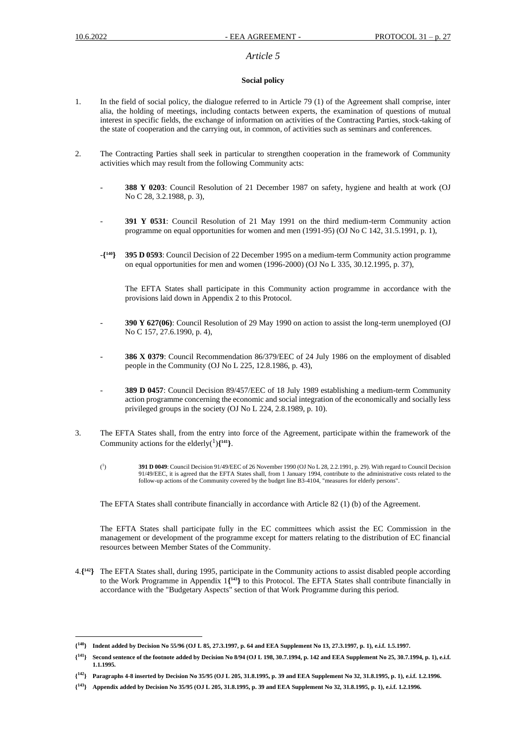### *Article 5*

### **Social policy**

- 1. In the field of social policy, the dialogue referred to in Article 79 (1) of the Agreement shall comprise, inter alia, the holding of meetings, including contacts between experts, the examination of questions of mutual interest in specific fields, the exchange of information on activities of the Contracting Parties, stock-taking of the state of cooperation and the carrying out, in common, of activities such as seminars and conferences.
- 2. The Contracting Parties shall seek in particular to strengthen cooperation in the framework of Community activities which may result from the following Community acts:
	- **388 Y 0203**: Council Resolution of 21 December 1987 on safety, hygiene and health at work (OJ No C 28, 3.2.1988, p. 3),
	- **391 Y 0531**: Council Resolution of 21 May 1991 on the third medium-term Community action programme on equal opportunities for women and men (1991-95) (OJ No C 142, 31.5.1991, p. 1),
	- -**{ <sup>140</sup>} 395 D 0593**: Council Decision of 22 December 1995 on a medium-term Community action programme on equal opportunities for men and women (1996-2000) (OJ No L 335, 30.12.1995, p. 37),

The EFTA States shall participate in this Community action programme in accordance with the provisions laid down in Appendix 2 to this Protocol.

- **390 Y 627(06)**: Council Resolution of 29 May 1990 on action to assist the long-term unemployed (OJ No C 157, 27.6.1990, p. 4),
- **386 X 0379**: Council Recommendation 86/379/EEC of 24 July 1986 on the employment of disabled people in the Community (OJ No L 225, 12.8.1986, p. 43),
- **389 D 0457**: Council Decision 89/457/EEC of 18 July 1989 establishing a medium-term Community action programme concerning the economic and social integration of the economically and socially less privileged groups in the society (OJ No L 224, 2.8.1989, p. 10).
- 3. The EFTA States shall, from the entry into force of the Agreement, participate within the framework of the Community actions for the elderly( $\frac{1}{1}$ ){ $\frac{141}{14}$ }.
	- $(^{1}$ ) **391 D 0049**: Council Decision 91/49/EEC of 26 November 1990 (OJ No L 28, 2.2.1991, p. 29). With regard to Council Decision 91/49/EEC, it is agreed that the EFTA States shall, from 1 January 1994, contribute to the administrative costs related to the follow-up actions of the Community covered by the budget line B3-4104, "measures for elderly persons".

The EFTA States shall contribute financially in accordance with Article 82 (1) (b) of the Agreement.

The EFTA States shall participate fully in the EC committees which assist the EC Commission in the management or development of the programme except for matters relating to the distribution of EC financial resources between Member States of the Community.

4.**{ <sup>142</sup>}** The EFTA States shall, during 1995, participate in the Community actions to assist disabled people according to the Work Programme in Appendix 1**{ <sup>143</sup>}** to this Protocol. The EFTA States shall contribute financially in accordance with the "Budgetary Aspects" section of that Work Programme during this period.

**<sup>{</sup> <sup>140</sup>} Indent added by Decision No 55/96 (OJ L 85, 27.3.1997, p. 64 and EEA Supplement No 13, 27.3.1997, p. 1), e.i.f. 1.5.1997.**

**<sup>{</sup> <sup>141</sup>} Second sentence of the footnote added by Decision No 8/94 (OJ L 198, 30.7.1994, p. 142 and EEA Supplement No 25, 30.7.1994, p. 1), e.i.f. 1.1.1995.**

**<sup>{</sup> <sup>142</sup>} Paragraphs 4-8 inserted by Decision No 35/95 (OJ L 205, 31.8.1995, p. 39 and EEA Supplement No 32, 31.8.1995, p. 1), e.i.f. 1.2.1996.**

**<sup>{</sup> <sup>143</sup>} Appendix added by Decision No 35/95 (OJ L 205, 31.8.1995, p. 39 and EEA Supplement No 32, 31.8.1995, p. 1), e.i.f. 1.2.1996.**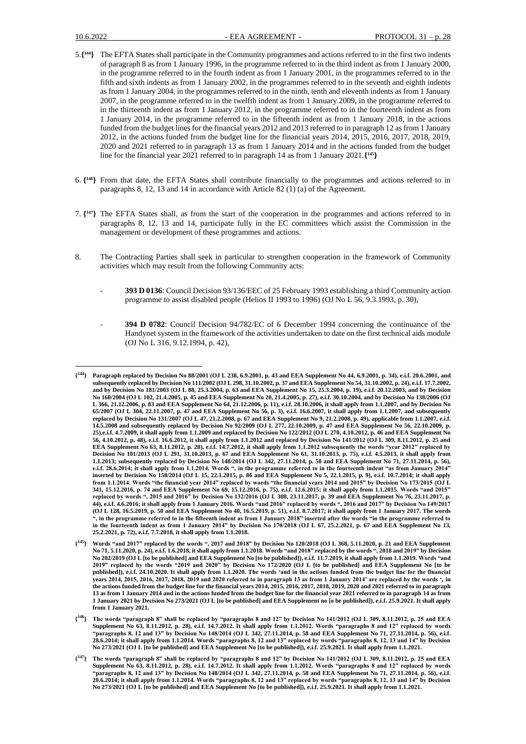- 5.**{ <sup>144</sup>}** The EFTA States shall participate in the Community programmes and actions referred to in the first two indents of paragraph 8 as from 1 January 1996, in the programme referred to in the third indent as from 1 January 2000, in the programme referred to in the fourth indent as from 1 January 2001, in the programmes referred to in the fifth and sixth indents as from 1 January 2002, in the programmes referred to in the seventh and eighth indents as from 1 January 2004, in the programmes referred to in the ninth, tenth and eleventh indents as from 1 January 2007, in the programme referred to in the twelfth indent as from 1 January 2009, in the programme referred to in the thirteenth indent as from 1 January 2012, in the programme referred to in the fourteenth indent as from 1 January 2014, in the programme referred to in the fifteenth indent as from 1 January 2018, in the actions funded from the budget lines for the financial years 2012 and 2013 referred to in paragraph 12 as from 1 January 2012, in the actions funded from the budget line for the financial years 2014, 2015, 2016, 2017, 2018, 2019, 2020 and 2021 referred to in paragraph 13 as from 1 January 2014 and in the actions funded from the budget line for the financial year 2021 referred to in paragraph 14 as from 1 January 2021.**{ <sup>145</sup>}**
- 6. **{ <sup>146</sup>}** From that date, the EFTA States shall contribute financially to the programmes and actions referred to in paragraphs 8, 12, 13 and 14 in accordance with Article 82 (1) (a) of the Agreement.
- 7. **{ <sup>147</sup>}** The EFTA States shall, as from the start of the cooperation in the programmes and actions referred to in paragraphs 8, 12, 13 and 14, participate fully in the EC committees which assist the Commission in the management or development of these programmes and actions.
- 8. The Contracting Parties shall seek in particular to strengthen cooperation in the framework of Community activities which may result from the following Community acts:
	- **393 D 0136**: Council Decision 93/136/EEC of 25 February 1993 establishing a third Community action programme to assist disabled people (Helios II 1993 to 1996) (OJ No L 56, 9.3.1993, p. 30),
	- **394 D 0782**: Council Decision 94/782/EC of 6 December 1994 concerning the continuance of the Handynet system in the framework of the activities undertaken to date on the first technical aids module (OJ No L 316, 9.12.1994, p. 42),

**<sup>{</sup> <sup>144</sup>} Paragraph replaced by Decision No 88/2001 (OJ L 238, 6.9.2001, p. 43 and EEA Supplement No 44, 6.9.2001, p. 34), e.i.f. 20.6.2001, and subsequently replaced by Decision No 111/2002 (OJ L 298, 31.10.2002, p. 37 and EEA Supplement No 54, 31.10.2002, p. 24), e.i.f. 17.7.2002, and by Decision No 181/2003 (OJ L 88, 25.3.2004, p. 63 and EEA Supplement No 15, 25.3.2004, p. 19), e.i.f. 20.12.2003, and by Decision No 160/2004 (OJ L 102, 21.4.2005, p. 45 and EEA Supplement No 20, 21.4.2005, p. 27), e.i.f. 30.10.2004, and by Decision No 138/2006 (OJ L 366, 21.12.2006, p. 83 and EEA Supplement No 64, 21.12.2006, p. 11), e.i.f. 28.10.2006, it shall apply from 1.1.2007, and by Decision No 65/2007 (OJ L 304, 22.11.2007, p. 47 and EEA Supplement No 56, p. 3), e.i.f. 16.6.2007, it shall apply from 1.1.2007, and subsequently replaced by Decision No 131/2007 (OJ L 47, 21.2.2008, p. 67 and EEA Supplement No 9, 21.2.2008, p. 49), applicable from 1.1.2007, e.i.f. 14.5.2008 and subsequently replaced by Decision No 92/2009 (OJ L 277, 22.10.2009, p. 47 and EEA Supplement No 56, 22.10.2009, p. 25),e.i.f. 4.7.2009, it shall apply from 1.1.2009 and replaced by Decision No 122/2012 (OJ L 270, 4.10.2012, p. 46 and EEA Supplement No 56, 4.10.2012, p. 48), e.i.f. 16.6.2012, it shall apply from 1.1.2012 and replaced by Decision No 141/2012 (OJ L 309, 8.11.2012, p. 25 and EEA Supplement No 63, 8.11.2012, p. 28), e.i.f. 14.7.2012, it shall apply from 1.1.2012 subsequently the words "year 2012" replaced by Decision No 101/2013 (OJ L 291, 31.10.2013, p. 67 and EEA Supplement No 61, 31.10.2013, p. 75), e.i.f. 4.5.2013, it shall apply from 1.1.2013; subsequently replaced by Decision No 148/2014 (OJ L 342, 27.11.2014, p. 58 and EEA Supplement No 71, 27.11.2014, p. 56), e.i.f. 28.6.2014; it shall apply from 1.1.2014. Words ", in the programme referred to in the fourteenth indent "as from January 2014" inserted by Decision No 158/2014 (OJ L 15, 22.1.2015, p. 86 and EEA Supplement No 5, 22.1.2015, p. 9), e.i.f. 10.7.2014; it shall apply from 1.1.2014. Words "the financial year 2014" replaced by words "the financial years 2014 and 2015" by Decision No 173/2015 (OJ L 341, 15.12.2016, p. 74 and EEA Supplement No 69, 15.12.2016, p. 75), e.i.f. 12.6.2015; it shall apply from 1.1.2015. Words "and 2015" replaced by words ", 2015 and 2016" by Decision No 132/2016 (OJ L 308, 23.11.2017, p. 39 and EEA Supplement No 76, 23.11.2017, p. 44), e.i.f. 4.6.2016; it shall apply from 1 January 2016. Words "and 2016" replaced by words ", 2016 and 2017" by Decision No 149/2017 (OJ L 128, 16.5.2019, p. 50 and EEA Supplement No 40, 16.5.2019, p. 51), e.i.f. 8.7.2017; it shall apply from 1 January 2017. The words ", in the programme referred to in the fifteenth indent as from 1 January 2018" inserted after the words "in the programme referred to in the fourteenth indent as from 1 January 2014" by Decision No 170/2018 (OJ L 67, 25.2.2021, p. 67 and EEA Supplement No 13, 25.2.2021, p. 72), e.i.f. 7.7.2018, it shall apply from 1.1.2018.**

**<sup>{</sup> <sup>145</sup>} Words "and 2017" replaced by the words ", 2017 and 2018" by Decision No 120/2018 (OJ L 368, 5.11.2020, p. 21 and EEA Supplement No 71, 5.11.2020, p. 24), e.i.f. 1.6.2018, it shall apply from 1.1.2018. Words "and 2018" replaced by the words ", 2018 and 2019" by Decision No 202/2019 (OJ L [to be published] and EEA Supplement No [to be published]), e.i.f. 11.7.2019, it shall apply from 1.1.2019. Words "and 2019" replaced by the words "2019 and 2020" by Decision No 172/2020 (OJ L [to be published] and EEA Supplement No [to be published]), e.i.f. 24.10.2020. It shall apply from 1.1.2020. The words 'and in the actions funded from the budget line for the financial years 2014, 2015, 2016, 2017, 2018, 2019 and 2020 referred to in paragraph 13 as from 1 January 2014' are replaced by the words ', in the actions funded from the budget line for the financial years 2014, 2015, 2016, 2017, 2018, 2019, 2020 and 2021 referred to in paragraph 13 as from 1 January 2014 and in the actions funded from the budget line for the financial year 2021 referred to in paragraph 14 as from 1 January 2021 by Decision No 273/2021 (OJ L [to be published] and EEA Supplement no [o be published]), e.i.f. 25.9.2021. It shall apply from 1 January 2021.**

**<sup>{</sup> <sup>146</sup>} The words "paragraph 8" shall be replaced by "paragraphs 8 and 12" by Decision No 141/2012 (OJ L 309, 8.11.2012, p. 25 and EEA Supplement No 63, 8.11.2012, p. 28), e.i.f. 14.7.2012. It shall apply from 1.1.2012. Words "paragraphs 8 and 12" replaced by words "paragraphs 8, 12 and 13" by Decision No 148/2014 (OJ L 342, 27.11.2014, p. 58 and EEA Supplement No 71, 27.11.2014, p. 56), e.i.f. 28.6.2014; it shall apply from 1.1.2014. Words "paragraphs 8, 12 and 13" replaced by words "paragraphs 8, 12, 13 and 14" by Decision No 273/2021 (OJ L [to be published] and EEA Supplement No [to be published]), e.i.f. 25.9.2021. It shall apply from 1.1.2021.**

**<sup>{</sup> <sup>147</sup>} The words "paragraph 8" shall be replaced by "paragraphs 8 and 12" by Decision No 141/2012 (OJ L 309, 8.11.2012, p. 25 and EEA Supplement No 63, 8.11.2012, p. 28), e.i.f. 14.7.2012. It shall apply from 1.1.2012. Words "paragraphs 8 and 12" replaced by words "paragraphs 8, 12 and 13" by Decision No 148/2014 (OJ L 342, 27.11.2014, p. 58 and EEA Supplement No 71, 27.11.2014, p. 56), e.i.f. 28.6.2014; it shall apply from 1.1.2014. Words "paragraphs 8, 12 and 13" replaced by words "paragraphs 8, 12, 13 and 14" by Decision No 273/2021 (OJ L [to be published] and EEA Supplement No [to be published]), e.i.f. 25.9.2021. It shall apply from 1.1.2021.**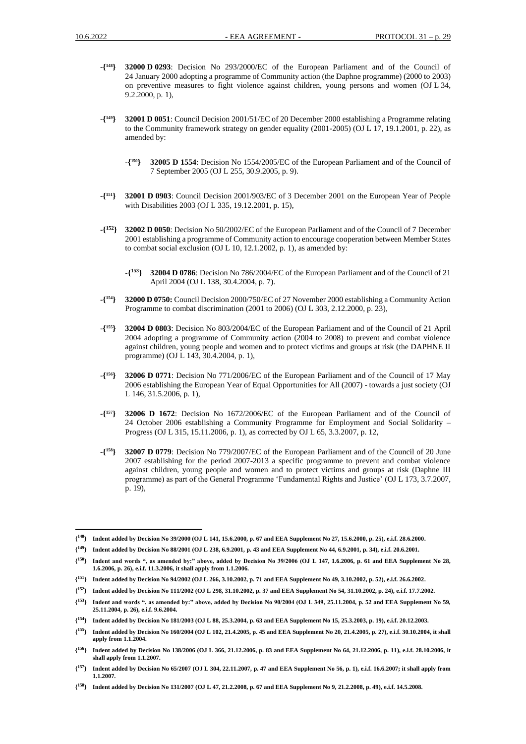- -**{ <sup>148</sup>} 32000 D 0293**: Decision No 293/2000/EC of the European Parliament and of the Council of 24 January 2000 adopting a programme of Community action (the Daphne programme) (2000 to 2003) on preventive measures to fight violence against children, young persons and women (OJ L 34, 9.2.2000, p. 1),
- $-\binom{149}{ }$ **<sup>149</sup>} 32001 D 0051**: Council Decision 2001/51/EC of 20 December 2000 establishing a Programme relating to the Community framework strategy on gender equality (2001-2005) (OJ L 17, 19.1.2001, p. 22), as amended by:
	- -**{ <sup>150</sup>} 32005 D 1554**: Decision No 1554/2005/EC of the European Parliament and of the Council of 7 September 2005 (OJ L 255, 30.9.2005, p. 9).
- -**{ <sup>151</sup>} 32001 D 0903**: Council Decision 2001/903/EC of 3 December 2001 on the European Year of People with Disabilities 2003 (OJ L 335, 19.12.2001, p. 15),
- -**{ <sup>152</sup>} 32002 D 0050**: Decision No 50/2002/EC of the European Parliament and of the Council of 7 December 2001 establishing a programme of Community action to encourage cooperation between Member States to combat social exclusion (OJ L 10, 12.1.2002, p. 1), as amended by:
	- -**{ <sup>153</sup>} 32004 D 0786**: Decision No 786/2004/EC of the European Parliament and of the Council of 21 April 2004 (OJ L 138, 30.4.2004, p. 7).
- -**{ <sup>154</sup>} 32000 D 0750:** Council Decision 2000/750/EC of 27 November 2000 establishing a Community Action Programme to combat discrimination (2001 to 2006) (OJ L 303, 2.12.2000, p. 23),
- -**{ <sup>155</sup>} 32004 D 0803**: Decision No 803/2004/EC of the European Parliament and of the Council of 21 April 2004 adopting a programme of Community action (2004 to 2008) to prevent and combat violence against children, young people and women and to protect victims and groups at risk (the DAPHNE II programme) (OJ L 143, 30.4.2004, p. 1),
- -**{ <sup>156</sup>} 32006 D 0771**: Decision No 771/2006/EC of the European Parliament and of the Council of 17 May 2006 establishing the European Year of Equal Opportunities for All (2007) - towards a just society (OJ L 146, 31.5.2006, p. 1),
- -**{ <sup>157</sup>} 32006 D 1672**: Decision No 1672/2006/EC of the European Parliament and of the Council of 24 October 2006 establishing a Community Programme for Employment and Social Solidarity – Progress (OJ L 315, 15.11.2006, p. 1), as corrected by OJ L 65, 3.3.2007, p. 12,
- -**{ <sup>158</sup>} 32007 D 0779**: Decision No 779/2007/EC of the European Parliament and of the Council of 20 June 2007 establishing for the period 2007-2013 a specific programme to prevent and combat violence against children, young people and women and to protect victims and groups at risk (Daphne III programme) as part of the General Programme 'Fundamental Rights and Justice' (OJ L 173, 3.7.2007, p. 19),

**<sup>{</sup> <sup>148</sup>} Indent added by Decision No 39/2000 (OJ L 141, 15.6.2000, p. 67 and EEA Supplement No 27, 15.6.2000, p. 25), e.i.f. 28.6.2000.**

**<sup>{</sup> <sup>149</sup>} Indent added by Decision No 88/2001 (OJ L 238, 6.9.2001, p. 43 and EEA Supplement No 44, 6.9.2001, p. 34), e.i.f. 20.6.2001.**

 $\{^{150}\}$ Indent and words ", as amended by:" above, added by Decision No 39/2006 (OJ L 147, 1.6.2006, p. 61 and EEA Supplement No 28, **1.6.2006, p. 26), e.i.f. 11.3.2006, it shall apply from 1.1.2006.**

**<sup>{</sup> <sup>151</sup>} Indent added by Decision No 94/2002 (OJ L 266, 3.10.2002, p. 71 and EEA Supplement No 49, 3.10.2002, p. 52), e.i.f. 26.6.2002.** 

**<sup>{</sup> <sup>152</sup>} Indent added by Decision No 111/2002 (OJ L 298, 31.10.2002, p. 37 and EEA Supplement No 54, 31.10.2002, p. 24), e.i.f. 17.7.2002.** 

**<sup>{</sup> <sup>153</sup>} Indent and words ", as amended by:" above, added by Decision No 90/2004 (OJ L 349, 25.11.2004, p. 52 and EEA Supplement No 59, 25.11.2004, p. 26), e.i.f. 9.6.2004.**

**<sup>{</sup> <sup>154</sup>} Indent added by Decision No 181/2003 (OJ L 88, 25.3.2004, p. 63 and EEA Supplement No 15, 25.3.2003, p. 19), e.i.f. 20.12.2003.** 

**<sup>{</sup> <sup>155</sup>} Indent added by Decision No 160/2004 (OJ L 102, 21.4.2005, p. 45 and EEA Supplement No 20, 21.4.2005, p. 27), e.i.f. 30.10.2004, it shall apply from 1.1.2004.** 

**<sup>{</sup> <sup>156</sup>} Indent added by Decision No 138/2006 (OJ L 366, 21.12.2006, p. 83 and EEA Supplement No 64, 21.12.2006, p. 11), e.i.f. 28.10.2006, it shall apply from 1.1.2007.** 

**<sup>{</sup> <sup>157</sup>} Indent added by Decision No 65/2007 (OJ L 304, 22.11.2007, p. 47 and EEA Supplement No 56, p. 1), e.i.f. 16.6.2007; it shall apply from 1.1.2007.** 

**<sup>{</sup> <sup>158</sup>} Indent added by Decision No 131/2007 (OJ L 47, 21.2.2008, p. 67 and EEA Supplement No 9, 21.2.2008, p. 49), e.i.f. 14.5.2008.**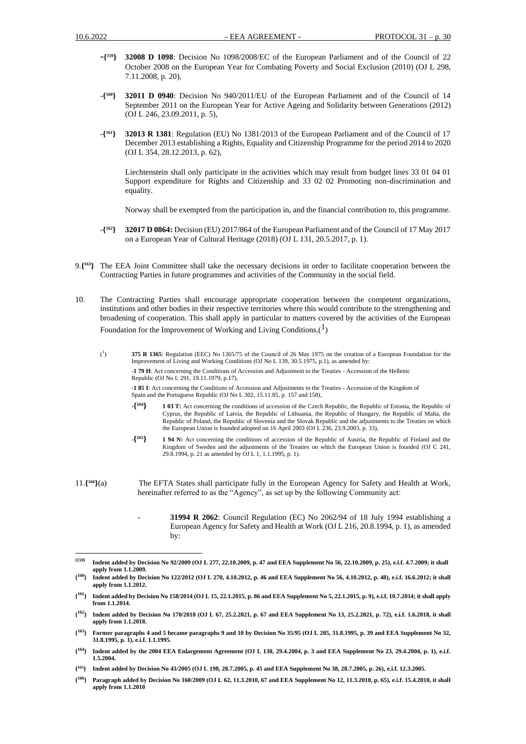- -**{ <sup>159</sup>} 32008 D 1098**: Decision No 1098/2008/EC of the European Parliament and of the Council of 22 October 2008 on the European Year for Combating Poverty and Social Exclusion (2010) (OJ L 298, 7.11.2008, p. 20),
- -**{ <sup>160</sup>} 32011 D 0940**: Decision No 940/2011/EU of the European Parliament and of the Council of 14 September 2011 on the European Year for Active Ageing and Solidarity between Generations (2012) (OJ L 246, 23.09.2011, p. 5),
- -**{ <sup>161</sup>} 32013 R 1381**: Regulation (EU) No 1381/2013 of the European Parliament and of the Council of 17 December 2013 establishing a Rights, Equality and Citizenship Programme for the period 2014 to 2020 (OJ L 354, 28.12.2013, p. 62),

Liechtenstein shall only participate in the activities which may result from budget lines 33 01 04 01 Support expenditure for Rights and Citizenship and 33 02 02 Promoting non-discrimination and equality.

Norway shall be exempted from the participation in, and the financial contribution to, this programme.

- $-\binom{162}{ }$ **<sup>162</sup>} 32017 D 0864:** Decision (EU) 2017/864 of the European Parliament and of the Council of 17 May 2017 on a European Year of Cultural Heritage (2018) (OJ L 131, 20.5.2017, p. 1).
- 9.**{ <sup>163</sup>}** The EEA Joint Committee shall take the necessary decisions in order to facilitate cooperation between the Contracting Parties in future programmes and activities of the Community in the social field.
- 10. The Contracting Parties shall encourage appropriate cooperation between the competent organizations, institutions and other bodies in their respective territories where this would contribute to the strengthening and broadening of cooperation. This shall apply in particular to matters covered by the activities of the European Foundation for the Improvement of Working and Living Conditions. $(1)$ 
	- $({}^{1}$ ) **375 R 1365**: Regulation (EEC) No 1365/75 of the Council of 26 May 1975 on the creation of a European Foundation for the Improvement of Living and Working Conditions (OJ No L 139, 30.5.1975, p.1), as amended by: -**1 79 H**: Act concerning the Conditions of Accession and Adjustment to the Treaties - Accession of the Hellenic Republic (OJ No L 291, 19.11.1979, p.17),

-**1 85 I**: Act concerning the Conditions of Accession and Adjustments to the Treaties - Accession of the Kingdom of Spain and the Portuguese Republic (OJ No L 302, 15.11.85, p. 157 and 158),

- **-{ <sup>164</sup>} 1 03 T:** Act concerning the conditions of accession of the Czech Republic, the Republic of Estonia, the Republic of Cyprus, the Republic of Latvia, the Republic of Lithuania, the Republic of Hungary, the Republic of Malta, the Republic of Poland, the Republic of Slovenia and the Slovak Republic and the adjustments to the Treaties on which the European Union is founded adopted on 16 April 2003 (OJ L 236, 23.9.2003, p. 33),
- **-{ 1 94 N:** Act concerning the conditions of accession of the Republic of Austria, the Republic of Finland and the Kingdom of Sweden and the adjustments of the Treaties on which the European Union is founded (OJ C 241, 29.8.1994, p. 21 as amended by OJ L 1, 1.1.1995, p. 1).
- 11.**{ <sup>166</sup>}**(a) The EFTA States shall participate fully in the European Agency for Safety and Health at Work, hereinafter referred to as the "Agency", as set up by the following Community act:
	- **31994 R 2062**: Council Regulation (EC) No 2062/94 of 18 July 1994 establishing a European Agency for Safety and Health at Work (OJ L 216, 20.8.1994, p. 1), as amended by:

**<sup>{159}</sup> Indent added by Decision No 92/2009 (OJ L 277, 22.10.2009, p. 47 and EEA Supplement No 56, 22.10.2009, p. 25), e.i.f. 4.7.2009; it shall apply from 1.1.2009.**

 $\{160\}$ **<sup>160</sup>} Indent added by Decision No 122/2012 (OJ L 270, 4.10.2012, p. 46 and EEA Supplement No 56, 4.10.2012, p. 48), e.i.f. 16.6.2012; it shall apply from 1.1.2012.**

 ${^{161}}$ **<sup>161</sup>} Indent added by Decision No 158/2014 (OJ L 15, 22.1.2015, p. 86 and EEA Supplement No 5, 22.1.2015, p. 9), e.i.f. 10.7.2014; it shall apply from 1.1.2014.**

**<sup>{</sup> <sup>162</sup>} Indent added by Decision No 170/2018 (OJ L 67, 25.2.2021, p. 67 and EEA Supplement No 13, 25.2.2021, p. 72), e.i.f. 1.6.2018, it shall apply from 1.1.2018.**

**<sup>{</sup> <sup>163</sup>} Former paragraphs 4 and 5 became paragraphs 9 and 10 by Decision No 35/95 (OJ L 205, 31.8.1995, p. 39 and EEA Supplement No 32, 31.8.1995, p. 1), e.i.f. 1.1.1995.**

**<sup>{</sup> <sup>164</sup>} Indent added by the 2004 EEA Enlargement Agreement (OJ L 130, 29.4.2004, p. 3 and EEA Supplement No 23, 29.4.2004, p. 1), e.i.f. 1.5.2004.** 

**<sup>{</sup> <sup>165</sup>} Indent added by Decision No 43/2005 (OJ L 198, 28.7.2005, p. 45 and EEA Supplement No 38, 28.7.2005, p. 26), e.i.f. 12.3.2005.**

**<sup>{</sup> <sup>166</sup>} Paragraph added by Decision No 160/2009 (OJ L 62, 11.3.2010, 67 and EEA Supplement No 12, 11.3.2010, p. 65), e.i.f. 15.4.2010, it shall apply from 1.1.2010**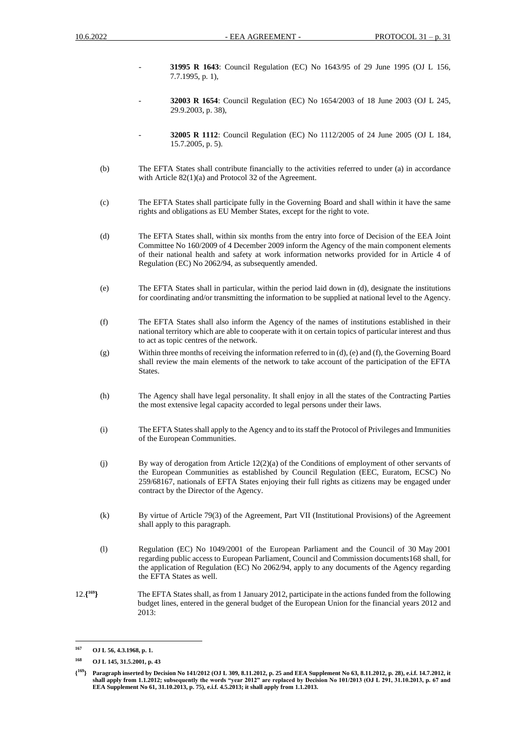- **31995 R 1643**: Council Regulation (EC) No 1643/95 of 29 June 1995 (OJ L 156, 7.7.1995, p. 1),
- **32003 R 1654**: Council Regulation (EC) No 1654/2003 of 18 June 2003 (OJ L 245, 29.9.2003, p. 38),
- **32005 R 1112**: Council Regulation (EC) No 1112/2005 of 24 June 2005 (OJ L 184, 15.7.2005, p. 5).
- (b) The EFTA States shall contribute financially to the activities referred to under (a) in accordance with Article 82(1)(a) and Protocol 32 of the Agreement.
- (c) The EFTA States shall participate fully in the Governing Board and shall within it have the same rights and obligations as EU Member States, except for the right to vote.
- (d) The EFTA States shall, within six months from the entry into force of Decision of the EEA Joint Committee No 160/2009 of 4 December 2009 inform the Agency of the main component elements of their national health and safety at work information networks provided for in Article 4 of Regulation (EC) No 2062/94, as subsequently amended.
- (e) The EFTA States shall in particular, within the period laid down in (d), designate the institutions for coordinating and/or transmitting the information to be supplied at national level to the Agency.
- (f) The EFTA States shall also inform the Agency of the names of institutions established in their national territory which are able to cooperate with it on certain topics of particular interest and thus to act as topic centres of the network.
- (g) Within three months of receiving the information referred to in (d), (e) and (f), the Governing Board shall review the main elements of the network to take account of the participation of the EFTA States.
- (h) The Agency shall have legal personality. It shall enjoy in all the states of the Contracting Parties the most extensive legal capacity accorded to legal persons under their laws.
- (i) The EFTA States shall apply to the Agency and to its staff the Protocol of Privileges and Immunities of the European Communities.
- (j) By way of derogation from Article 12(2)(a) of the Conditions of employment of other servants of the European Communities as established by Council Regulation (EEC, Euratom, ECSC) No 259/68167, nationals of EFTA States enjoying their full rights as citizens may be engaged under contract by the Director of the Agency.
- (k) By virtue of Article 79(3) of the Agreement, Part VII (Institutional Provisions) of the Agreement shall apply to this paragraph.
- (l) Regulation (EC) No 1049/2001 of the European Parliament and the Council of 30 May 2001 regarding public access to European Parliament, Council and Commission documents168 shall, for the application of Regulation (EC) No 2062/94, apply to any documents of the Agency regarding the EFTA States as well.
- 12.**{ <sup>169</sup>}** The EFTA States shall, as from 1 January 2012, participate in the actions funded from the following budget lines, entered in the general budget of the European Union for the financial years 2012 and 2013:

**<sup>167</sup> OJ L 56, 4.3.1968, p. 1.**

**<sup>168</sup> OJ L 145, 31.5.2001, p. 43**

**<sup>{</sup> <sup>169</sup>} Paragraph inserted by Decision No 141/2012 (OJ L 309, 8.11.2012, p. 25 and EEA Supplement No 63, 8.11.2012, p. 28), e.i.f. 14.7.2012, it shall apply from 1.1.2012; subsequently the words "year 2012" are replaced by Decision No 101/2013 (OJ L 291, 31.10.2013, p. 67 and EEA Supplement No 61, 31.10.2013, p. 75), e.i.f. 4.5.2013; it shall apply from 1.1.2013.**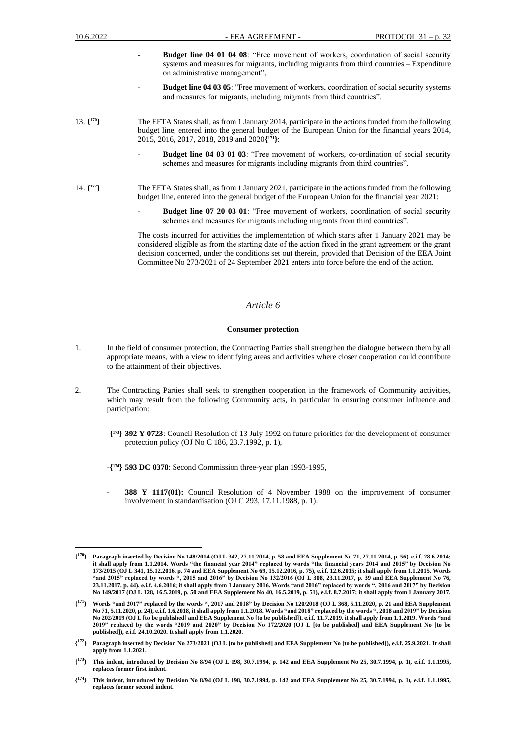- **Budget line 04 01 04 08:** "Free movement of workers, coordination of social security systems and measures for migrants, including migrants from third countries – Expenditure on administrative management",
- **Budget line 04 03 05**: "Free movement of workers, coordination of social security systems and measures for migrants, including migrants from third countries".
- 13. **{ <sup>170</sup>}** The EFTA States shall, as from 1 January 2014, participate in the actions funded from the following budget line, entered into the general budget of the European Union for the financial years 2014, 2015, 2016, 2017, 2018, 2019 and 2020**{ <sup>171</sup>}**:
	- **Budget line 04 03 01 03**: "Free movement of workers, co-ordination of social security schemes and measures for migrants including migrants from third countries".
- 14. **{ <sup>172</sup>}** The EFTA States shall, as from 1 January 2021, participate in the actions funded from the following budget line, entered into the general budget of the European Union for the financial year 2021:
	- **Budget line 07 20 03 01:** "Free movement of workers, coordination of social security schemes and measures for migrants including migrants from third countries".

The costs incurred for activities the implementation of which starts after 1 January 2021 may be considered eligible as from the starting date of the action fixed in the grant agreement or the grаnt decision concerned, under the conditions set out therein, provided that Decision of the EEA Joint Committee No 273/2021 of 24 September 2021 enters into force before the end of the action.

### *Article 6*

#### **Consumer protection**

- 1. In the field of consumer protection, the Contracting Parties shall strengthen the dialogue between them by all appropriate means, with a view to identifying areas and activities where closer cooperation could contribute to the attainment of their objectives.
- 2. The Contracting Parties shall seek to strengthen cooperation in the framework of Community activities, which may result from the following Community acts, in particular in ensuring consumer influence and participation:
	- -**{ <sup>173</sup>} 392 Y 0723**: Council Resolution of 13 July 1992 on future priorities for the development of consumer protection policy (OJ No C 186, 23.7.1992, p. 1),
	- -**{ <sup>174</sup>} 593 DC 0378**: Second Commission three-year plan 1993-1995,
	- **- 388 Y 1117(01):** Council Resolution of 4 November 1988 on the improvement of consumer involvement in standardisation (OJ C 293, 17.11.1988, p. 1).

 $\{^{170}\}$ **<sup>170</sup>} Paragraph inserted by Decision No 148/2014 (OJ L 342, 27.11.2014, p. 58 and EEA Supplement No 71, 27.11.2014, p. 56), e.i.f. 28.6.2014; it shall apply from 1.1.2014. Words "the financial year 2014" replaced by words "the financial years 2014 and 2015" by Decision No 173/2015 (OJ L 341, 15.12.2016, p. 74 and EEA Supplement No 69, 15.12.2016, p. 75), e.i.f. 12.6.2015; it shall apply from 1.1.2015. Words "and 2015" replaced by words ", 2015 and 2016" by Decision No 132/2016 (OJ L 308, 23.11.2017, p. 39 and EEA Supplement No 76, 23.11.2017, p. 44), e.i.f. 4.6.2016; it shall apply from 1 January 2016. Words "and 2016" replaced by words ", 2016 and 2017" by Decision No 149/2017 (OJ L 128, 16.5.2019, p. 50 and EEA Supplement No 40, 16.5.2019, p. 51), e.i.f. 8.7.2017; it shall apply from 1 January 2017.**

**<sup>{</sup> <sup>171</sup>} Words "and 2017" replaced by the words ", 2017 and 2018" by Decision No 120/2018 (OJ L 368, 5.11.2020, p. 21 and EEA Supplement No 71, 5.11.2020, p. 24), e.i.f. 1.6.2018, it shall apply from 1.1.2018. Words "and 2018" replaced by the words ", 2018 and 2019" by Decision No 202/2019 (OJ L [to be published] and EEA Supplement No [to be published]), e.i.f. 11.7.2019, it shall apply from 1.1.2019. Words "and 2019" replaced by the words "2019 and 2020" by Decision No 172/2020 (OJ L [to be published] and EEA Supplement No [to be published]), e.i.f. 24.10.2020. It shall apply from 1.1.2020.**

**<sup>{</sup> <sup>172</sup>} Paragraph inserted by Decision No 273/2021 (OJ L [to be published] and EEA Supplement No [to be published]), e.i.f. 25.9.2021. It shall apply from 1.1.2021.**

**<sup>{</sup> <sup>173</sup>} This indent, introduced by Decision No 8/94 (OJ L 198, 30.7.1994, p. 142 and EEA Supplement No 25, 30.7.1994, p. 1), e.i.f. 1.1.1995, replaces former first indent.**

**<sup>{</sup> <sup>174</sup>} This indent, introduced by Decision No 8/94 (OJ L 198, 30.7.1994, p. 142 and EEA Supplement No 25, 30.7.1994, p. 1), e.i.f. 1.1.1995, replaces former second indent.**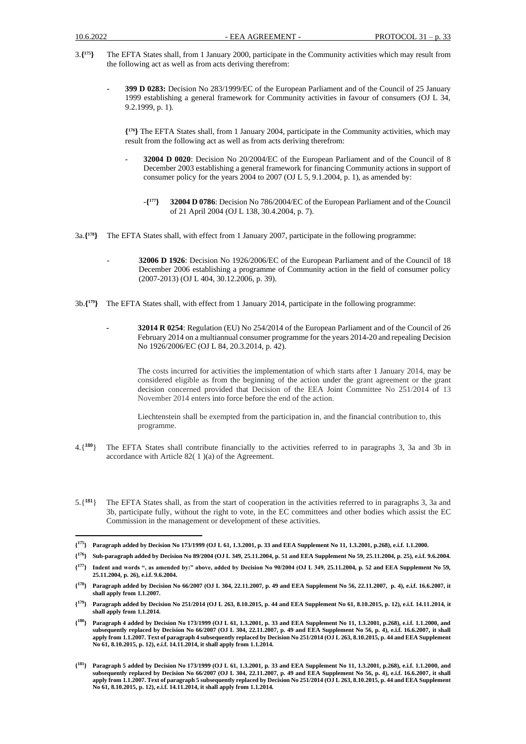- 3.**{ <sup>175</sup>}** The EFTA States shall, from 1 January 2000, participate in the Community activities which may result from the following act as well as from acts deriving therefrom:
	- **- 399 D 0283:** Decision No 283/1999/EC of the European Parliament and of the Council of 25 January 1999 establishing a general framework for Community activities in favour of consumers (OJ L 34, 9.2.1999, p. 1).

**{ <sup>176</sup>}** The EFTA States shall, from 1 January 2004, participate in the Community activities, which may result from the following act as well as from acts deriving therefrom:

- **32004 D 0020**: Decision No 20/2004/EC of the European Parliament and of the Council of 8 December 2003 establishing a general framework for financing Community actions in support of consumer policy for the years 2004 to 2007 (OJ L 5, 9.1.2004, p. 1), as amended by:
	- -**{ <sup>177</sup>} 32004 D 0786**: Decision No 786/2004/EC of the European Parliament and of the Council of 21 April 2004 (OJ L 138, 30.4.2004, p. 7).
- 3a.**{ <sup>178</sup>}** The EFTA States shall, with effect from 1 January 2007, participate in the following programme:
	- **32006 D 1926**: Decision No 1926/2006/EC of the European Parliament and of the Council of 18 December 2006 establishing a programme of Community action in the field of consumer policy (2007-2013) (OJ L 404, 30.12.2006, p. 39).
- 3b.**{ <sup>179</sup>}** The EFTA States shall, with effect from 1 January 2014, participate in the following programme:
	- **- 32014 R 0254**: Regulation (EU) No 254/2014 of the European Parliament and of the Council of 26 February 2014 on a multiannual consumer programme for the years 2014-20 and repealing Decision No 1926/2006/EC (OJ L 84, 20.3.2014, p. 42).

The costs incurred for activities the implementation of which starts after 1 January 2014, may be considered eligible as from the beginning of the action under the grant agreement or the grant decision concerned provided that Decision of the EEA Joint Committee No 251/2014 of 13 November 2014 enters into force before the end of the action.

Liechtenstein shall be exempted from the participation in, and the financial contribution to, this programme.

- 4.{**<sup>180</sup>**} The EFTA States shall contribute financially to the activities referred to in paragraphs 3, 3a and 3b in accordance with Article 82( 1 )(a) of the Agreement.
- 5.{**<sup>181</sup>**} The EFTA States shall, as from the start of cooperation in the activities referred to in paragraphs 3, 3a and 3b, participate fully, without the right to vote, in the EC committees and other bodies which assist the EC Commission in the management or development of these activities.

**{ <sup>176</sup>} Sub-paragraph added by Decision No 89/2004 (OJ L 349, 25.11.2004, p. 51 and EEA Supplement No 59, 25.11.2004, p. 25), e.i.f. 9.6.2004.**

**<sup>{</sup> <sup>175</sup>} Paragraph added by Decision No 173/1999 (OJ L 61, 1.3.2001, p. 33 and EEA Supplement No 11, 1.3.2001, p.268), e.i.f. 1.1.2000.**

**<sup>{</sup> <sup>177</sup>} Indent and words ", as amended by:" above, added by Decision No 90/2004 (OJ L 349, 25.11.2004, p. 52 and EEA Supplement No 59, 25.11.2004, p. 26), e.i.f. 9.6.2004.**

**<sup>{</sup> <sup>178</sup>} Paragraph added by Decision No 66/2007 (OJ L 304, 22.11.2007, p. 49 and EEA Supplement No 56, 22.11.2007, p. 4), e.i.f. 16.6.2007, it shall apply from 1.1.2007.**

**<sup>{</sup> <sup>179</sup>} Paragraph added by Decision No 251/2014 (OJ L 263, 8.10.2015, p. 44 and EEA Supplement No 61, 8.10.2015, p. 12), e.i.f. 14.11.2014, it shall apply from 1.1.2014.**

**<sup>{</sup> <sup>180</sup>} Paragraph 4 added by Decision No 173/1999 (OJ L 61, 1.3.2001, p. 33 and EEA Supplement No 11, 1.3.2001, p.268), e.i.f. 1.1.2000, and subsequently replaced by Decision No 66/2007 (OJ L 304, 22.11.2007, p. 49 and EEA Supplement No 56, p. 4), e.i.f. 16.6.2007, it shall apply from 1.1.2007. Text of paragraph 4 subsequently replaced by Decision No 251/2014 (OJ L 263, 8.10.2015, p. 44 and EEA Supplement No 61, 8.10.2015, p. 12), e.i.f. 14.11.2014, it shall apply from 1.1.2014.**

**<sup>{</sup> <sup>181</sup>} Paragraph 5 added by Decision No 173/1999 (OJ L 61, 1.3.2001, p. 33 and EEA Supplement No 11, 1.3.2001, p.268), e.i.f. 1.1.2000, and subsequently replaced by Decision No 66/2007 (OJ L 304, 22.11.2007, p. 49 and EEA Supplement No 56, p. 4), e.i.f. 16.6.2007, it shall apply from 1.1.2007. Text of paragraph 5 subsequently replaced by Decision No 251/2014 (OJ L 263, 8.10.2015, p. 44 and EEA Supplement No 61, 8.10.2015, p. 12), e.i.f. 14.11.2014, it shall apply from 1.1.2014.**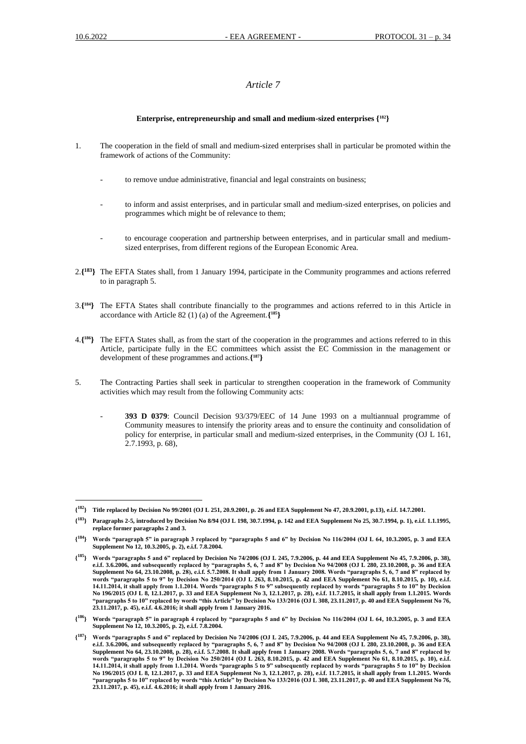# *Article 7*

### **Enterprise, entrepreneurship and small and medium-sized enterprises {182}**

- 1. The cooperation in the field of small and medium-sized enterprises shall in particular be promoted within the framework of actions of the Community:
	- to remove undue administrative, financial and legal constraints on business;
	- to inform and assist enterprises, and in particular small and medium-sized enterprises, on policies and programmes which might be of relevance to them;
	- to encourage cooperation and partnership between enterprises, and in particular small and mediumsized enterprises, from different regions of the European Economic Area.
- 2.**{ <sup>183</sup>}** The EFTA States shall, from 1 January 1994, participate in the Community programmes and actions referred to in paragraph 5.
- 3.**{ <sup>184</sup>}** The EFTA States shall contribute financially to the programmes and actions referred to in this Article in accordance with Article 82 (1) (a) of the Agreement.**{ <sup>185</sup>}**
- 4.**{ <sup>186</sup>}** The EFTA States shall, as from the start of the cooperation in the programmes and actions referred to in this Article, participate fully in the EC committees which assist the EC Commission in the management or development of these programmes and actions.**{ <sup>187</sup>}**
- 5. The Contracting Parties shall seek in particular to strengthen cooperation in the framework of Community activities which may result from the following Community acts:
	- **393 D 0379**: Council Decision 93/379/EEC of 14 June 1993 on a multiannual programme of Community measures to intensify the priority areas and to ensure the continuity and consolidation of policy for enterprise, in particular small and medium-sized enterprises, in the Community (OJ L 161, 2.7.1993, p. 68),

**<sup>{</sup> <sup>182</sup>} Title replaced by Decision No 99/2001 (OJ L 251, 20.9.2001, p. 26 and EEA Supplement No 47, 20.9.2001, p.13), e.i.f. 14.7.2001.** 

**<sup>{</sup> <sup>183</sup>} Paragraphs 2-5, introduced by Decision No 8/94 (OJ L 198, 30.7.1994, p. 142 and EEA Supplement No 25, 30.7.1994, p. 1), e.i.f. 1.1.1995, replace former paragraphs 2 and 3.**

**<sup>{</sup> <sup>184</sup>} Words "paragraph 5" in paragraph 3 replaced by "paragraphs 5 and 6" by Decision No 116/2004 (OJ L 64, 10.3.2005, p. 3 and EEA Supplement No 12, 10.3.2005, p. 2), e.i.f. 7.8.2004.** 

**<sup>{</sup> <sup>185</sup>} Words "paragraphs 5 and 6" replaced by Decision No 74/2006 (OJ L 245, 7.9.2006, p. 44 and EEA Supplement No 45, 7.9.2006, p. 38), e.i.f. 3.6.2006, and subsequently replaced by "paragraphs 5, 6, 7 and 8" by Decision No 94/2008 (OJ L 280, 23.10.2008, p. 36 and EEA Supplement No 64, 23.10.2008, p. 28), e.i.f. 5.7.2008. It shall apply from 1 January 2008. Words "paragraphs 5, 6, 7 and 8" replaced by words "paragraphs 5 to 9" by Decision No 250/2014 (OJ L 263, 8.10.2015, p. 42 and EEA Supplement No 61, 8.10.2015, p. 10), e.i.f. 14.11.2014, it shall apply from 1.1.2014. Words "paragraphs 5 to 9" subsequently replaced by words "paragraphs 5 to 10" by Decision No 196/2015 (OJ L 8, 12.1.2017, p. 33 and EEA Supplement No 3, 12.1.2017, p. 28), e.i.f. 11.7.2015, it shall apply from 1.1.2015. Words "paragraphs 5 to 10" replaced by words "this Article" by Decision No 133/2016 (OJ L 308, 23.11.2017, p. 40 and EEA Supplement No 76, 23.11.2017, p. 45), e.i.f. 4.6.2016; it shall apply from 1 January 2016.**

**<sup>{</sup> <sup>186</sup>} Words "paragraph 5" in paragraph 4 replaced by "paragraphs 5 and 6" by Decision No 116/2004 (OJ L 64, 10.3.2005, p. 3 and EEA Supplement No 12, 10.3.2005, p. 2), e.i.f. 7.8.2004.** 

**<sup>{</sup> <sup>187</sup>} Words "paragraphs 5 and 6" replaced by Decision No 74/2006 (OJ L 245, 7.9.2006, p. 44 and EEA Supplement No 45, 7.9.2006, p. 38), e.i.f. 3.6.2006, and subsequently replaced by "paragraphs 5, 6, 7 and 8" by Decision No 94/2008 (OJ L 280, 23.10.2008, p. 36 and EEA Supplement No 64, 23.10.2008, p. 28), e.i.f. 5.7.2008. It shall apply from 1 January 2008. Words "paragraphs 5, 6, 7 and 8" replaced by words "paragraphs 5 to 9" by Decision No 250/2014 (OJ L 263, 8.10.2015, p. 42 and EEA Supplement No 61, 8.10.2015, p. 10), e.i.f. 14.11.2014, it shall apply from 1.1.2014. Words "paragraphs 5 to 9" subsequently replaced by words "paragraphs 5 to 10" by Decision No 196/2015 (OJ L 8, 12.1.2017, p. 33 and EEA Supplement No 3, 12.1.2017, p. 28), e.i.f. 11.7.2015, it shall apply from 1.1.2015. Words "paragraphs 5 to 10" replaced by words "this Article" by Decision No 133/2016 (OJ L 308, 23.11.2017, p. 40 and EEA Supplement No 76, 23.11.2017, p. 45), e.i.f. 4.6.2016; it shall apply from 1 January 2016.**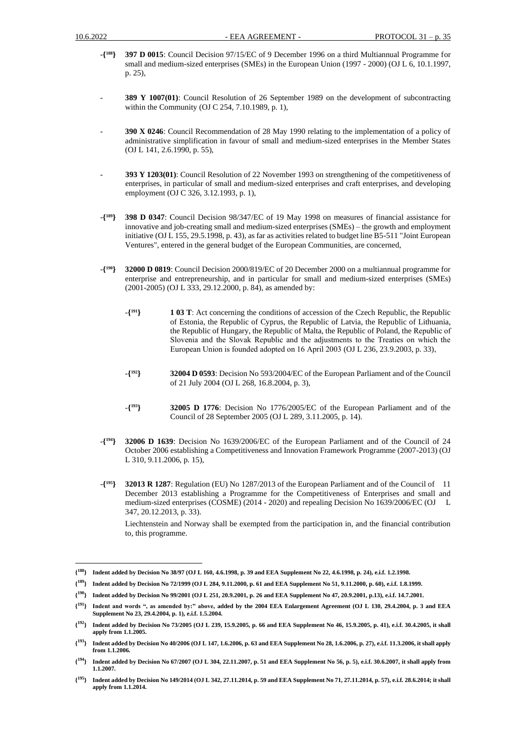- -**{ <sup>188</sup>} 397 D 0015**: Council Decision 97/15/EC of 9 December 1996 on a third Multiannual Programme for small and medium-sized enterprises (SMEs) in the European Union (1997 - 2000) (OJ L 6, 10.1.1997, p. 25),
- **389 Y 1007(01)**: Council Resolution of 26 September 1989 on the development of subcontracting within the Community (OJ C 254, 7.10.1989, p. 1),
- **390 X 0246**: Council Recommendation of 28 May 1990 relating to the implementation of a policy of administrative simplification in favour of small and medium-sized enterprises in the Member States (OJ L 141, 2.6.1990, p. 55),
- **393 Y 1203(01)**: Council Resolution of 22 November 1993 on strengthening of the competitiveness of enterprises, in particular of small and medium-sized enterprises and craft enterprises, and developing employment (OJ C 326, 3.12.1993, p. 1),
- -**{ <sup>189</sup>} 398 D 0347**: Council Decision 98/347/EC of 19 May 1998 on measures of financial assistance for innovative and job-creating small and medium-sized enterprises (SMEs) – the growth and employment initiative (OJ L 155, 29.5.1998, p. 43), as far as activities related to budget line B5-511 "Joint European Ventures", entered in the general budget of the European Communities, are concerned,
- -**{ <sup>190</sup>} 32000 D 0819**: Council Decision 2000/819/EC of 20 December 2000 on a multiannual programme for enterprise and entrepreneurship, and in particular for small and medium-sized enterprises (SMEs) (2001-2005) (OJ L 333, 29.12.2000, p. 84), as amended by:
	- -**{ <sup>191</sup>} 1 03 T**: Act concerning the conditions of accession of the Czech Republic, the Republic of Estonia, the Republic of Cyprus, the Republic of Latvia, the Republic of Lithuania, the Republic of Hungary, the Republic of Malta, the Republic of Poland, the Republic of Slovenia and the Slovak Republic and the adjustments to the Treaties on which the European Union is founded adopted on 16 April 2003 (OJ L 236, 23.9.2003, p. 33),
	- -**{ <sup>192</sup>} 32004 D 0593**: Decision No 593/2004/EC of the European Parliament and of the Council of 21 July 2004 (OJ L 268, 16.8.2004, p. 3),
	- -**{ <sup>193</sup>} 32005 D 1776**: Decision No 1776/2005/EC of the European Parliament and of the Council of 28 September 2005 (OJ L 289, 3.11.2005, p. 14).
- -**{ <sup>194</sup>} 32006 D 1639**: Decision No 1639/2006/EC of the European Parliament and of the Council of 24 October 2006 establishing a Competitiveness and Innovation Framework Programme (2007-2013) (OJ L 310, 9.11.2006, p. 15),
- $-\{195\}$ **<sup>195</sup>} 32013 R 1287**: Regulation (EU) No 1287/2013 of the European Parliament and of the Council of 11 December 2013 establishing a Programme for the Competitiveness of Enterprises and small and medium-sized enterprises (COSME) (2014 - 2020) and repealing Decision No 1639/2006/EC (OJ L 347, 20.12.2013, p. 33).

Liechtenstein and Norway shall be exempted from the participation in, and the financial contribution to, this programme.

**<sup>{</sup> <sup>188</sup>} Indent added by Decision No 38/97 (OJ L 160, 4.6.1998, p. 39 and EEA Supplement No 22, 4.6.1998, p. 24), e.i.f. 1.2.1998.**

**<sup>{</sup> <sup>189</sup>} Indent added by Decision No 72/1999 (OJ L 284, 9.11.2000, p. 61 and EEA Supplement No 51, 9.11.2000, p. 60), e.i.f. 1.8.1999.**

**<sup>{</sup> <sup>190</sup>} Indent added by Decision No 99/2001 (OJ L 251, 20.9.2001, p. 26 and EEA Supplement No 47, 20.9.2001, p.13), e.i.f. 14.7.2001.**

**<sup>{</sup> <sup>191</sup>} Indent and words ", as amended by:" above, added by the 2004 EEA Enlargement Agreement (OJ L 130, 29.4.2004, p. 3 and EEA Supplement No 23, 29.4.2004, p. 1), e.i.f. 1.5.2004.** 

**<sup>{</sup> <sup>192</sup>} Indent added by Decision No 73/2005 (OJ L 239, 15.9.2005, p. 66 and EEA Supplement No 46, 15.9.2005, p. 41), e.i.f. 30.4.2005, it shall apply from 1.1.2005.**

**<sup>{</sup> <sup>193</sup>} Indent added by Decision No 40/2006 (OJ L 147, 1.6.2006, p. 63 and EEA Supplement No 28, 1.6.2006, p. 27), e.i.f. 11.3.2006, it shall apply from 1.1.2006.**

**<sup>{</sup> <sup>194</sup>} Indent added by Decision No 67/2007 (OJ L 304, 22.11.2007, p. 51 and EEA Supplement No 56, p. 5), e.i.f. 30.6.2007, it shall apply from 1.1.2007.**

**<sup>{</sup> <sup>195</sup>} Indent added by Decision No 149/2014 (OJ L 342, 27.11.2014, p. 59 and EEA Supplement No 71, 27.11.2014, p. 57), e.i.f. 28.6.2014; it shall apply from 1.1.2014.**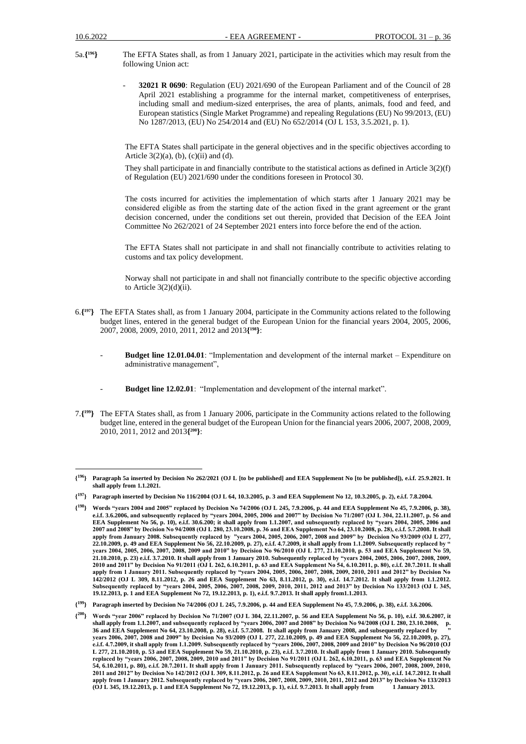- 5a.**{ <sup>196</sup>}** The EFTA States shall, as from 1 January 2021, participate in the activities which may result from the following Union act:
	- **32021 R 0690**: Regulation (EU) 2021/690 of the European Parliament and of the Council of 28 April 2021 establishing a programme for the internal market, competitiveness of enterprises, including small and medium-sized enterprises, the area of plants, animals, food and feed, and European statistics (Single Market Programme) and repealing Regulations (EU) No 99/2013, (EU) No 1287/2013, (EU) No 254/2014 and (EU) No 652/2014 (OJ L 153, 3.5.2021, p. 1).

The EFTA States shall participate in the general objectives and in the specific objectives according to Article  $3(2)(a)$ ,  $(b)$ ,  $(c)(ii)$  and  $(d)$ .

They shall participate in and financially contribute to the statistical actions as defined in Article 3(2)(f) of Regulation (EU) 2021/690 under the conditions foreseen in Protocol 30.

The costs incurred for activities the implementation of which starts after 1 January 2021 may be considered eligible as from the starting date of the action fixed in the grant agreement or the grаnt decision concerned, under the conditions set out therein, provided that Decision of the EEA Joint Committee No 262/2021 of 24 September 2021 enters into force before the end of the action.

The EFTA States shall not participate in and shall not financially contribute to activities relating to customs and tax policy development.

Norway shall not participate in and shall not financially contribute to the specific objective according to Article  $3(2)(d)(ii)$ .

- 6.**{ <sup>197</sup>}** The EFTA States shall, as from 1 January 2004, participate in the Community actions related to the following budget lines, entered in the general budget of the European Union for the financial years 2004, 2005, 2006, 2007, 2008, 2009, 2010, 2011, 2012 and 2013**{ <sup>198</sup>}**:
	- **Budget line 12.01.04.01**: "Implementation and development of the internal market Expenditure on administrative management",
	- Budget line 12.02.01: "Implementation and development of the internal market".
- 7.**{ <sup>199</sup>}** The EFTA States shall, as from 1 January 2006, participate in the Community actions related to the following budget line, entered in the general budget of the European Union for the financial years 2006, 2007, 2008, 2009, 2010, 2011, 2012 and 2013**{ <sup>200</sup>}**:

**<sup>{</sup> <sup>196</sup>} Paragraph 5a inserted by Decision No 262/2021 (OJ L [to be published] and EEA Supplement No [to be published]), e.i.f. 25.9.2021. It shall apply from 1.1.2021.**

**<sup>{</sup> <sup>197</sup>} Paragraph inserted by Decision No 116/2004 (OJ L 64, 10.3.2005, p. 3 and EEA Supplement No 12, 10.3.2005, p. 2), e.i.f. 7.8.2004.**

**<sup>{</sup> <sup>198</sup>} Words "years 2004 and 2005" replaced by Decision No 74/2006 (OJ L 245, 7.9.2006, p. 44 and EEA Supplement No 45, 7.9.2006, p. 38), e.i.f. 3.6.2006, and subsequently replaced by "years 2004, 2005, 2006 and 2007" by Decision No 71/2007 (OJ L 304, 22.11.2007, p. 56 and EEA Supplement No 56, p. 10), e.i.f. 30.6.200; it shall apply from 1.1.2007, and subsequently replaced by "years 2004, 2005, 2006 and 2007 and 2008" by Decision No 94/2008 (OJ L 280, 23.10.2008, p. 36 and EEA Supplement No 64, 23.10.2008, p. 28), e.i.f. 5.7.2008. It shall apply from January 2008. Subsequently replaced by "years 2004, 2005, 2006, 2007, 2008 and 2009" by Decision No 93/2009 (OJ L 277, 22.10.2009, p. 49 and EEA Supplement No 56, 22.10.2009, p. 27), e.i.f. 4.7.2009, it shall apply from 1.1.2009. Subsequently replaced by " years 2004, 2005, 2006, 2007, 2008, 2009 and 2010" by Decision No 96/2010 (OJ L 277, 21.10.2010, p. 53 and EEA Supplement No 59, 21.10.2010, p. 23) e.i.f. 3.7.2010. It shall apply from 1 January 2010. Subsequently replaced by "years 2004, 2005, 2006, 2007, 2008, 2009, 2010 and 2011" by Decision No 91/2011 (OJ L 262, 6.10.2011, p. 63 and EEA Supplement No 54, 6.10.2011, p. 80), e.i.f. 20.7.2011. It shall apply from 1 January 2011. Subsequently replaced by "years 2004, 2005, 2006, 2007, 2008, 2009, 2010, 2011 and 2012" by Decision No 142/2012 (OJ L 309, 8.11.2012, p. 26 and EEA Supplement No 63, 8.11.2012, p. 30), e.i.f. 14.7.2012. It shall apply from 1.1.2012. Subsequently replaced by "years 2004, 2005, 2006, 2007, 2008, 2009, 2010, 2011, 2012 and 2013" by Decision No 133/2013 (OJ L 345, 19.12.2013, p. 1 and EEA Supplement No 72, 19.12.2013, p. 1), e.i.f. 9.7.2013. It shall apply from1.1.2013.**

**<sup>{</sup> <sup>199</sup>} Paragraph inserted by Decision No 74/2006 (OJ L 245, 7.9.2006, p. 44 and EEA Supplement No 45, 7.9.2006, p. 38), e.i.f. 3.6.2006.**

**<sup>{</sup> <sup>200</sup>} Words "year 2006" replaced by Decision No 71/2007 (OJ L 304, 22.11.2007, p. 56 and EEA Supplement No 56, p. 10), e.i.f. 30.6.2007, it shall apply from 1.1.2007, and subsequently replaced by "years 2006, 2007 and 2008" by Decision No 94/2008 (OJ L 280, 23.10.2008, p. 36 and EEA Supplement No 64, 23.10.2008, p. 28), e.i.f. 5.7.2008. It shall apply from January 2008, and subsequently replaced by " years 2006, 2007, 2008 and 2009" by Decision No 93/2009 (OJ L 277, 22.10.2009, p. 49 and EEA Supplement No 56, 22.10.2009, p. 27), e.i.f. 4.7.2009, it shall apply from 1.1.2009. Subsequently replaced by "years 2006, 2007, 2008, 2009 and 2010" by Decision No 96/2010 (OJ L 277, 21.10.2010, p. 53 and EEA Supplement No 59, 21.10.2010, p. 23), e.i.f. 3.7.2010. It shall apply from 1 January 2010. Subsequently replaced by "years 2006, 2007, 2008, 2009, 2010 and 2011" by Decision No 91/2011 (OJ L 262, 6.10.2011, p. 63 and EEA Supplement No 54, 6.10.2011, p. 80), e.i.f. 20.7.2011. It shall apply from 1 January 2011. Subsequently replaced by "years 2006, 2007, 2008, 2009, 2010, 2011 and 2012" by Decision No 142/2012 (OJ L 309, 8.11.2012, p. 26 and EEA Supplement No 63, 8.11.2012, p. 30), e.i.f. 14.7.2012. It shall apply from 1 January 2012. Subsequently replaced by "years 2006, 2007, 2008, 2009, 2010, 2011, 2012 and 2013" by Decision No 133/2013 (OJ L 345, 19.12.2013, p. 1 and EEA Supplement No 72, 19.12.2013, p. 1), e.i.f. 9.7.2013. It shall apply from 1 January 2013.**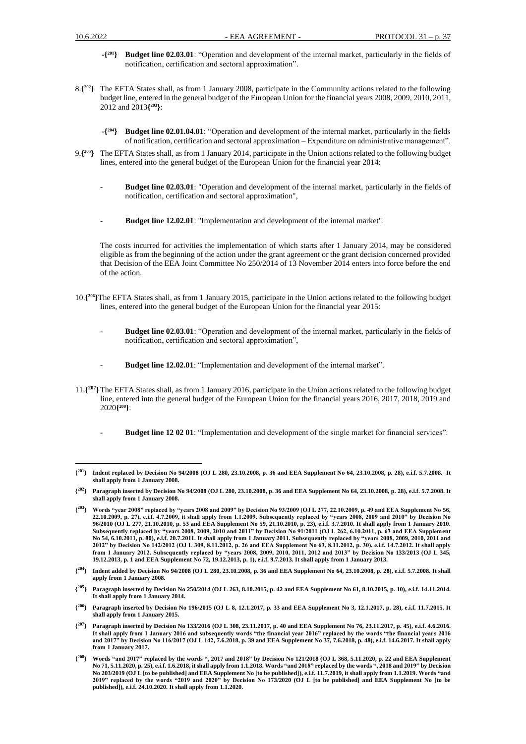- **-{ <sup>201</sup>} Budget line 02.03.01**: "Operation and development of the internal market, particularly in the fields of notification, certification and sectoral approximation".
- 8.**{ <sup>202</sup>}** The EFTA States shall, as from 1 January 2008, participate in the Community actions related to the following budget line, entered in the general budget of the European Union for the financial years 2008, 2009, 2010, 2011, 2012 and 2013**{ <sup>203</sup>}**:
	- **-{ <sup>204</sup>} Budget line 02.01.04.01**: "Operation and development of the internal market, particularly in the fields of notification, certification and sectoral approximation – Expenditure on administrative management".
- 9.**{ <sup>205</sup>}** The EFTA States shall, as from 1 January 2014, participate in the Union actions related to the following budget lines, entered into the general budget of the European Union for the financial year 2014:
	- **Budget line 02.03.01**: "Operation and development of the internal market, particularly in the fields of notification, certification and sectoral approximation",
	- **Budget line 12.02.01**: "Implementation and development of the internal market".

The costs incurred for activities the implementation of which starts after 1 January 2014, may be considered eligible as from the beginning of the action under the grant agreement or the grant decision concerned provided that Decision of the EEA Joint Committee No 250/2014 of 13 November 2014 enters into force before the end of the action.

- 10.**{ <sup>206</sup>}**The EFTA States shall, as from 1 January 2015, participate in the Union actions related to the following budget lines, entered into the general budget of the European Union for the financial year 2015:
	- **Budget line 02.03.01**: "Operation and development of the internal market, particularly in the fields of notification, certification and sectoral approximation",
	- **Budget line 12.02.01**: "Implementation and development of the internal market".
- 11.**{ <sup>207</sup>}**The EFTA States shall, as from 1 January 2016, participate in the Union actions related to the following budget line, entered into the general budget of the European Union for the financial years 2016, 2017, 2018, 2019 and 2020**{ <sup>208</sup>}**:
	- **Budget line 12 02 01**: "Implementation and development of the single market for financial services".

 $\{^{201}\}$ **<sup>201</sup>} Indent replaced by Decision No 94/2008 (OJ L 280, 23.10.2008, p. 36 and EEA Supplement No 64, 23.10.2008, p. 28), e.i.f. 5.7.2008. It shall apply from 1 January 2008.** 

**<sup>{</sup> <sup>202</sup>} Paragraph inserted by Decision No 94/2008 (OJ L 280, 23.10.2008, p. 36 and EEA Supplement No 64, 23.10.2008, p. 28), e.i.f. 5.7.2008. It shall apply from 1 January 2008.**

**<sup>{</sup> <sup>203</sup>} Words "year 2008" replaced by "years 2008 and 2009" by Decision No 93/2009 (OJ L 277, 22.10.2009, p. 49 and EEA Supplement No 56, 22.10.2009, p. 27), e.i.f. 4.7.2009, it shall apply from 1.1.2009. Subsequently replaced by "years 2008, 2009 and 2010" by Decision No 96/2010 (OJ L 277, 21.10.2010, p. 53 and EEA Supplement No 59, 21.10.2010, p. 23), e.i.f. 3.7.2010. It shall apply from 1 January 2010. Subsequently replaced by "years 2008, 2009, 2010 and 2011" by Decision No 91/2011 (OJ L 262, 6.10.2011, p. 63 and EEA Supplement No 54, 6.10.2011, p. 80), e.i.f. 20.7.2011. It shall apply from 1 January 2011. Subsequently replaced by "years 2008, 2009, 2010, 2011 and 2012" by Decision No 142/2012 (OJ L 309, 8.11.2012, p. 26 and EEA Supplement No 63, 8.11.2012, p. 30), e.i.f. 14.7.2012. It shall apply from 1 January 2012. Subsequently replaced by "years 2008, 2009, 2010, 2011, 2012 and 2013" by Decision No 133/2013 (OJ L 345, 19.12.2013, p. 1 and EEA Supplement No 72, 19.12.2013, p. 1), e.i.f. 9.7.2013. It shall apply from 1 January 2013.**

**<sup>{</sup> <sup>204</sup>} Indent added by Decision No 94/2008 (OJ L 280, 23.10.2008, p. 36 and EEA Supplement No 64, 23.10.2008, p. 28), e.i.f. 5.7.2008. It shall apply from 1 January 2008.**

**<sup>{</sup> <sup>205</sup>} Paragraph inserted by Decision No 250/2014 (OJ L 263, 8.10.2015, p. 42 and EEA Supplement No 61, 8.10.2015, p. 10), e.i.f. 14.11.2014. It shall apply from 1 January 2014.**

**<sup>{</sup> <sup>206</sup>} Paragraph inserted by Decision No 196/2015 (OJ L 8, 12.1.2017, p. 33 and EEA Supplement No 3, 12.1.2017, p. 28), e.i.f. 11.7.2015. It shall apply from 1 January 2015.**

**<sup>{</sup> <sup>207</sup>} Paragraph inserted by Decision No 133/2016 (OJ L 308, 23.11.2017, p. 40 and EEA Supplement No 76, 23.11.2017, p. 45), e.i.f. 4.6.2016. It shall apply from 1 January 2016 and subsequently words "the financial year 2016" replaced by the words "the financial years 2016 and 2017" by Decision No 116/2017 (OJ L 142, 7.6.2018, p. 39 and EEA Supplement No 37, 7.6.2018, p. 48), e.i.f. 14.6.2017. It shall apply from 1 January 2017.**

**<sup>{</sup> <sup>208</sup>} Words "and 2017" replaced by the words ", 2017 and 2018" by Decision No 121/2018 (OJ L 368, 5.11.2020, p. 22 and EEA Supplement No 71, 5.11.2020, p. 25), e.i.f. 1.6.2018, it shall apply from 1.1.2018. Words "and 2018" replaced by the words ", 2018 and 2019" by Decision No 203/2019 (OJ L [to be published] and EEA Supplement No [to be published]), e.i.f. 11.7.2019, it shall apply from 1.1.2019. Words "and 2019" replaced by the words "2019 and 2020" by Decision No 173/2020 (OJ L [to be published] and EEA Supplement No [to be published]), e.i.f. 24.10.2020. It shall apply from 1.1.2020.**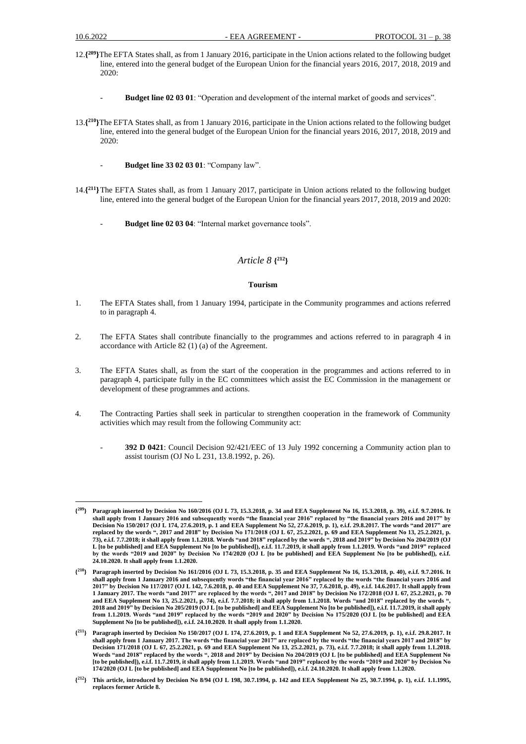- 12.**{ <sup>209</sup>}**The EFTA States shall, as from 1 January 2016, participate in the Union actions related to the following budget line, entered into the general budget of the European Union for the financial years 2016, 2017, 2018, 2019 and 2020:
	- **Budget line 02 03 01**: "Operation and development of the internal market of goods and services".
- 13.**{ <sup>210</sup>}**The EFTA States shall, as from 1 January 2016, participate in the Union actions related to the following budget line, entered into the general budget of the European Union for the financial years 2016, 2017, 2018, 2019 and 2020:
	- **Budget line 33 02 03 01**: "Company law".
- 14.**{ <sup>211</sup>}**The EFTA States shall, as from 1 January 2017, participate in Union actions related to the following budget line, entered into the general budget of the European Union for the financial years 2017, 2018, 2019 and 2020:
	- Budget line 02 03 04: "Internal market governance tools".

### *Article 8* **{ <sup>212</sup>}**

### **Tourism**

- 1. The EFTA States shall, from 1 January 1994, participate in the Community programmes and actions referred to in paragraph 4.
- 2. The EFTA States shall contribute financially to the programmes and actions referred to in paragraph 4 in accordance with Article 82 (1) (a) of the Agreement.
- 3. The EFTA States shall, as from the start of the cooperation in the programmes and actions referred to in paragraph 4, participate fully in the EC committees which assist the EC Commission in the management or development of these programmes and actions.
- 4. The Contracting Parties shall seek in particular to strengthen cooperation in the framework of Community activities which may result from the following Community act:
	- **392 D 0421**: Council Decision 92/421/EEC of 13 July 1992 concerning a Community action plan to assist tourism (OJ No L 231, 13.8.1992, p. 26).

**<sup>{</sup> <sup>209</sup>} Paragraph inserted by Decision No 160/2016 (OJ L 73, 15.3.2018, p. 34 and EEA Supplement No 16, 15.3.2018, p. 39), e.i.f. 9.7.2016. It shall apply from 1 January 2016 and subsequently words "the financial year 2016" replaced by "the financial years 2016 and 2017" by Decision No 150/2017 (OJ L 174, 27.6.2019, p. 1 and EEA Supplement No 52, 27.6.2019, p. 1), e.i.f. 29.8.2017. The words "and 2017" are replaced by the words ", 2017 and 2018" by Decision No 171/2018 (OJ L 67, 25.2.2021, p. 69 and EEA Supplement No 13, 25.2.2021, p. 73), e.i.f. 7.7.2018; it shall apply from 1.1.2018. Words "and 2018" replaced by the words ", 2018 and 2019" by Decision No 204/2019 (OJ L [to be published] and EEA Supplement No [to be published]), e.i.f. 11.7.2019, it shall apply from 1.1.2019. Words "and 2019" replaced by the words "2019 and 2020" by Decision No 174/2020 (OJ L [to be published] and EEA Supplement No [to be published]), e.i.f. 24.10.2020. It shall apply from 1.1.2020.**

**<sup>{</sup> <sup>210</sup>} Paragraph inserted by Decision No 161/2016 (OJ L 73, 15.3.2018, p. 35 and EEA Supplement No 16, 15.3.2018, p. 40), e.i.f. 9.7.2016. It shall apply from 1 January 2016 and subsequently words "the financial year 2016" replaced by the words "the financial years 2016 and 2017" by Decision No 117/2017 (OJ L 142, 7.6.2018, p. 40 and EEA Supplement No 37, 7.6.2018, p. 49), e.i.f. 14.6.2017. It shall apply from 1 January 2017. The words "and 2017" are replaced by the words ", 2017 and 2018" by Decision No 172/2018 (OJ L 67, 25.2.2021, p. 70 and EEA Supplement No 13, 25.2.2021, p. 74), e.i.f. 7.7.2018; it shall apply from 1.1.2018. Words "and 2018" replaced by the words ", 2018 and 2019" by Decision No 205/2019 (OJ L [to be published] and EEA Supplement No [to be published]), e.i.f. 11.7.2019, it shall apply from 1.1.2019. Words "and 2019" replaced by the words "2019 and 2020" by Decision No 175/2020 (OJ L [to be published] and EEA Supplement No [to be published]), e.i.f. 24.10.2020. It shall apply from 1.1.2020.**

**<sup>{</sup> <sup>211</sup>} Paragraph inserted by Decision No 150/2017 (OJ L 174, 27.6.2019, p. 1 and EEA Supplement No 52, 27.6.2019, p. 1), e.i.f. 29.8.2017. It shall apply from 1 January 2017. The words "the financial year 2017" are replaced by the words "the financial years 2017 and 2018" by Decision 171/2018 (OJ L 67, 25.2.2021, p. 69 and EEA Supplement No 13, 25.2.2021, p. 73), e.i.f. 7.7.2018; it shall apply from 1.1.2018. Words "and 2018" replaced by the words ", 2018 and 2019" by Decision No 204/2019 (OJ L [to be published] and EEA Supplement No [to be published]), e.i.f. 11.7.2019, it shall apply from 1.1.2019. Words "and 2019" replaced by the words "2019 and 2020" by Decision No 174/2020 (OJ L [to be published] and EEA Supplement No [to be published]), e.i.f. 24.10.2020. It shall apply from 1.1.2020.**

**<sup>{</sup> <sup>212</sup>} This article, introduced by Decision No 8/94 (OJ L 198, 30.7.1994, p. 142 and EEA Supplement No 25, 30.7.1994, p. 1), e.i.f. 1.1.1995, replaces former Article 8.**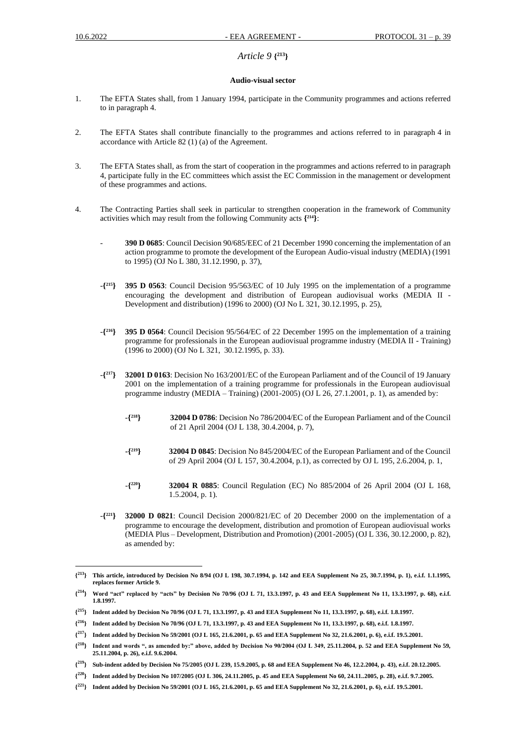# *Article 9* **{ <sup>213</sup>}**

#### **Audio-visual sector**

- 1. The EFTA States shall, from 1 January 1994, participate in the Community programmes and actions referred to in paragraph 4.
- 2. The EFTA States shall contribute financially to the programmes and actions referred to in paragraph 4 in accordance with Article 82 (1) (a) of the Agreement.
- 3. The EFTA States shall, as from the start of cooperation in the programmes and actions referred to in paragraph 4, participate fully in the EC committees which assist the EC Commission in the management or development of these programmes and actions.
- 4. The Contracting Parties shall seek in particular to strengthen cooperation in the framework of Community activities which may result from the following Community acts **{ <sup>214</sup>}**:
	- **390 D 0685**: Council Decision 90/685/EEC of 21 December 1990 concerning the implementation of an action programme to promote the development of the European Audio-visual industry (MEDIA) (1991 to 1995) (OJ No L 380, 31.12.1990, p. 37),
	- -**{ <sup>215</sup>} 395 D 0563**: Council Decision 95/563/EC of 10 July 1995 on the implementation of a programme encouraging the development and distribution of European audiovisual works (MEDIA II - Development and distribution) (1996 to 2000) (OJ No L 321, 30.12.1995, p. 25),
	- -**{ <sup>216</sup>} 395 D 0564**: Council Decision 95/564/EC of 22 December 1995 on the implementation of a training programme for professionals in the European audiovisual programme industry (MEDIA II - Training) (1996 to 2000) (OJ No L 321, 30.12.1995, p. 33).
	- -**{ <sup>217</sup>} 32001 D 0163**: Decision No 163/2001/EC of the European Parliament and of the Council of 19 January 2001 on the implementation of a training programme for professionals in the European audiovisual programme industry (MEDIA – Training) (2001-2005) (OJ L 26, 27.1.2001, p. 1), as amended by:
		- -**{ <sup>218</sup>} 32004 D 0786**: Decision No 786/2004/EC of the European Parliament and of the Council of 21 April 2004 (OJ L 138, 30.4.2004, p. 7),
		- **-{ <sup>219</sup>} 32004 D 0845**: Decision No 845/2004/EC of the European Parliament and of the Council of 29 April 2004 (OJ L 157, 30.4.2004, p.1), as corrected by OJ L 195, 2.6.2004, p. 1,
		- -**{ <sup>220</sup>} 32004 R 0885**: Council Regulation (EC) No 885/2004 of 26 April 2004 (OJ L 168, 1.5.2004, p. 1).
	- -**{ <sup>221</sup>} 32000 D 0821**: Council Decision 2000/821/EC of 20 December 2000 on the implementation of a programme to encourage the development, distribution and promotion of European audiovisual works (MEDIA Plus – Development, Distribution and Promotion) (2001-2005) (OJ L 336, 30.12.2000, p. 82), as amended by:

 ${213}$ **<sup>213</sup>} This article, introduced by Decision No 8/94 (OJ L 198, 30.7.1994, p. 142 and EEA Supplement No 25, 30.7.1994, p. 1), e.i.f. 1.1.1995, replaces former Article 9.**

 $\{^{214}\}$ **<sup>214</sup>} Word "act" replaced by "acts" by Decision No 70/96 (OJ L 71, 13.3.1997, p. 43 and EEA Supplement No 11, 13.3.1997, p. 68), e.i.f. 1.8.1997.**

**<sup>{</sup> <sup>215</sup>} Indent added by Decision No 70/96 (OJ L 71, 13.3.1997, p. 43 and EEA Supplement No 11, 13.3.1997, p. 68), e.i.f. 1.8.1997.**

**<sup>{</sup> <sup>216</sup>} Indent added by Decision No 70/96 (OJ L 71, 13.3.1997, p. 43 and EEA Supplement No 11, 13.3.1997, p. 68), e.i.f. 1.8.1997.**

**<sup>{</sup> <sup>217</sup>} Indent added by Decision No 59/2001 (OJ L 165, 21.6.2001, p. 65 and EEA Supplement No 32, 21.6.2001, p. 6), e.i.f. 19.5.2001.**

 $\{^{218}\}$ **<sup>218</sup>} Indent and words ", as amended by:" above, added by Decision No 90/2004 (OJ L 349, 25.11.2004, p. 52 and EEA Supplement No 59, 25.11.2004, p. 26), e.i.f. 9.6.2004.**

**<sup>{</sup> <sup>219</sup>} Sub-indent added by Decision No 75/2005 (OJ L 239, 15.9.2005, p. 68 and EEA Supplement No 46, 12.2.2004, p. 43), e.i.f. 20.12.2005.**

**<sup>{</sup> <sup>220</sup>} Indent added by Decision No 107/2005 (OJ L 306, 24.11.2005, p. 45 and EEA Supplement No 60, 24.11..2005, p. 28), e.i.f. 9.7.2005.**

**<sup>{</sup> <sup>221</sup>} Indent added by Decision No 59/2001 (OJ L 165, 21.6.2001, p. 65 and EEA Supplement No 32, 21.6.2001, p. 6), e.i.f. 19.5.2001.**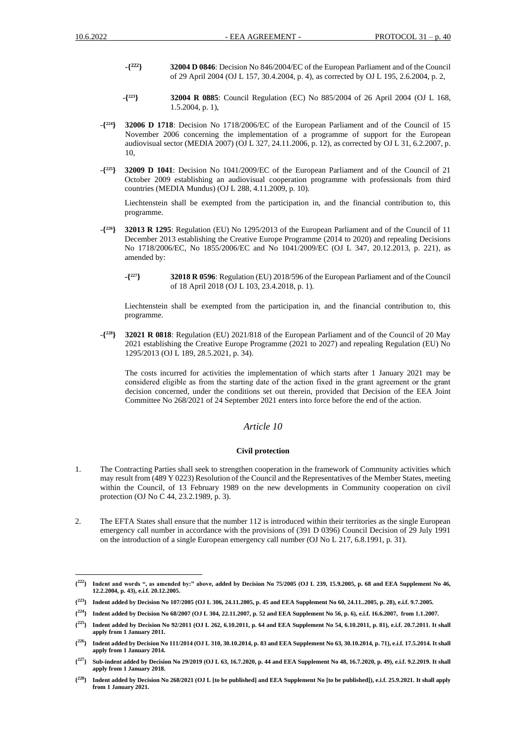- **-{ <sup>222</sup>} 32004 D 0846**: Decision No 846/2004/EC of the European Parliament and of the Council of 29 April 2004 (OJ L 157, 30.4.2004, p. 4), as corrected by OJ L 195, 2.6.2004, p. 2,
- -**{ <sup>223</sup>} 32004 R 0885**: Council Regulation (EC) No 885/2004 of 26 April 2004 (OJ L 168, 1.5.2004, p. 1),
- -**{ <sup>224</sup>} 32006 D 1718**: Decision No 1718/2006/EC of the European Parliament and of the Council of 15 November 2006 concerning the implementation of a programme of support for the European audiovisual sector (MEDIA 2007) (OJ L 327, 24.11.2006, p. 12), as corrected by OJ L 31, 6.2.2007, p. 10,
- -**{ <sup>225</sup>} 32009 D 1041**: Decision No 1041/2009/EC of the European Parliament and of the Council of 21 October 2009 establishing an audiovisual cooperation programme with professionals from third countries (MEDIA Mundus) (OJ L 288, 4.11.2009, p. 10).

Liechtenstein shall be exempted from the participation in, and the financial contribution to, this programme.

- -**{ <sup>226</sup>} 32013 R 1295**: Regulation (EU) No 1295/2013 of the European Parliament and of the Council of 11 December 2013 establishing the Creative Europe Programme (2014 to 2020) and repealing Decisions No 1718/2006/EC, No 1855/2006/EC and No 1041/2009/EC (OJ L 347, 20.12.2013, p. 221), as amended by:
	- **-{ <sup>227</sup>} 32018 R 0596**: Regulation (EU) 2018/596 of the European Parliament and of the Council of 18 April 2018 (OJ L 103, 23.4.2018, p. 1).

Liechtenstein shall be exempted from the participation in, and the financial contribution to, this programme.

-**{ <sup>228</sup>} 32021 R 0818**: Regulation (EU) 2021/818 of the European Parliament and of the Council of 20 May 2021 establishing the Creative Europe Programme (2021 to 2027) and repealing Regulation (EU) No 1295/2013 (OJ L 189, 28.5.2021, p. 34).

The costs incurred for activities the implementation of which starts after 1 January 2021 may be considered eligible as from the starting date of the action fixed in the grant agreement or the grаnt decision concerned, under the conditions set out therein, provided that Decision of the EEA Joint Committee No 268/2021 of 24 September 2021 enters into force before the end of the action.

### *Article 10*

### **Civil protection**

- 1. The Contracting Parties shall seek to strengthen cooperation in the framework of Community activities which may result from (489 Y 0223) Resolution of the Council and the Representatives of the Member States, meeting within the Council, of 13 February 1989 on the new developments in Community cooperation on civil protection (OJ No C 44, 23.2.1989, p. 3).
- 2. The EFTA States shall ensure that the number 112 is introduced within their territories as the single European emergency call number in accordance with the provisions of (391 D 0396) Council Decision of 29 July 1991 on the introduction of a single European emergency call number (OJ No L 217, 6.8.1991, p. 31).

**<sup>{</sup> <sup>222</sup>} Indent and words ", as amended by:" above, added by Decision No 75/2005 (OJ L 239, 15.9.2005, p. 68 and EEA Supplement No 46, 12.2.2004, p. 43), e.i.f. 20.12.2005.**

**<sup>{</sup> <sup>223</sup>} Indent added by Decision No 107/2005 (OJ L 306, 24.11.2005, p. 45 and EEA Supplement No 60, 24.11..2005, p. 28), e.i.f. 9.7.2005.**

**<sup>{</sup> <sup>224</sup>} Indent added by Decision No 68/2007 (OJ L 304, 22.11.2007, p. 52 and EEA Supplement No 56, p. 6), e.i.f. 16.6.2007, from 1.1.2007.**

**<sup>{</sup> <sup>225</sup>} Indent added by Decision No 92/2011 (OJ L 262, 6.10.2011, p. 64 and EEA Supplement No 54, 6.10.2011, p. 81), e.i.f. 20.7.2011. It shall apply from 1 January 2011.**

**<sup>{</sup> <sup>226</sup>} Indent added by Decision No 111/2014 (OJ L 310, 30.10.2014, p. 83 and EEA Supplement No 63, 30.10.2014, p. 71), e.i.f. 17.5.2014. It shall apply from 1 January 2014.**

**<sup>{</sup> <sup>227</sup>} Sub-indent added by Decision No 29/2019 (OJ L 63, 16.7.2020, p. 44 and EEA Supplement No 48, 16.7.2020, p. 49), e.i.f. 9.2.2019. It shall apply from 1 January 2018.**

**<sup>{</sup> <sup>228</sup>} Indent added by Decision No 268/2021 (OJ L [to be published] and EEA Supplement No [to be published]), e.i.f. 25.9.2021. It shall apply from 1 January 2021.**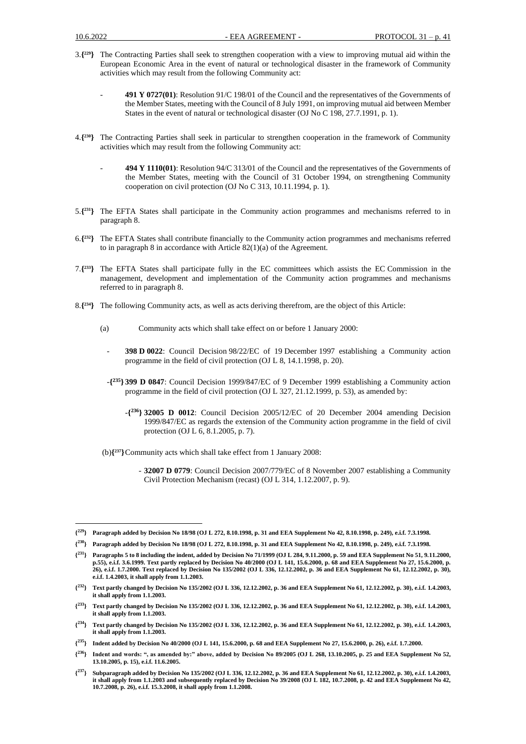- 3.**{ <sup>229</sup>}** The Contracting Parties shall seek to strengthen cooperation with a view to improving mutual aid within the European Economic Area in the event of natural or technological disaster in the framework of Community activities which may result from the following Community act:
	- **491 Y 0727(01)**: Resolution 91/C 198/01 of the Council and the representatives of the Governments of the Member States, meeting with the Council of 8 July 1991, on improving mutual aid between Member States in the event of natural or technological disaster (OJ No C 198, 27.7.1991, p. 1).
- 4.**{ <sup>230</sup>}** The Contracting Parties shall seek in particular to strengthen cooperation in the framework of Community activities which may result from the following Community act:
	- **494 Y 1110(01)**: Resolution 94/C 313/01 of the Council and the representatives of the Governments of the Member States, meeting with the Council of 31 October 1994, on strengthening Community cooperation on civil protection (OJ No C 313, 10.11.1994, p. 1).
- 5.**{ <sup>231</sup>}** The EFTA States shall participate in the Community action programmes and mechanisms referred to in paragraph 8.
- 6.**{ <sup>232</sup>}** The EFTA States shall contribute financially to the Community action programmes and mechanisms referred to in paragraph 8 in accordance with Article 82(1)(a) of the Agreement.
- 7.**{ <sup>233</sup>}** The EFTA States shall participate fully in the EC committees which assists the EC Commission in the management, development and implementation of the Community action programmes and mechanisms referred to in paragraph 8.
- 8.**{ <sup>234</sup>}** The following Community acts, as well as acts deriving therefrom, are the object of this Article:
	- (a) Community acts which shall take effect on or before 1 January 2000:
		- **398 D 0022**: Council Decision 98/22/EC of 19 December 1997 establishing a Community action programme in the field of civil protection (OJ L 8, 14.1.1998, p. 20).
		- -**{ <sup>235</sup>} 399 D 0847**: Council Decision 1999/847/EC of 9 December 1999 establishing a Community action programme in the field of civil protection (OJ L 327, 21.12.1999, p. 53), as amended by:
			- -**{ <sup>236</sup>} 32005 D 0012**: Council Decision 2005/12/EC of 20 December 2004 amending Decision 1999/847/EC as regards the extension of the Community action programme in the field of civil protection (OJ L 6, 8.1.2005, p. 7).
	- (b)**{ <sup>237</sup>}**Community acts which shall take effect from 1 January 2008:
		- **32007 D 0779**: Council Decision 2007/779/EC of 8 November 2007 establishing a Community Civil Protection Mechanism (recast) (OJ L 314, 1.12.2007, p. 9).

**{ <sup>236</sup>} Indent and words: ", as amended by:" above, added by Decision No 89/2005 (OJ L 268, 13.10.2005, p. 25 and EEA Supplement No 52, 13.10.2005, p. 15), e.i.f. 11.6.2005.**

**<sup>{</sup> <sup>229</sup>} Paragraph added by Decision No 18/98 (OJ L 272, 8.10.1998, p. 31 and EEA Supplement No 42, 8.10.1998, p. 249), e.i.f. 7.3.1998.**

**<sup>{</sup> <sup>230</sup>} Paragraph added by Decision No 18/98 (OJ L 272, 8.10.1998, p. 31 and EEA Supplement No 42, 8.10.1998, p. 249), e.i.f. 7.3.1998.**

**<sup>{</sup> <sup>231</sup>} Paragraphs 5 to 8 including the indent, added by Decision No 71/1999 (OJ L 284, 9.11.2000, p. 59 and EEA Supplement No 51, 9.11.2000,**  p.55), e.i.f. 3.6.1999. Text partly replaced by Decision No 40/2000 (OJ L 141, 15.6.2000, p. 68 and EEA Supplement No 27, 15.6.2000, p. **26), e.i.f. 1.7.2000. Text replaced by Decision No 135/2002 (OJ L 336, 12.12.2002, p. 36 and EEA Supplement No 61, 12.12.2002, p. 30), e.i.f. 1.4.2003, it shall apply from 1.1.2003.**

**<sup>{</sup> <sup>232</sup>} Text partly changed by Decision No 135/2002 (OJ L 336, 12.12.2002, p. 36 and EEA Supplement No 61, 12.12.2002, p. 30), e.i.f. 1.4.2003, it shall apply from 1.1.2003.**

 $\{^{233}\}$ **<sup>233</sup>} Text partly changed by Decision No 135/2002 (OJ L 336, 12.12.2002, p. 36 and EEA Supplement No 61, 12.12.2002, p. 30), e.i.f. 1.4.2003, it shall apply from 1.1.2003.**

**<sup>{</sup> <sup>234</sup>} Text partly changed by Decision No 135/2002 (OJ L 336, 12.12.2002, p. 36 and EEA Supplement No 61, 12.12.2002, p. 30), e.i.f. 1.4.2003, it shall apply from 1.1.2003.**

**<sup>{</sup> <sup>235</sup>} Indent added by Decision No 40/2000 (OJ L 141, 15.6.2000, p. 68 and EEA Supplement No 27, 15.6.2000, p. 26), e.i.f. 1.7.2000.**

**<sup>{</sup> <sup>237</sup>} Subparagraph added by Decision No 135/2002 (OJ L 336, 12.12.2002, p. 36 and EEA Supplement No 61, 12.12.2002, p. 30), e.i.f. 1.4.2003, it shall apply from 1.1.2003 and subsequently replaced by Decision No 39/2008 (OJ L 182, 10.7.2008, p. 42 and EEA Supplement No 42, 10.7.2008, p. 26), e.i.f. 15.3.2008, it shall apply from 1.1.2008.**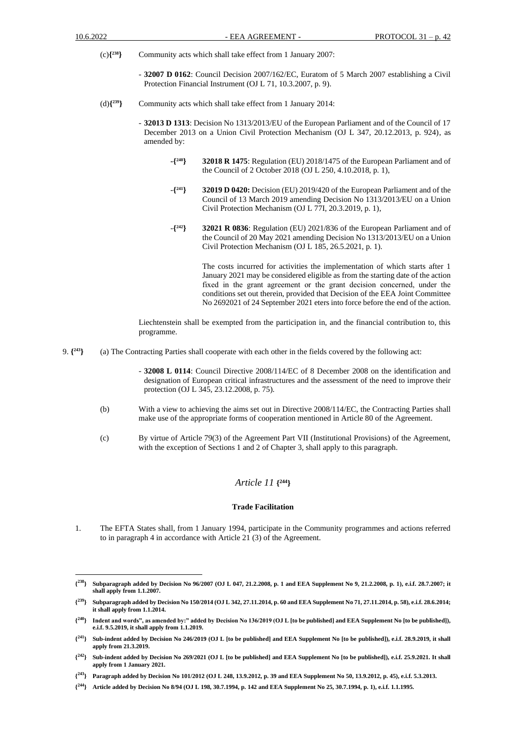- $(c)$ <sup>{238}</sup> **<sup>238</sup>}** Community acts which shall take effect from 1 January 2007:
	- **32007 D 0162**: Council Decision 2007/162/EC, Euratom of 5 March 2007 establishing a Civil Protection Financial Instrument (OJ L 71, 10.3.2007, p. 9).
- (d)**{ <sup>239</sup>}** Community acts which shall take effect from 1 January 2014:
	- **32013 D 1313**: Decision No 1313/2013/EU of the European Parliament and of the Council of 17 December 2013 on a Union Civil Protection Mechanism (OJ L 347, 20.12.2013, p. 924), as amended by:
		- **-{ <sup>240</sup>} 32018 R 1475**: Regulation (EU) 2018/1475 of the European Parliament and of the Council of 2 October 2018 (OJ L 250, 4.10.2018, p. 1),
		- -**{ <sup>241</sup>} 32019 D 0420:** Decision (EU) 2019/420 of the European Parliament and of the Council of 13 March 2019 amending Decision No 1313/2013/EU on a Union Civil Protection Mechanism (OJ L 77I, 20.3.2019, p. 1),
		- -**{ <sup>242</sup>} 32021 R 0836**: Regulation (EU) 2021/836 of the European Parliament and of the Council of 20 May 2021 amending Decision No 1313/2013/EU on a Union Civil Protection Mechanism (OJ L 185, 26.5.2021, p. 1).

The costs incurred for activities the implementation of which starts after 1 January 2021 may be considered eligible as from the starting date of the action fixed in the grant agreement or the grаnt decision concerned, under the conditions set out therein, provided that Decision of the EEA Joint Committee No 2692021 of 24 September 2021 eters into force before the end of the action.

Liechtenstein shall be exempted from the participation in, and the financial contribution to, this programme.

- 9. **{ <sup>243</sup>}** (a) The Contracting Parties shall cooperate with each other in the fields covered by the following act:
	- **32008 L 0114**: Council Directive 2008/114/EC of 8 December 2008 on the identification and designation of European critical infrastructures and the assessment of the need to improve their protection (OJ L 345, 23.12.2008, p. 75).
	- (b) With a view to achieving the aims set out in Directive 2008/114/EC, the Contracting Parties shall make use of the appropriate forms of cooperation mentioned in Article 80 of the Agreement.
	- (c) By virtue of Article 79(3) of the Agreement Part VII (Institutional Provisions) of the Agreement, with the exception of Sections 1 and 2 of Chapter 3, shall apply to this paragraph.

### *Article 11* **{ <sup>244</sup>}**

#### **Trade Facilitation**

1. The EFTA States shall, from 1 January 1994, participate in the Community programmes and actions referred to in paragraph 4 in accordance with Article 21 (3) of the Agreement.

 $\{^{238}\}$ **<sup>238</sup>} Subparagraph added by Decision No 96/2007 (OJ L 047, 21.2.2008, p. 1 and EEA Supplement No 9, 21.2.2008, p. 1), e.i.f. 28.7.2007; it shall apply from 1.1.2007.**

**<sup>{</sup> <sup>239</sup>} Subparagraph added by Decision No 150/2014 (OJ L 342, 27.11.2014, p. 60 and EEA Supplement No 71, 27.11.2014, p. 58), e.i.f. 28.6.2014; it shall apply from 1.1.2014.**

**<sup>{</sup> <sup>240</sup>} Indent and words", as amended by:" added by Decision No 136/2019 (OJ L [to be published] and EEA Supplement No [to be published]), e.i.f. 9.5.2019, it shall apply from 1.1.2019.**

**<sup>{</sup> <sup>241</sup>} Sub-indent added by Decision No 246/2019 (OJ L [to be published] and EEA Supplement No [to be published]), e.i.f. 28.9.2019, it shall apply from 21.3.2019.**

**<sup>{</sup> <sup>242</sup>} Sub-indent added by Decision No 269/2021 (OJ L [to be published] and EEA Supplement No [to be published]), e.i.f. 25.9.2021. It shall apply from 1 January 2021.**

**<sup>{</sup> <sup>243</sup>} Paragraph added by Decision No 101/2012 (OJ L 248, 13.9.2012, p. 39 and EEA Supplement No 50, 13.9.2012, p. 45), e.i.f. 5.3.2013.**

**<sup>{</sup> <sup>244</sup>} Article added by Decision No 8/94 (OJ L 198, 30.7.1994, p. 142 and EEA Supplement No 25, 30.7.1994, p. 1), e.i.f. 1.1.1995.**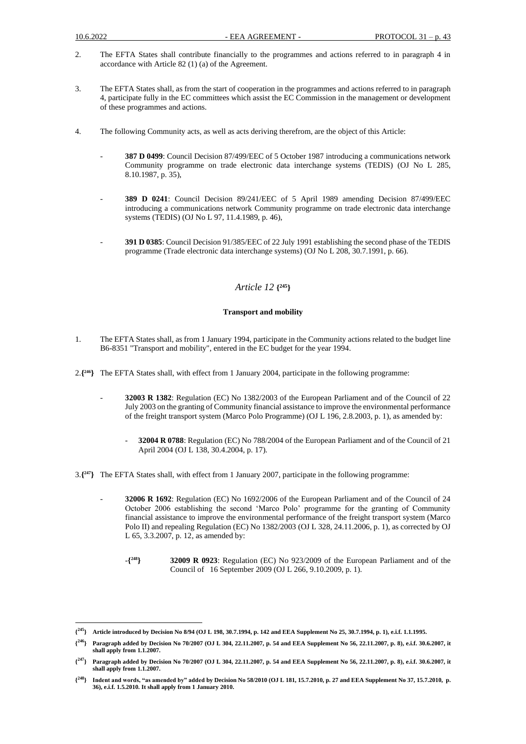- 2. The EFTA States shall contribute financially to the programmes and actions referred to in paragraph 4 in accordance with Article 82 (1) (a) of the Agreement.
- 3. The EFTA States shall, as from the start of cooperation in the programmes and actions referred to in paragraph 4, participate fully in the EC committees which assist the EC Commission in the management or development of these programmes and actions.
- 4. The following Community acts, as well as acts deriving therefrom, are the object of this Article:
	- **387 D 0499**: Council Decision 87/499/EEC of 5 October 1987 introducing a communications network Community programme on trade electronic data interchange systems (TEDIS) (OJ No L 285, 8.10.1987, p. 35),
	- **389 D 0241**: Council Decision 89/241/EEC of 5 April 1989 amending Decision 87/499/EEC introducing a communications network Community programme on trade electronic data interchange systems (TEDIS) (OJ No L 97, 11.4.1989, p. 46),
	- **391 D 0385**: Council Decision 91/385/EEC of 22 July 1991 establishing the second phase of the TEDIS programme (Trade electronic data interchange systems) (OJ No L 208, 30.7.1991, p. 66).

## *Article 12* **{ <sup>245</sup>}**

### **Transport and mobility**

- 1. The EFTA States shall, as from 1 January 1994, participate in the Community actions related to the budget line B6-8351 "Transport and mobility", entered in the EC budget for the year 1994.
- 2.**{ <sup>246</sup>}** The EFTA States shall, with effect from 1 January 2004, participate in the following programme:
	- **32003 R 1382**: Regulation (EC) No 1382/2003 of the European Parliament and of the Council of 22 July 2003 on the granting of Community financial assistance to improve the environmental performance of the freight transport system (Marco Polo Programme) (OJ L 196, 2.8.2003, p. 1), as amended by:
		- **32004 R 0788**: Regulation (EC) No 788/2004 of the European Parliament and of the Council of 21 April 2004 (OJ L 138, 30.4.2004, p. 17).
- 3.**{ <sup>247</sup>}** The EFTA States shall, with effect from 1 January 2007, participate in the following programme:
	- **32006 R 1692**: Regulation (EC) No 1692/2006 of the European Parliament and of the Council of 24 October 2006 establishing the second 'Marco Polo' programme for the granting of Community financial assistance to improve the environmental performance of the freight transport system (Marco Polo II) and repealing Regulation (EC) No 1382/2003 (OJ L 328, 24.11.2006, p. 1), as corrected by OJ L 65, 3.3.2007, p. 12, as amended by:
		- -**{ <sup>248</sup>} 32009 R 0923**: Regulation (EC) No 923/2009 of the European Parliament and of the Council of 16 September 2009 (OJ L 266, 9.10.2009, p. 1).

**<sup>{</sup> <sup>245</sup>} Article introduced by Decision No 8/94 (OJ L 198, 30.7.1994, p. 142 and EEA Supplement No 25, 30.7.1994, p. 1), e.i.f. 1.1.1995.**

**<sup>{</sup> <sup>246</sup>} Paragraph added by Decision No 70/2007 (OJ L 304, 22.11.2007, p. 54 and EEA Supplement No 56, 22.11.2007, p. 8), e.i.f. 30.6.2007, it shall apply from 1.1.2007.**

**<sup>{</sup> <sup>247</sup>} Paragraph added by Decision No 70/2007 (OJ L 304, 22.11.2007, p. 54 and EEA Supplement No 56, 22.11.2007, p. 8), e.i.f. 30.6.2007, it shall apply from 1.1.2007.**

**<sup>{</sup> <sup>248</sup>} Indent and words, "as amended by" added by Decision No 58/2010 (OJ L 181, 15.7.2010, p. 27 and EEA Supplement No 37, 15.7.2010, p. 36), e.i.f. 1.5.2010. It shall apply from 1 January 2010.**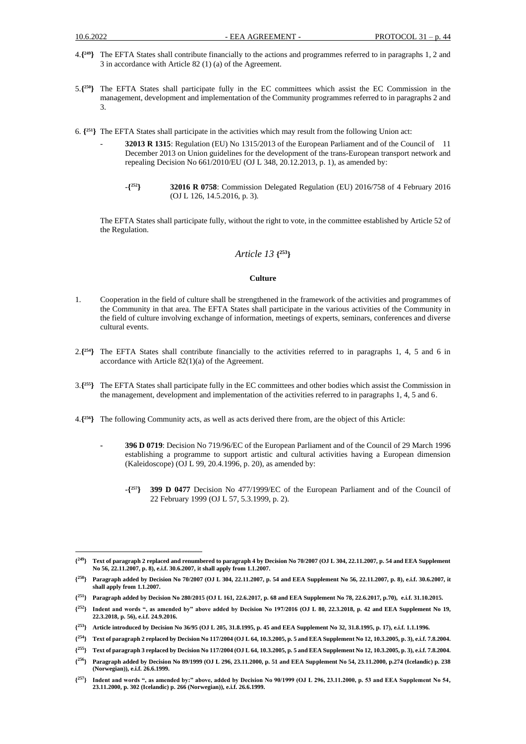- 4.**{ <sup>249</sup>}** The EFTA States shall contribute financially to the actions and programmes referred to in paragraphs 1, 2 and 3 in accordance with Article 82 (1) (a) of the Agreement.
- 5.**{ <sup>250</sup>}** The EFTA States shall participate fully in the EC committees which assist the EC Commission in the management, development and implementation of the Community programmes referred to in paragraphs 2 and 3.
- 6. **{ <sup>251</sup>}** The EFTA States shall participate in the activities which may result from the following Union act:
	- **32013 R 1315**: Regulation (EU) No 1315/2013 of the European Parliament and of the Council of 11 December 2013 on Union guidelines for the development of the trans-European transport network and repealing Decision No 661/2010/EU (OJ L 348, 20.12.2013, p. 1), as amended by:
		- -**{ <sup>252</sup>} 32016 R 0758**: Commission Delegated Regulation (EU) 2016/758 of 4 February 2016 (OJ L 126, 14.5.2016, p. 3).

The EFTA States shall participate fully, without the right to vote, in the committee established by Article 52 of the Regulation.

### *Article 13* **{ <sup>253</sup>}**

#### **Culture**

- 1. Cooperation in the field of culture shall be strengthened in the framework of the activities and programmes of the Community in that area. The EFTA States shall participate in the various activities of the Community in the field of culture involving exchange of information, meetings of experts, seminars, conferences and diverse cultural events.
- 2.**{ <sup>254</sup>}** The EFTA States shall contribute financially to the activities referred to in paragraphs 1, 4, 5 and 6 in accordance with Article 82(1)(a) of the Agreement.
- 3.**{ <sup>255</sup>}** The EFTA States shall participate fully in the EC committees and other bodies which assist the Commission in the management, development and implementation of the activities referred to in paragraphs 1, 4, 5 and 6.
- 4.**{ <sup>256</sup>}** The following Community acts, as well as acts derived there from, are the object of this Article:
	- **- 396 D 0719**: Decision No 719/96/EC of the European Parliament and of the Council of 29 March 1996 establishing a programme to support artistic and cultural activities having a European dimension (Kaleidoscope) (OJ L 99, 20.4.1996, p. 20), as amended by:
		- -**{ <sup>257</sup>} 399 D 0477** Decision No 477/1999/EC of the European Parliament and of the Council of 22 February 1999 (OJ L 57, 5.3.1999, p. 2).

**<sup>{</sup> <sup>249</sup>} Text of paragraph 2 replaced and renumbered to paragraph 4 by Decision No 70/2007 (OJ L 304, 22.11.2007, p. 54 and EEA Supplement No 56, 22.11.2007, p. 8), e.i.f. 30.6.2007, it shall apply from 1.1.2007.**

**<sup>{</sup> <sup>250</sup>} Paragraph added by Decision No 70/2007 (OJ L 304, 22.11.2007, p. 54 and EEA Supplement No 56, 22.11.2007, p. 8), e.i.f. 30.6.2007, it shall apply from 1.1.2007.**

**<sup>{</sup> <sup>251</sup>} Paragraph added by Decision No 280/2015 (OJ L 161, 22.6.2017, p. 68 and EEA Supplement No 78, 22.6.2017, p.70), e.i.f. 31.10.2015.**

**<sup>{</sup> <sup>252</sup>} Indent and words ", as amended by" above added by Decision No 197/2016 (OJ L 80, 22.3.2018, p. 42 and EEA Supplement No 19, 22.3.2018, p. 56), e.i.f. 24.9.2016.**

**<sup>{</sup> <sup>253</sup>} Article introduced by Decision No 36/95 (OJ L 205, 31.8.1995, p. 45 and EEA Supplement No 32, 31.8.1995, p. 17), e.i.f. 1.1.1996.**

**<sup>{</sup> <sup>254</sup>} Text of paragraph 2 replaced by Decision No 117/2004 (OJ L 64, 10.3.2005, p. 5 and EEA Supplement No 12, 10.3.2005, p. 3), e.i.f. 7.8.2004.**

**<sup>{</sup> <sup>255</sup>} Text of paragraph 3 replaced by Decision No 117/2004 (OJ L 64, 10.3.2005, p. 5 and EEA Supplement No 12, 10.3.2005, p. 3), e.i.f. 7.8.2004.**

**<sup>{</sup> <sup>256</sup>} Paragraph added by Decision No 89/1999 (OJ L 296, 23.11.2000, p. 51 and EEA Supplement No 54, 23.11.2000, p.274 (Icelandic) p. 238 (Norwegian)), e.i.f. 26.6.1999.**

 $\{^{257}\}$ **<sup>257</sup>} Indent and words ", as amended by:" above, added by Decision No 90/1999 (OJ L 296, 23.11.2000, p. 53 and EEA Supplement No 54, 23.11.2000, p. 302 (Icelandic) p. 266 (Norwegian)), e.i.f. 26.6.1999.**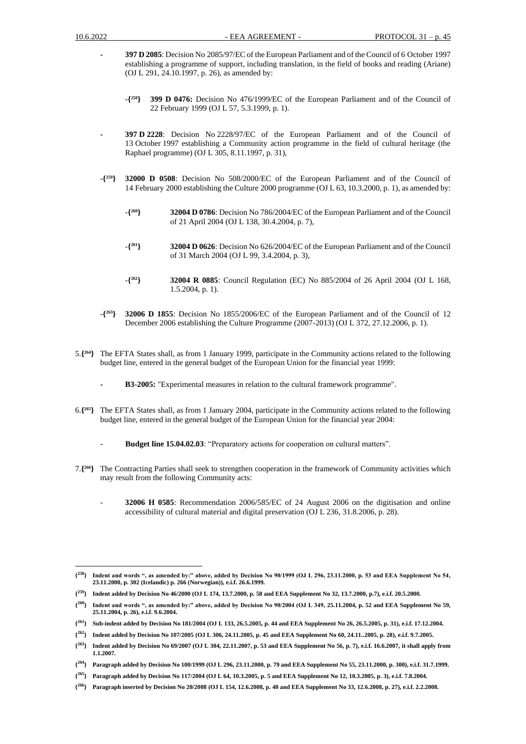- **- 397 D 2085**: Decision No 2085/97/EC of the European Parliament and of the Council of 6 October 1997 establishing a programme of support, including translation, in the field of books and reading (Ariane) (OJ L 291, 24.10.1997, p. 26), as amended by:
	- **-{ <sup>258</sup>} 399 D 0476:** Decision No 476/1999/EC of the European Parliament and of the Council of 22 February 1999 (OJ L 57, 5.3.1999, p. 1).
- **- 397 D 2228**: Decision No 2228/97/EC of the European Parliament and of the Council of 13 October 1997 establishing a Community action programme in the field of cultural heritage (the Raphael programme) (OJ L 305, 8.11.1997, p. 31),
- $-\binom{259}{ }$ **<sup>259</sup>} 32000 D 0508**: Decision No 508/2000/EC of the European Parliament and of the Council of 14 February 2000 establishing the Culture 2000 programme (OJ L 63, 10.3.2000, p. 1), as amended by:
	- -**{ <sup>260</sup>} 32004 D 0786**: Decision No 786/2004/EC of the European Parliament and of the Council of 21 April 2004 (OJ L 138, 30.4.2004, p. 7),
	- -**{ <sup>261</sup>} 32004 D 0626**: Decision No 626/2004/EC of the European Parliament and of the Council of 31 March 2004 (OJ L 99, 3.4.2004, p. 3),
	- -**{ <sup>262</sup>} 32004 R 0885**: Council Regulation (EC) No 885/2004 of 26 April 2004 (OJ L 168, 1.5.2004, p. 1).
- -**{ <sup>263</sup>} 32006 D 1855**: Decision No 1855/2006/EC of the European Parliament and of the Council of 12 December 2006 establishing the Culture Programme (2007-2013) (OJ L 372, 27.12.2006, p. 1).
- 5.**{ <sup>264</sup>}** The EFTA States shall, as from 1 January 1999, participate in the Community actions related to the following budget line, entered in the general budget of the European Union for the financial year 1999:
	- **- B3-2005:** "Experimental measures in relation to the cultural framework programme".
- 6.**{ <sup>265</sup>}** The EFTA States shall, as from 1 January 2004, participate in the Community actions related to the following budget line, entered in the general budget of the European Union for the financial year 2004:
	- **Budget line 15.04.02.03**: "Preparatory actions for cooperation on cultural matters".
- 7.**{ <sup>266</sup>}** The Contracting Parties shall seek to strengthen cooperation in the framework of Community activities which may result from the following Community acts:
	- **32006 H 0585**: Recommendation 2006/585/EC of 24 August 2006 on the digitisation and online accessibility of cultural material and digital preservation (OJ L 236, 31.8.2006, p. 28).

 ${^{258}}$ } **<sup>258</sup>} Indent and words ", as amended by:" above, added by Decision No 90/1999 (OJ L 296, 23.11.2000, p. 53 and EEA Supplement No 54, 23.11.2000, p. 302 (Icelandic) p. 266 (Norwegian)), e.i.f. 26.6.1999.**

**<sup>{</sup> <sup>259</sup>} Indent added by Decision No 46/2000 (OJ L 174, 13.7.2000, p. 58 and EEA Supplement No 32, 13.7.2000, p.7), e.i.f. 20.5.2000.**

**<sup>{</sup> <sup>260</sup>} Indent and words ", as amended by:" above, added by Decision No 90/2004 (OJ L 349, 25.11.2004, p. 52 and EEA Supplement No 59, 25.11.2004, p. 26), e.i.f. 9.6.2004.**

**<sup>{</sup> <sup>261</sup>} Sub-indent added by Decision No 181/2004 (OJ L 133, 26.5.2005, p. 44 and EEA Supplement No 26, 26.5.2005, p. 31), e.i.f. 17.12.2004.** 

**<sup>{</sup> <sup>262</sup>} Indent added by Decision No 107/2005 (OJ L 306, 24.11.2005, p. 45 and EEA Supplement No 60, 24.11..2005, p. 28), e.i.f. 9.7.2005.** 

**<sup>{</sup> <sup>263</sup>} Indent added by Decision No 69/2007 (OJ L 304, 22.11.2007, p. 53 and EEA Supplement No 56, p. 7), e.i.f. 16.6.2007, it shall apply from 1.1.2007.**

**<sup>{</sup> <sup>264</sup>} Paragraph added by Decision No 100/1999 (OJ L 296, 23.11.2000, p. 79 and EEA Supplement No 55, 23.11.2000, p. 300), e.i.f. 31.7.1999.**

**<sup>{</sup> <sup>265</sup>} Paragraph added by Decision No 117/2004 (OJ L 64, 10.3.2005, p. 5 and EEA Supplement No 12, 10.3.2005, p. 3), e.i.f. 7.8.2004.**

**<sup>{</sup> <sup>266</sup>} Paragraph inserted by Decision No 20/2008 (OJ L 154, 12.6.2008, p. 40 and EEA Supplement No 33, 12.6.2008, p. 27), e.i.f. 2.2.2008.**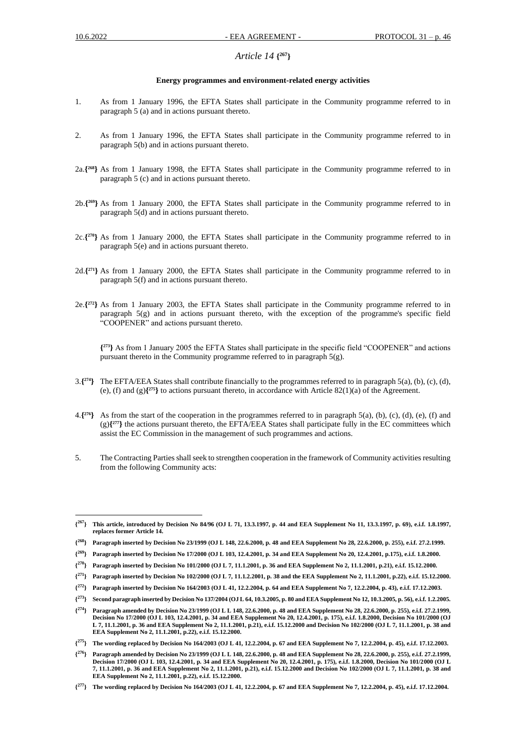# *Article 14* **{ <sup>267</sup>}**

#### **Energy programmes and environment-related energy activities**

- 1. As from 1 January 1996, the EFTA States shall participate in the Community programme referred to in paragraph 5 (a) and in actions pursuant thereto.
- 2. As from 1 January 1996, the EFTA States shall participate in the Community programme referred to in paragraph 5(b) and in actions pursuant thereto.
- 2a.**{ <sup>268</sup>}** As from 1 January 1998, the EFTA States shall participate in the Community programme referred to in paragraph 5 (c) and in actions pursuant thereto.
- 2b.**{ <sup>269</sup>}** As from 1 January 2000, the EFTA States shall participate in the Community programme referred to in paragraph 5(d) and in actions pursuant thereto.
- 2c.**{ <sup>270</sup>}** As from 1 January 2000, the EFTA States shall participate in the Community programme referred to in paragraph 5(e) and in actions pursuant thereto.
- 2d.**{ <sup>271</sup>}** As from 1 January 2000, the EFTA States shall participate in the Community programme referred to in paragraph 5(f) and in actions pursuant thereto.
- 2e.**{ <sup>272</sup>}** As from 1 January 2003, the EFTA States shall participate in the Community programme referred to in paragraph 5(g) and in actions pursuant thereto, with the exception of the programme's specific field "COOPENER" and actions pursuant thereto.

**{ <sup>273</sup>}** As from 1 January 2005 the EFTA States shall participate in the specific field "COOPENER" and actions pursuant thereto in the Community programme referred to in paragraph 5(g).

- 3.**{ <sup>274</sup>}** The EFTA/EEA States shall contribute financially to the programmes referred to in paragraph 5(a), (b), (c), (d), (e), (f) and  $(g)$ <sup> $\{275\}$ </sup> to actions pursuant thereto, in accordance with Article 82(1)(a) of the Agreement.
- 4.**{ <sup>276</sup>}** As from the start of the cooperation in the programmes referred to in paragraph 5(a), (b), (c), (d), (e), (f) and  $(g)$ <sup>277</sup>} the actions pursuant thereto, the EFTA/EEA States shall participate fully in the EC committees which assist the EC Commission in the management of such programmes and actions.
- 5. The Contracting Parties shall seek to strengthen cooperation in the framework of Community activities resulting from the following Community acts:

**<sup>{</sup> <sup>267</sup>} This article, introduced by Decision No 84/96 (OJ L 71, 13.3.1997, p. 44 and EEA Supplement No 11, 13.3.1997, p. 69), e.i.f. 1.8.1997, replaces former Article 14.**

**<sup>{</sup> <sup>268</sup>} Paragraph inserted by Decision No 23/1999 (OJ L 148, 22.6.2000, p. 48 and EEA Supplement No 28, 22.6.2000, p. 255), e.i.f. 27.2.1999.**

**<sup>{</sup> <sup>269</sup>} Paragraph inserted by Decision No 17/2000 (OJ L 103, 12.4.2001, p. 34 and EEA Supplement No 20, 12.4.2001, p.175), e.i.f. 1.8.2000.**

**<sup>{</sup> <sup>270</sup>} Paragraph inserted by Decision No 101/2000 (OJ L 7, 11.1.2001, p. 36 and EEA Supplement No 2, 11.1.2001, p.21), e.i.f. 15.12.2000.**

**<sup>{</sup> <sup>271</sup>} Paragraph inserted by Decision No 102/2000 (OJ L 7, 11.1.2.2001, p. 38 and the EEA Supplement No 2, 11.1.2001, p.22), e.i.f. 15.12.2000.**

**<sup>{</sup> <sup>272</sup>} Paragraph inserted by Decision No 164/2003 (OJ L 41, 12.2.2004, p. 64 and EEA Supplement No 7, 12.2.2004, p. 43), e.i.f. 17.12.2003.** 

**<sup>{</sup> <sup>273</sup>} Second paragraph inserted by Decision No 137/2004 (OJ L 64, 10.3.2005, p. 80 and EEA Supplement No 12, 10.3.2005, p. 56), e.i.f. 1.2.2005.**

 $\{^{274}\}$ **<sup>274</sup>} Paragraph amended by Decision No 23/1999 (OJ L L 148, 22.6.2000, p. 48 and EEA Supplement No 28, 22.6.2000, p. 255), e.i.f. 27.2.1999, Decision No 17/2000 (OJ L 103, 12.4.2001, p. 34 and EEA Supplement No 20, 12.4.2001, p. 175), e.i.f. 1.8.2000, Decision No 101/2000 (OJ L 7, 11.1.2001, p. 36 and EEA Supplement No 2, 11.1.2001, p.21), e.i.f. 15.12.2000 and Decision No 102/2000 (OJ L 7, 11.1.2001, p. 38 and EEA Supplement No 2, 11.1.2001, p.22), e.i.f. 15.12.2000.**

**<sup>{</sup> <sup>275</sup>} The wording replaced by Decision No 164/2003 (OJ L 41, 12.2.2004, p. 67 and EEA Supplement No 7, 12.2.2004, p. 45), e.i.f. 17.12.2003.**

**<sup>{</sup> <sup>276</sup>} Paragraph amended by Decision No 23/1999 (OJ L L 148, 22.6.2000, p. 48 and EEA Supplement No 28, 22.6.2000, p. 255), e.i.f. 27.2.1999, Decision 17/2000 (OJ L 103, 12.4.2001, p. 34 and EEA Supplement No 20, 12.4.2001, p. 175), e.i.f. 1.8.2000, Decision No 101/2000 (OJ L 7, 11.1.2001, p. 36 and EEA Supplement No 2, 11.1.2001, p.21), e.i.f. 15.12.2000 and Decision No 102/2000 (OJ L 7, 11.1.2001, p. 38 and EEA Supplement No 2, 11.1.2001, p.22), e.i.f. 15.12.2000.**

**<sup>{</sup> <sup>277</sup>} The wording replaced by Decision No 164/2003 (OJ L 41, 12.2.2004, p. 67 and EEA Supplement No 7, 12.2.2004, p. 45), e.i.f. 17.12.2004.**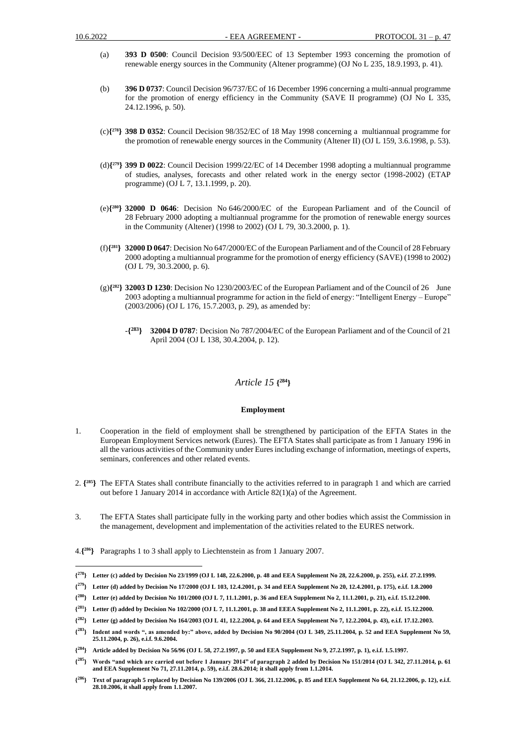- (a) **393 D 0500**: Council Decision 93/500/EEC of 13 September 1993 concerning the promotion of renewable energy sources in the Community (Altener programme) (OJ No L 235, 18.9.1993, p. 41).
- (b) **396 D 0737**: Council Decision 96/737/EC of 16 December 1996 concerning a multi-annual programme for the promotion of energy efficiency in the Community (SAVE II programme) (OJ No L 335, 24.12.1996, p. 50).
- (c)**{ <sup>278</sup>} 398 D 0352**: Council Decision 98/352/EC of 18 May 1998 concerning a multiannual programme for the promotion of renewable energy sources in the Community (Altener II) (OJ L 159, 3.6.1998, p. 53).
- (d)**{ <sup>279</sup>} 399 D 0022**: Council Decision 1999/22/EC of 14 December 1998 adopting a multiannual programme of studies, analyses, forecasts and other related work in the energy sector (1998-2002) (ETAP programme) (OJ L 7, 13.1.1999, p. 20).
- (e)**{ <sup>280</sup>} 32000 D 0646**: Decision No 646/2000/EC of the European Parliament and of the Council of 28 February 2000 adopting a multiannual programme for the promotion of renewable energy sources in the Community (Altener) (1998 to 2002) (OJ L 79, 30.3.2000, p. 1).
- (f)**{ <sup>281</sup>} 32000 D 0647**: Decision No 647/2000/EC of the European Parliament and of the Council of 28 February 2000 adopting a multiannual programme for the promotion of energy efficiency (SAVE) (1998 to 2002) (OJ L 79, 30.3.2000, p. 6).
- (g)**{ <sup>282</sup>} 32003 D 1230**: Decision No 1230/2003/EC of the European Parliament and of the Council of 26 June 2003 adopting a multiannual programme for action in the field of energy: "Intelligent Energy – Europe" (2003/2006) (OJ L 176, 15.7.2003, p. 29), as amended by:
	- -**{ <sup>283</sup>} 32004 D 0787**: Decision No 787/2004/EC of the European Parliament and of the Council of 21 April 2004 (OJ L 138, 30.4.2004, p. 12).

### *Article 15* **{ <sup>284</sup>}**

#### **Employment**

- 1. Cooperation in the field of employment shall be strengthened by participation of the EFTA States in the European Employment Services network (Eures). The EFTA States shall participate as from 1 January 1996 in all the various activities of the Community under Eures including exchange of information, meetings of experts, seminars, conferences and other related events.
- 2. **{ <sup>285</sup>}** The EFTA States shall contribute financially to the activities referred to in paragraph 1 and which are carried out before 1 January 2014 in accordance with Article 82(1)(a) of the Agreement.
- 3. The EFTA States shall participate fully in the working party and other bodies which assist the Commission in the management, development and implementation of the activities related to the EURES network.

<sup>4.</sup>**{ <sup>286</sup>}** Paragraphs 1 to 3 shall apply to Liechtenstein as from 1 January 2007.

**<sup>{</sup> <sup>278</sup>} Letter (c) added by Decision No 23/1999 (OJ L 148, 22.6.2000, p. 48 and EEA Supplement No 28, 22.6.2000, p. 255), e.i.f. 27.2.1999.**

**<sup>{</sup> <sup>279</sup>} Letter (d) added by Decision No 17/2000 (OJ L 103, 12.4.2001, p. 34 and EEA Supplement No 20, 12.4.2001, p. 175), e.i.f. 1.8.2000**

**<sup>{</sup> <sup>280</sup>} Letter (e) added by Decision No 101/2000 (OJ L 7, 11.1.2001, p. 36 and EEA Supplement No 2, 11.1.2001, p. 21), e.i.f. 15.12.2000.**

**<sup>{</sup> <sup>281</sup>} Letter (f) added by Decision No 102/2000 (OJ L 7, 11.1.2001, p. 38 and EEEA Supplement No 2, 11.1.2001, p. 22), e.i.f. 15.12.2000.**

**<sup>{</sup> <sup>282</sup>} Letter (g) added by Decision No 164/2003 (OJ L 41, 12.2.2004, p. 64 and EEA Supplement No 7, 12.2.2004, p. 43), e.i.f. 17.12.2003.** 

**<sup>{</sup> <sup>283</sup>} Indent and words ", as amended by:" above, added by Decision No 90/2004 (OJ L 349, 25.11.2004, p. 52 and EEA Supplement No 59, 25.11.2004, p. 26), e.i.f. 9.6.2004.**

**<sup>{</sup> <sup>284</sup>} Article added by Decision No 56/96 (OJ L 58, 27.2.1997, p. 50 and EEA Supplement No 9, 27.2.1997, p. 1), e.i.f. 1.5.1997.**

**<sup>{</sup> <sup>285</sup>} Words "and which are carried out before 1 January 2014" of paragraph 2 added by Decision No 151/2014 (OJ L 342, 27.11.2014, p. 61 and EEA Supplement No 71, 27.11.2014, p. 59), e.i.f. 28.6.2014; it shall apply from 1.1.2014.**

**<sup>{</sup> <sup>286</sup>} Text of paragraph 5 replaced by Decision No 139/2006 (OJ L 366, 21.12.2006, p. 85 and EEA Supplement No 64, 21.12.2006, p. 12), e.i.f. 28.10.2006, it shall apply from 1.1.2007.**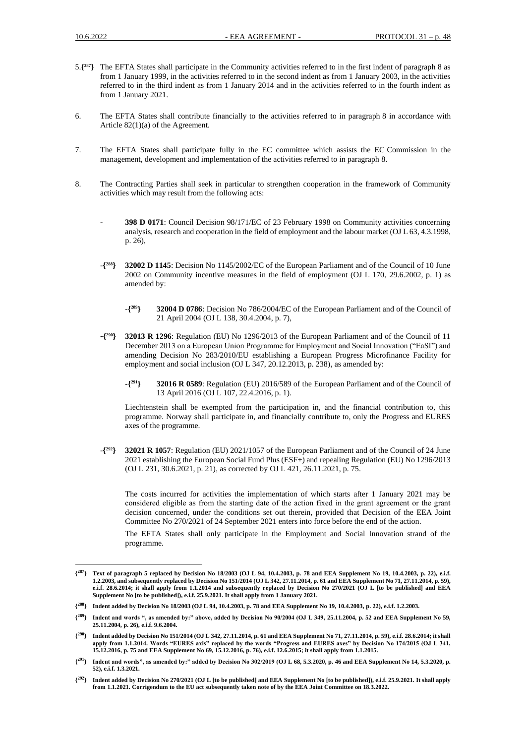- 5.**{ <sup>287</sup>}** The EFTA States shall participate in the Community activities referred to in the first indent of paragraph 8 as from 1 January 1999, in the activities referred to in the second indent as from 1 January 2003, in the activities referred to in the third indent as from 1 January 2014 and in the activities referred to in the fourth indent as from 1 January 2021.
- 6. The EFTA States shall contribute financially to the activities referred to in paragraph 8 in accordance with Article 82(1)(a) of the Agreement.
- 7. The EFTA States shall participate fully in the EC committee which assists the EC Commission in the management, development and implementation of the activities referred to in paragraph 8.
- 8. The Contracting Parties shall seek in particular to strengthen cooperation in the framework of Community activities which may result from the following acts:
	- **- 398 D 0171**: Council Decision 98/171/EC of 23 February 1998 on Community activities concerning analysis, research and cooperation in the field of employment and the labour market (OJ L 63, 4.3.1998, p. 26),
	- -**{ <sup>288</sup>} 32002 D 1145**: Decision No 1145/2002/EC of the European Parliament and of the Council of 10 June 2002 on Community incentive measures in the field of employment (OJ L 170, 29.6.2002, p. 1) as amended by:
		- -**{ <sup>289</sup>} 32004 D 0786**: Decision No 786/2004/EC of the European Parliament and of the Council of 21 April 2004 (OJ L 138, 30.4.2004, p. 7),
	- **-{ <sup>290</sup>} 32013 R 1296**: Regulation (EU) No 1296/2013 of the European Parliament and of the Council of 11 December 2013 on a European Union Programme for Employment and Social Innovation ("EaSI") and amending Decision No 283/2010/EU establishing a European Progress Microfinance Facility for employment and social inclusion (OJ L 347, 20.12.2013, p. 238), as amended by:
		- -**{ <sup>291</sup>} 32016 R 0589**: Regulation (EU) 2016/589 of the European Parliament and of the Council of 13 April 2016 (OJ L 107, 22.4.2016, p. 1).

Liechtenstein shall be exempted from the participation in, and the financial contribution to, this programme. Norway shall participate in, and financially contribute to, only the Progress and EURES axes of the programme.

-**{ <sup>292</sup>} 32021 R 1057**: Regulation (EU) 2021/1057 of the European Parliament and of the Council of 24 June 2021 establishing the European Social Fund Plus (ESF+) and repealing Regulation (EU) No 1296/2013 (OJ L 231, 30.6.2021, p. 21), as corrected by OJ L 421, 26.11.2021, p. 75.

The costs incurred for activities the implementation of which starts after 1 January 2021 may be considered eligible as from the starting date of the action fixed in the grant agreement or the grаnt decision concerned, under the conditions set out therein, provided that Decision of the EEA Joint Committee No 270/2021 of 24 September 2021 enters into force before the end of the action.

The EFTA States shall only participate in the Employment and Social Innovation strand of the programme.

**<sup>{</sup> <sup>287</sup>} Text of paragraph 5 replaced by Decision No 18/2003 (OJ L 94, 10.4.2003, p. 78 and EEA Supplement No 19, 10.4.2003, p. 22), e.i.f. 1.2.2003, and subsequently replaced by Decision No 151/2014 (OJ L 342, 27.11.2014, p. 61 and EEA Supplement No 71, 27.11.2014, p. 59), e.i.f. 28.6.2014; it shall apply from 1.1.2014 and subsequently replaced by Decision No 270/2021 (OJ L [to be published] and EEA Supplement No [to be published]), e.i.f. 25.9.2021. It shall apply from 1 January 2021.**

**<sup>{</sup> <sup>288</sup>} Indent added by Decision No 18/2003 (OJ L 94, 10.4.2003, p. 78 and EEA Supplement No 19, 10.4.2003, p. 22), e.i.f. 1.2.2003.**

**<sup>{</sup> <sup>289</sup>} Indent and words ", as amended by:" above, added by Decision No 90/2004 (OJ L 349, 25.11.2004, p. 52 and EEA Supplement No 59, 25.11.2004, p. 26), e.i.f. 9.6.2004.**

**<sup>{</sup> <sup>290</sup>} Indent added by Decision No 151/2014 (OJ L 342, 27.11.2014, p. 61 and EEA Supplement No 71, 27.11.2014, p. 59), e.i.f. 28.6.2014; it shall apply from 1.1.2014. Words "EURES axis" replaced by the words "Progress and EURES axes" by Decision No 174/2015 (OJ L 341, 15.12.2016, p. 75 and EEA Supplement No 69, 15.12.2016, p. 76), e.i.f. 12.6.2015; it shall apply from 1.1.2015.**

**<sup>{</sup> <sup>291</sup>} Indent and words", as amended by:" added by Decision No 302/2019 (OJ L 68, 5.3.2020, p. 46 and EEA Supplement No 14, 5.3.2020, p. 52), e.i.f. 1.3.2021.**

 $\{^{292}\}$ **<sup>292</sup>} Indent added by Decision No 270/2021 (OJ L [to be published] and EEA Supplement No [to be published]), e.i.f. 25.9.2021. It shall apply from 1.1.2021. Corrigendum to the EU act subsequently taken note of by the EEA Joint Committee on 18.3.2022.**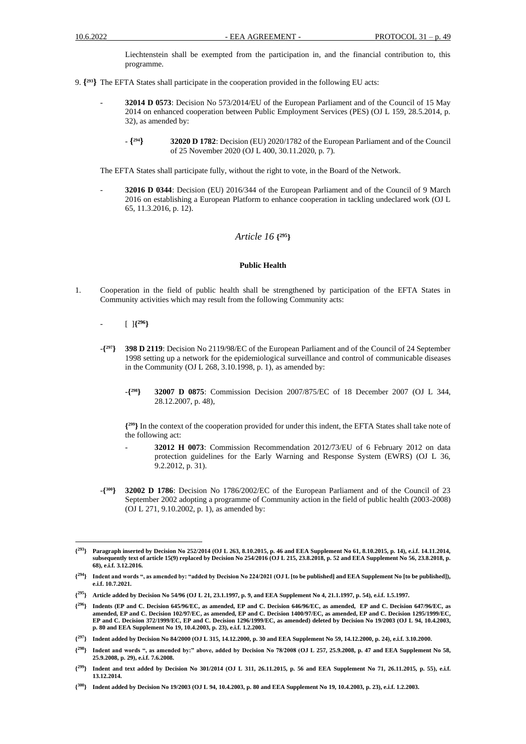Liechtenstein shall be exempted from the participation in, and the financial contribution to, this programme.

- 9. **{ <sup>293</sup>}** The EFTA States shall participate in the cooperation provided in the following EU acts:
	- **32014 D 0573**: Decision No 573/2014/EU of the European Parliament and of the Council of 15 May 2014 on enhanced cooperation between Public Employment Services (PES) (OJ L 159, 28.5.2014, p. 32), as amended by:
		- **{ <sup>294</sup>} 32020 D 1782**: Decision (EU) 2020/1782 of the European Parliament and of the Council of 25 November 2020 (OJ L 400, 30.11.2020, p. 7).

The EFTA States shall participate fully, without the right to vote, in the Board of the Network.

- **32016 D 0344**: Decision (EU) 2016/344 of the European Parliament and of the Council of 9 March 2016 on establishing a European Platform to enhance cooperation in tackling undeclared work (OJ L 65, 11.3.2016, p. 12).

### *Article 16* **{ <sup>295</sup>}**

#### **Public Health**

- 1. Cooperation in the field of public health shall be strengthened by participation of the EFTA States in Community activities which may result from the following Community acts:
	- [ ]**{ <sup>296</sup>}**
	- $-\binom{297}{ }$ **<sup>297</sup>} 398 D 2119**: Decision No 2119/98/EC of the European Parliament and of the Council of 24 September 1998 setting up a network for the epidemiological surveillance and control of communicable diseases in the Community (OJ L 268, 3.10.1998, p. 1), as amended by:
		- -**{ <sup>298</sup>} 32007 D 0875**: Commission Decision 2007/875/EC of 18 December 2007 (OJ L 344, 28.12.2007, p. 48),

**{ <sup>299</sup>}** In the context of the cooperation provided for under this indent, the EFTA States shall take note of the following act:

- **32012 H 0073**: Commission Recommendation 2012/73/EU of 6 February 2012 on data protection guidelines for the Early Warning and Response System (EWRS) (OJ L 36, 9.2.2012, p. 31).
- -**{ <sup>300</sup>} 32002 D 1786**: Decision No 1786/2002/EC of the European Parliament and of the Council of 23 September 2002 adopting a programme of Community action in the field of public health (2003-2008) (OJ L 271, 9.10.2002, p. 1), as amended by:

**<sup>{</sup> <sup>293</sup>} Paragraph inserted by Decision No 252/2014 (OJ L 263, 8.10.2015, p. 46 and EEA Supplement No 61, 8.10.2015, p. 14), e.i.f. 14.11.2014, subsequently text of article 15(9) replaced by Decision No 254/2016 (OJ L 215, 23.8.2018, p. 52 and EEA Supplement No 56, 23.8.2018, p. 68), e.i.f. 3.12.2016.**

**<sup>{</sup> <sup>294</sup>} Indent and words ", as amended by: "added by Decision No 224/2021 (OJ L [to be published] and EEA Supplement No [to be published]), e.i.f. 10.7.2021.**

**<sup>{</sup> <sup>295</sup>} Article added by Decision No 54/96 (OJ L 21, 23.1.1997, p. 9, and EEA Supplement No 4, 21.1.1997, p. 54), e.i.f. 1.5.1997.**

**<sup>{</sup> <sup>296</sup>} Indents (EP and C. Decision 645/96/EC, as amended, EP and C. Decision 646/96/EC, as amended, EP and C. Decision 647/96/EC, as amended, EP and C. Decision 102/97/EC, as amended, EP and C. Decision 1400/97/EC, as amended, EP and C. Decision 1295/1999/EC, EP and C. Decision 372/1999/EC, EP and C. Decision 1296/1999/EC, as amended) deleted by Decision No 19/2003 (OJ L 94, 10.4.2003, p. 80 and EEA Supplement No 19, 10.4.2003, p. 23), e.i.f. 1.2.2003.**

**<sup>{</sup> <sup>297</sup>} Indent added by Decision No 84/2000 (OJ L 315, 14.12.2000, p. 30 and EEA Supplement No 59, 14.12.2000, p. 24), e.i.f. 3.10.2000.**

**<sup>{</sup> <sup>298</sup>} Indent and words ", as amended by:" above, added by Decision No 78/2008 (OJ L 257, 25.9.2008, p. 47 and EEA Supplement No 58, 25.9.2008, p. 29), e.i.f. 7.6.2008.**

**<sup>{</sup> <sup>299</sup>} Indent and text added by Decision No 301/2014 (OJ L 311, 26.11.2015, p. 56 and EEA Supplement No 71, 26.11.2015, p. 55), e.i.f. 13.12.2014.**

**<sup>{</sup> <sup>300</sup>} Indent added by Decision No 19/2003 (OJ L 94, 10.4.2003, p. 80 and EEA Supplement No 19, 10.4.2003, p. 23), e.i.f. 1.2.2003.**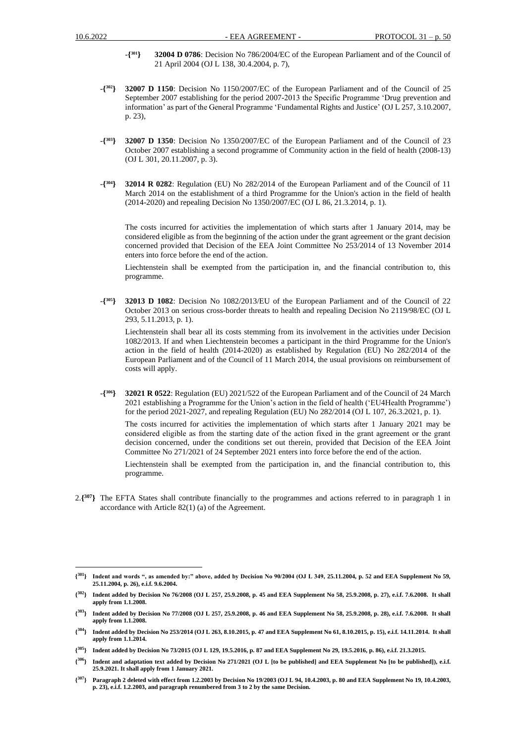- -**{ <sup>301</sup>} 32004 D 0786**: Decision No 786/2004/EC of the European Parliament and of the Council of 21 April 2004 (OJ L 138, 30.4.2004, p. 7),
- -**{ <sup>302</sup>} 32007 D 1150**: Decision No 1150/2007/EC of the European Parliament and of the Council of 25 September 2007 establishing for the period 2007-2013 the Specific Programme 'Drug prevention and information' as part of the General Programme 'Fundamental Rights and Justice' (OJ L 257, 3.10.2007, p. 23),
- -**{ <sup>303</sup>} 32007 D 1350**: Decision No 1350/2007/EC of the European Parliament and of the Council of 23 October 2007 establishing a second programme of Community action in the field of health (2008-13) (OJ L 301, 20.11.2007, p. 3).
- -**{ <sup>304</sup>} 32014 R 0282**: Regulation (EU) No 282/2014 of the European Parliament and of the Council of 11 March 2014 on the establishment of a third Programme for the Union's action in the field of health (2014-2020) and repealing Decision No 1350/2007/EC (OJ L 86, 21.3.2014, p. 1).

The costs incurred for activities the implementation of which starts after 1 January 2014, may be considered eligible as from the beginning of the action under the grant agreement or the grant decision concerned provided that Decision of the EEA Joint Committee No 253/2014 of 13 November 2014 enters into force before the end of the action.

Liechtenstein shall be exempted from the participation in, and the financial contribution to, this programme.

-**{ <sup>305</sup>} 32013 D 1082**: Decision No 1082/2013/EU of the European Parliament and of the Council of 22 October 2013 on serious cross-border threats to health and repealing Decision No 2119/98/EC (OJ L 293, 5.11.2013, p. 1).

Liechtenstein shall bear all its costs stemming from its involvement in the activities under Decision 1082/2013. If and when Liechtenstein becomes a participant in the third Programme for the Union's action in the field of health (2014-2020) as established by Regulation (EU) No 282/2014 of the European Parliament and of the Council of 11 March 2014, the usual provisions on reimbursement of costs will apply.

-**{ <sup>306</sup>} 32021 R 0522**: Regulation (EU) 2021/522 of the European Parliament and of the Council of 24 March 2021 establishing a Programme for the Union's action in the field of health ('EU4Health Programme') for the period 2021-2027, and repealing Regulation (EU) No 282/2014 (OJ L 107, 26.3.2021, p. 1).

The costs incurred for activities the implementation of which starts after 1 January 2021 may be considered eligible as from the starting date of the action fixed in the grant agreement or the grаnt decision concerned, under the conditions set out therein, provided that Decision of the EEA Joint Committee No 271/2021 of 24 September 2021 enters into force before the end of the action.

Liechtenstein shall be exempted from the participation in, and the financial contribution to, this programme.

2.**{ <sup>307</sup>}** The EFTA States shall contribute financially to the programmes and actions referred to in paragraph 1 in accordance with Article 82(1) (a) of the Agreement.

 $\{^{301}\}$ **<sup>301</sup>} Indent and words ", as amended by:" above, added by Decision No 90/2004 (OJ L 349, 25.11.2004, p. 52 and EEA Supplement No 59, 25.11.2004, p. 26), e.i.f. 9.6.2004.**

**<sup>{</sup> <sup>302</sup>} Indent added by Decision No 76/2008 (OJ L 257, 25.9.2008, p. 45 and EEA Supplement No 58, 25.9.2008, p. 27), e.i.f. 7.6.2008. It shall apply from 1.1.2008.**

**<sup>{</sup> <sup>303</sup>} Indent added by Decision No 77/2008 (OJ L 257, 25.9.2008, p. 46 and EEA Supplement No 58, 25.9.2008, p. 28), e.i.f. 7.6.2008. It shall apply from 1.1.2008.**

**<sup>{</sup> <sup>304</sup>} Indent added by Decision No 253/2014 (OJ L 263, 8.10.2015, p. 47 and EEA Supplement No 61, 8.10.2015, p. 15), e.i.f. 14.11.2014. It shall apply from 1.1.2014.**

**<sup>{</sup> <sup>305</sup>} Indent added by Decision No 73/2015 (OJ L 129, 19.5.2016, p. 87 and EEA Supplement No 29, 19.5.2016, p. 86), e.i.f. 21.3.2015.**

**<sup>{</sup> <sup>306</sup>} Indent and adaptation text added by Decision No 271/2021 (OJ L [to be published] and EEA Supplement No [to be published]), e.i.f. 25.9.2021. It shall apply from 1 January 2021.**

**<sup>{</sup> <sup>307</sup>} Paragraph 2 deleted with effect from 1.2.2003 by Decision No 19/2003 (OJ L 94, 10.4.2003, p. 80 and EEA Supplement No 19, 10.4.2003, p. 23), e.i.f. 1.2.2003, and paragraph renumbered from 3 to 2 by the same Decision.**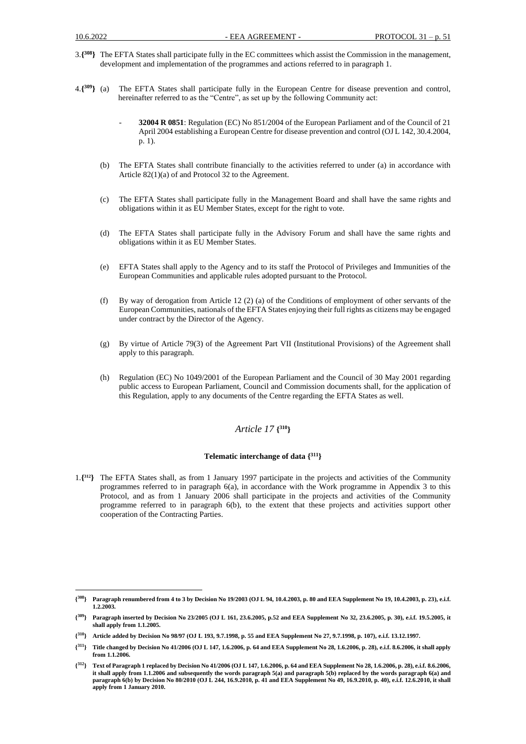- 3.**{ <sup>308</sup>}** The EFTA States shall participate fully in the EC committees which assist the Commission in the management, development and implementation of the programmes and actions referred to in paragraph 1.
- $4.\{^{309}\}$  (a) **<sup>309</sup>}** (a) The EFTA States shall participate fully in the European Centre for disease prevention and control, hereinafter referred to as the "Centre", as set up by the following Community act:
	- **32004 R 0851**: Regulation (EC) No 851/2004 of the European Parliament and of the Council of 21 April 2004 establishing a European Centre for disease prevention and control (OJ L 142, 30.4.2004, p. 1).
	- (b) The EFTA States shall contribute financially to the activities referred to under (a) in accordance with Article 82(1)(a) of and Protocol 32 to the Agreement.
	- (c) The EFTA States shall participate fully in the Management Board and shall have the same rights and obligations within it as EU Member States, except for the right to vote.
	- (d) The EFTA States shall participate fully in the Advisory Forum and shall have the same rights and obligations within it as EU Member States.
	- (e) EFTA States shall apply to the Agency and to its staff the Protocol of Privileges and Immunities of the European Communities and applicable rules adopted pursuant to the Protocol.
	- (f) By way of derogation from Article 12 (2) (a) of the Conditions of employment of other servants of the European Communities, nationals of the EFTA States enjoying their full rights as citizens may be engaged under contract by the Director of the Agency.
	- (g) By virtue of Article 79(3) of the Agreement Part VII (Institutional Provisions) of the Agreement shall apply to this paragraph.
	- (h) Regulation (EC) No 1049/2001 of the European Parliament and the Council of 30 May 2001 regarding public access to European Parliament, Council and Commission documents shall, for the application of this Regulation, apply to any documents of the Centre regarding the EFTA States as well.

### *Article 17* **{ <sup>310</sup>}**

#### **Telematic interchange of data { <sup>311</sup>}**

1.**{ <sup>312</sup>}** The EFTA States shall, as from 1 January 1997 participate in the projects and activities of the Community programmes referred to in paragraph 6(a), in accordance with the Work programme in Appendix 3 to this Protocol, and as from 1 January 2006 shall participate in the projects and activities of the Community programme referred to in paragraph 6(b), to the extent that these projects and activities support other cooperation of the Contracting Parties.

**<sup>{</sup> <sup>308</sup>} Paragraph renumbered from 4 to 3 by Decision No 19/2003 (OJ L 94, 10.4.2003, p. 80 and EEA Supplement No 19, 10.4.2003, p. 23), e.i.f. 1.2.2003.**

**<sup>{</sup> <sup>309</sup>} Paragraph inserted by Decision No 23/2005 (OJ L 161, 23.6.2005, p.52 and EEA Supplement No 32, 23.6.2005, p. 30), e.i.f. 19.5.2005, it shall apply from 1.1.2005.**

**<sup>{</sup> <sup>310</sup>} Article added by Decision No 98/97 (OJ L 193, 9.7.1998, p. 55 and EEA Supplement No 27, 9.7.1998, p. 107), e.i.f. 13.12.1997.**

**<sup>{</sup> <sup>311</sup>} Title changed by Decision No 41/2006 (OJ L 147, 1.6.2006, p. 64 and EEA Supplement No 28, 1.6.2006, p. 28), e.i.f. 8.6.2006, it shall apply from 1.1.2006.**

**<sup>{</sup> <sup>312</sup>} Text of Paragraph 1 replaced by Decision No 41/2006 (OJ L 147, 1.6.2006, p. 64 and EEA Supplement No 28, 1.6.2006, p. 28), e.i.f. 8.6.2006, it shall apply from 1.1.2006 and subsequently the words paragraph 5(a) and paragraph 5(b) replaced by the words paragraph 6(a) and paragraph 6(b) by Decision No 80/2010 (OJ L 244, 16.9.2010, p. 41 and EEA Supplement No 49, 16.9.2010, p. 40), e.i.f. 12.6.2010, it shall apply from 1 January 2010.**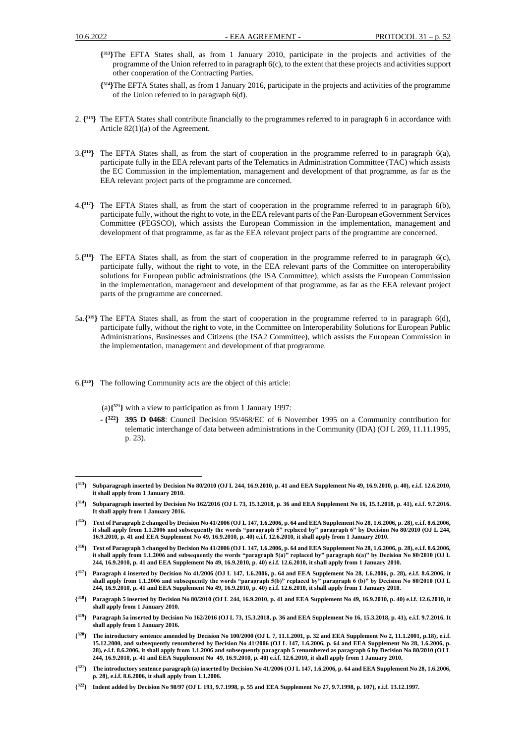- **{ <sup>313</sup>}**The EFTA States shall, as from 1 January 2010, participate in the projects and activities of the programme of the Union referred to in paragraph 6(c), to the extent that these projects and activities support other cooperation of the Contracting Parties.
- **{ <sup>314</sup>}**The EFTA States shall, as from 1 January 2016, participate in the projects and activities of the programme of the Union referred to in paragraph 6(d).
- 2. **{ <sup>315</sup>}** The EFTA States shall contribute financially to the programmes referred to in paragraph 6 in accordance with Article 82(1)(a) of the Agreement.
- 3.**{ <sup>316</sup>}** The EFTA States shall, as from the start of cooperation in the programme referred to in paragraph 6(a), participate fully in the EEA relevant parts of the Telematics in Administration Committee (TAC) which assists the EC Commission in the implementation, management and development of that programme, as far as the EEA relevant project parts of the programme are concerned.
- 4.**{ <sup>317</sup>}** The EFTA States shall, as from the start of cooperation in the programme referred to in paragraph 6(b), participate fully, without the right to vote, in the EEA relevant parts of the Pan-European eGovernment Services Committee (PEGSCO), which assists the European Commission in the implementation, management and development of that programme, as far as the EEA relevant project parts of the programme are concerned.
- 5.**{ <sup>318</sup>}** The EFTA States shall, as from the start of cooperation in the programme referred to in paragraph 6(c), participate fully, without the right to vote, in the EEA relevant parts of the Committee on interoperability solutions for European public administrations (the ISA Committee), which assists the European Commission in the implementation, management and development of that programme, as far as the EEA relevant project parts of the programme are concerned.
- 5a.**{ <sup>319</sup>}** The EFTA States shall, as from the start of cooperation in the programme referred to in paragraph 6(d), participate fully, without the right to vote, in the Committee on Interoperability Solutions for European Public Administrations, Businesses and Citizens (the ISA2 Committee), which assists the European Commission in the implementation, management and development of that programme.
- 6.**{ <sup>320</sup>}** The following Community acts are the object of this article:
	- (a)**{ <sup>321</sup>}** with a view to participation as from 1 January 1997:
	- **{ <sup>322</sup>} 395 D 0468**: Council Decision 95/468/EC of 6 November 1995 on a Community contribution for telematic interchange of data between administrations in the Community (IDA) (OJ L 269, 11.11.1995, p. 23).

**{ <sup>316</sup>} Text of Paragraph 3 changed by Decision No 41/2006 (OJ L 147, 1.6.2006, p. 64 and EEA Supplement No 28, 1.6.2006, p. 28), e.i.f. 8.6.2006, it shall apply from 1.1.2006 and subsequently the words "paragraph 5(a)" replaced by" paragraph 6(a)" by Decision No 80/2010 (OJ L 244, 16.9.2010, p. 41 and EEA Supplement No 49, 16.9.2010, p. 40) e.i.f. 12.6.2010, it shall apply from 1 January 2010.**

**{ <sup>318</sup>} Paragraph 5 inserted by Decision No 80/2010 (OJ L 244, 16.9.2010, p. 41 and EEA Supplement No 49, 16.9.2010, p. 40) e.i.f. 12.6.2010, it shall apply from 1 January 2010.**

**<sup>{</sup> <sup>313</sup>} Subparagraph inserted by Decision No 80/2010 (OJ L 244, 16.9.2010, p. 41 and EEA Supplement No 49, 16.9.2010, p. 40), e.i.f. 12.6.2010, it shall apply from 1 January 2010.**

 $\mathbf{I}^{314}$ **<sup>314</sup>} Subparagraph inserted by Decision No 162/2016 (OJ L 73, 15.3.2018, p. 36 and EEA Supplement No 16, 15.3.2018, p. 41), e.i.f. 9.7.2016. It shall apply from 1 January 2016.**

**<sup>{</sup> <sup>315</sup>} Text of Paragraph 2 changed by Decision No 41/2006 (OJ L 147, 1.6.2006, p. 64 and EEA Supplement No 28, 1.6.2006, p. 28), e.i.f. 8.6.2006, it shall apply from 1.1.2006 and subsequently the words "paragraph 5" replaced by" paragraph 6" by Decision No 80/2010 (OJ L 244, 16.9.2010, p. 41 and EEA Supplement No 49, 16.9.2010, p. 40) e.i.f. 12.6.2010, it shall apply from 1 January 2010.**

**<sup>{</sup> <sup>317</sup>} Paragraph 4 inserted by Decision No 41/2006 (OJ L 147, 1.6.2006, p. 64 and EEA Supplement No 28, 1.6.2006, p. 28), e.i.f. 8.6.2006, it shall apply from 1.1.2006 and subsequently the words "paragraph 5(b)" replaced by" paragraph 6 (b)" by Decision No 80/2010 (OJ L 244, 16.9.2010, p. 41 and EEA Supplement No 49, 16.9.2010, p. 40) e.i.f. 12.6.2010, it shall apply from 1 January 2010.**

**<sup>{</sup> <sup>319</sup>} Paragraph 5a inserted by Decision No 162/2016 (OJ L 73, 15.3.2018, p. 36 and EEA Supplement No 16, 15.3.2018, p. 41), e.i.f. 9.7.2016. It shall apply from 1 January 2016.**

**<sup>{</sup> <sup>320</sup>} The introductory sentence amended by Decision No 100/2000 (OJ L 7, 11.1.2001, p. 32 and EEA Supplement No 2, 11.1.2001, p.18), e.i.f. 15.12.2000, and subsequently renumbered by Decision No 41/2006 (OJ L 147, 1.6.2006, p. 64 and EEA Supplement No 28, 1.6.2006, p. 28), e.i.f. 8.6.2006, it shall apply from 1.1.2006 and subsequently paragraph 5 renumbered as paragraph 6 by Decision No 80/2010 (OJ L 244, 16.9.2010, p. 41 and EEA Supplement No 49, 16.9.2010, p. 40) e.i.f. 12.6.2010, it shall apply from 1 January 2010.**

**<sup>{</sup> <sup>321</sup>} The introductory sentence paragraph (a) inserted by Decision No 41/2006 (OJ L 147, 1.6.2006, p. 64 and EEA Supplement No 28, 1.6.2006, p. 28), e.i.f. 8.6.2006, it shall apply from 1.1.2006.** 

**<sup>{</sup> <sup>322</sup>} Indent added by Decision No 98/97 (OJ L 193, 9.7.1998, p. 55 and EEA Supplement No 27, 9.7.1998, p. 107), e.i.f. 13.12.1997.**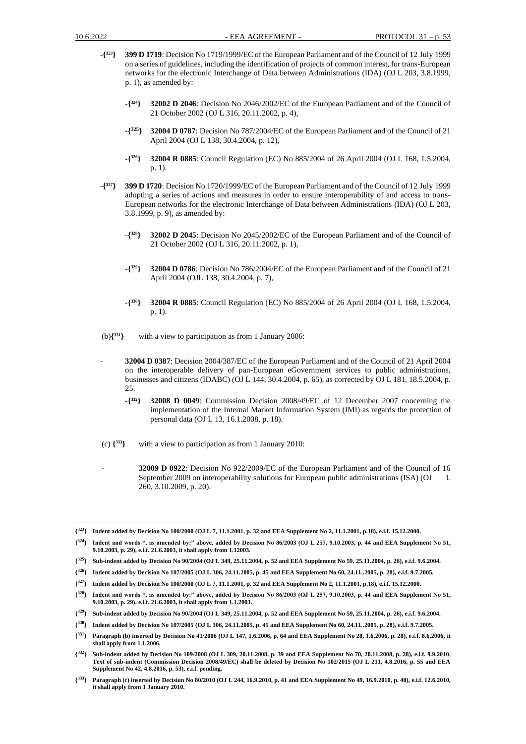- -**{ <sup>323</sup>} 399 D 1719**: Decision No 1719/1999/EC of the European Parliament and of the Council of 12 July 1999 on a series of guidelines, including the identification of projects of common interest, for trans-European networks for the electronic Interchange of Data between Administrations (IDA) (OJ L 203, 3.8.1999, p. 1), as amended by:
	- -**{ <sup>324</sup>} 32002 D 2046**: Decision No 2046/2002/EC of the European Parliament and of the Council of 21 October 2002 (OJ L 316, 20.11.2002, p. 4),
	- -**{ <sup>325</sup>} 32004 D 0787**: Decision No 787/2004/EC of the European Parliament and of the Council of 21 April 2004 (OJ L 138, 30.4.2004, p. 12),
	- -**{ <sup>326</sup>} 32004 R 0885**: Council Regulation (EC) No 885/2004 of 26 April 2004 (OJ L 168, 1.5.2004, p. 1).
- -**{ <sup>327</sup>} 399 D 1720**: Decision No 1720/1999/EC of the European Parliament and of the Council of 12 July 1999 adopting a series of actions and measures in order to ensure interoperability of and access to trans-European networks for the electronic Interchange of Data between Administrations (IDA) (OJ L 203, 3.8.1999, p. 9), as amended by:
	- -**{ <sup>328</sup>} 32002 D 2045**: Decision No 2045/2002/EC of the European Parliament and of the Council of 21 October 2002 (OJ L 316, 20.11.2002, p. 1),
	- -**{ <sup>329</sup>} 32004 D 0786**: Decision No 786/2004/EC of the European Parliament and of the Council of 21 April 2004 (OJL 138, 30.4.2004, p. 7),
	- -**{ <sup>330</sup>} 32004 R 0885**: Council Regulation (EC) No 885/2004 of 26 April 2004 (OJ L 168, 1.5.2004, p. 1).

(b)**{ <sup>331</sup>}** with a view to participation as from 1 January 2006:

- **32004 D 0387**: Decision 2004/387/EC of the European Parliament and of the Council of 21 April 2004 on the interoperable delivery of pan-European eGovernment services to public administrations, businesses and citizens (IDABC) (OJ L 144, 30.4.2004, p. 65), as corrected by OJ L 181, 18.5.2004, p. 25.
	- -**{ <sup>332</sup>} 32008 D 0049**: Commission Decision 2008/49/EC of 12 December 2007 concerning the implementation of the Internal Market Information System (IMI) as regards the protection of personal data (OJ L 13, 16.1.2008, p. 18).
- (c) **{ <sup>333</sup>}** with a view to participation as from 1 January 2010:
	- **32009 D 0922**: Decision No 922/2009/EC of the European Parliament and of the Council of 16 September 2009 on interoperability solutions for European public administrations (ISA) (OJ L 260, 3.10.2009, p. 20).

**<sup>{</sup> <sup>323</sup>} Indent added by Decision No 100/2000 (OJ L 7, 11.1.2001, p. 32 and EEA Supplement No 2, 11.1.2001, p.18), e.i.f. 15.12.2000.**

**<sup>{</sup> <sup>324</sup>} Indent and words ", as amended by:" above, added by Decision No 86/2003 (OJ L 257, 9.10.2003, p. 44 and EEA Supplement No 51, 9.10.2003, p. 29), e.i.f. 21.6.2003, it shall apply from 1.12003.**

**<sup>{</sup> <sup>325</sup>} Sub-indent added by Decision No 90/2004 (OJ L 349, 25.11.2004, p. 52 and EEA Supplement No 59, 25.11.2004, p. 26), e.i.f. 9.6.2004.**

**<sup>{</sup> <sup>326</sup>} Indent added by Decision No 107/2005 (OJ L 306, 24.11.2005, p. 45 and EEA Supplement No 60, 24.11..2005, p. 28), e.i.f. 9.7.2005.** 

**<sup>{</sup> <sup>327</sup>} Indent added by Decision No 100/2000 (OJ L 7, 11.1.2001, p. 32 and EEA Supplement No 2, 11.1.2001, p.18), e.i.f. 15.12.2000.**

**<sup>{</sup> <sup>328</sup>} Indent and words ", as amended by:" above, added by Decision No 86/2003 (OJ L 257, 9.10.2003, p. 44 and EEA Supplement No 51, 9.10.2003, p. 29), e.i.f. 21.6.2003, it shall apply from 1.1.2003.**

**<sup>{</sup> <sup>329</sup>} Sub-indent added by Decision No 90/2004 (OJ L 349, 25.11.2004, p. 52 and EEA Supplement No 59, 25.11.2004, p. 26), e.i.f. 9.6.2004.**

**<sup>{</sup> <sup>330</sup>} Indent added by Decision No 107/2005 (OJ L 306, 24.11.2005, p. 45 and EEA Supplement No 60, 24.11..2005, p. 28), e.i.f. 9.7.2005.**

**<sup>{</sup> <sup>331</sup>} Paragraph (b) inserted by Decision No 41/2006 (OJ L 147, 1.6.2006, p. 64 and EEA Supplement No 28, 1.6.2006, p. 28), e.i.f. 8.6.2006, it shall apply from 1.1.2006.** 

**<sup>{</sup> <sup>332</sup>} Sub-indent added by Decision No 109/2008 (OJ L 309, 20.11.2008, p. 39 and EEA Supplement No 70, 20.11.2008, p. 28), e.i.f. 9.9.2010. Text of sub-indent (Commission Decision 2008/49/EC) shall be deleted by Decision No 102/2015 (OJ L 211, 4.8.2016, p. 55 and EEA Supplement No 42, 4.8.2016, p. 53), e.i.f. pending.**

**<sup>{</sup> <sup>333</sup>} Paragraph (c) inserted by Decision No 80/2010 (OJ L 244, 16.9.2010, p. 41 and EEA Supplement No 49, 16.9.2010, p. 40), e.i.f. 12.6.2010, it shall apply from 1 January 2010.**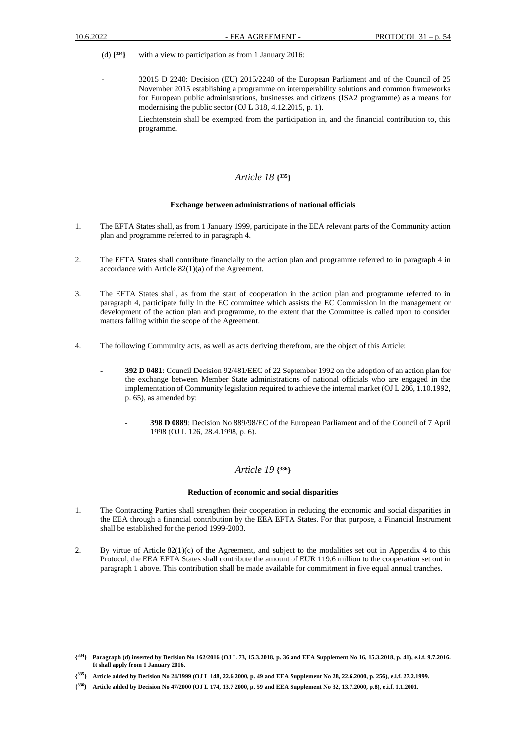- (d) **{ <sup>334</sup>}** with a view to participation as from 1 January 2016:
	- 32015 D 2240: Decision (EU) 2015/2240 of the European Parliament and of the Council of 25 November 2015 establishing a programme on interoperability solutions and common frameworks for European public administrations, businesses and citizens (ISA2 programme) as a means for modernising the public sector (OJ L 318, 4.12.2015, p. 1).

Liechtenstein shall be exempted from the participation in, and the financial contribution to, this programme.

### *Article 18* **{ <sup>335</sup>}**

#### **Exchange between administrations of national officials**

- 1. The EFTA States shall, as from 1 January 1999, participate in the EEA relevant parts of the Community action plan and programme referred to in paragraph 4.
- 2. The EFTA States shall contribute financially to the action plan and programme referred to in paragraph 4 in accordance with Article 82(1)(a) of the Agreement.
- 3. The EFTA States shall, as from the start of cooperation in the action plan and programme referred to in paragraph 4, participate fully in the EC committee which assists the EC Commission in the management or development of the action plan and programme, to the extent that the Committee is called upon to consider matters falling within the scope of the Agreement.
- 4. The following Community acts, as well as acts deriving therefrom, are the object of this Article:
	- **392 D 0481**: Council Decision 92/481/EEC of 22 September 1992 on the adoption of an action plan for the exchange between Member State administrations of national officials who are engaged in the implementation of Community legislation required to achieve the internal market (OJ L 286, 1.10.1992, p. 65), as amended by:
		- **398 D 0889**: Decision No 889/98/EC of the European Parliament and of the Council of 7 April 1998 (OJ L 126, 28.4.1998, p. 6).

### *Article 19* **{ <sup>336</sup>}**

#### **Reduction of economic and social disparities**

- 1. The Contracting Parties shall strengthen their cooperation in reducing the economic and social disparities in the EEA through a financial contribution by the EEA EFTA States. For that purpose, a Financial Instrument shall be established for the period 1999-2003.
- 2. By virtue of Article 82(1)(c) of the Agreement, and subject to the modalities set out in Appendix 4 to this Protocol, the EEA EFTA States shall contribute the amount of EUR 119,6 million to the cooperation set out in paragraph 1 above. This contribution shall be made available for commitment in five equal annual tranches.

 $\{^{334}\}$ **<sup>334</sup>} Paragraph (d) inserted by Decision No 162/2016 (OJ L 73, 15.3.2018, p. 36 and EEA Supplement No 16, 15.3.2018, p. 41), e.i.f. 9.7.2016. It shall apply from 1 January 2016.**

**<sup>{</sup> <sup>335</sup>} Article added by Decision No 24/1999 (OJ L 148, 22.6.2000, p. 49 and EEA Supplement No 28, 22.6.2000, p. 256), e.i.f. 27.2.1999.**

**<sup>{</sup> <sup>336</sup>} Article added by Decision No 47/2000 (OJ L 174, 13.7.2000, p. 59 and EEA Supplement No 32, 13.7.2000, p.8), e.i.f. 1.1.2001.**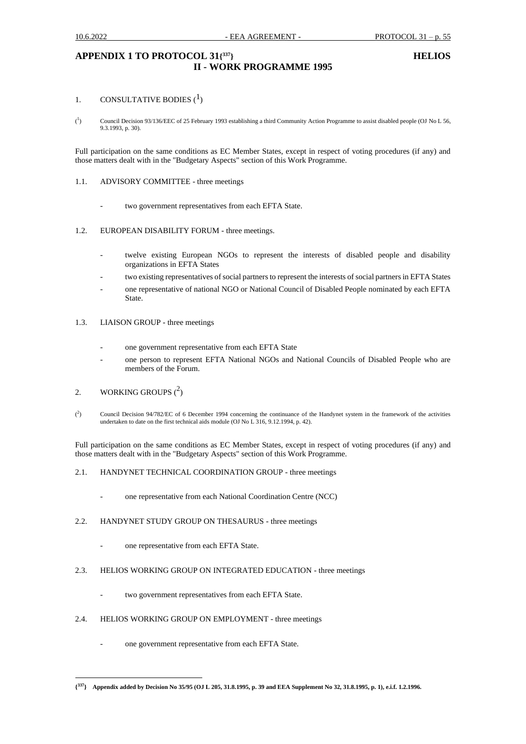# **APPENDIX 1 TO PROTOCOL 31{ II - WORK PROGRAMME 1995**

### **<sup>337</sup>} HELIOS**

#### 1. CONSULTATIVE BODIES  $(1)$

 $({}^{1}$ ) Council Decision 93/136/EEC of 25 February 1993 establishing a third Community Action Programme to assist disabled people (OJ No L 56, 9.3.1993, p. 30).

Full participation on the same conditions as EC Member States, except in respect of voting procedures (if any) and those matters dealt with in the "Budgetary Aspects" section of this Work Programme.

### 1.1. ADVISORY COMMITTEE - three meetings

two government representatives from each EFTA State.

### 1.2. EUROPEAN DISABILITY FORUM - three meetings.

- twelve existing European NGOs to represent the interests of disabled people and disability organizations in EFTA States
- two existing representatives of social partners to represent the interests of social partners in EFTA States
- one representative of national NGO or National Council of Disabled People nominated by each EFTA State.
- 1.3. LIAISON GROUP three meetings
	- one government representative from each EFTA State
	- one person to represent EFTA National NGOs and National Councils of Disabled People who are members of the Forum.
- 2. WORKING GROUPS  $(^2)$
- $($ <sup>2</sup> ) Council Decision 94/782/EC of 6 December 1994 concerning the continuance of the Handynet system in the framework of the activities undertaken to date on the first technical aids module (OJ No L 316, 9.12.1994, p. 42).

Full participation on the same conditions as EC Member States, except in respect of voting procedures (if any) and those matters dealt with in the "Budgetary Aspects" section of this Work Programme.

- 2.1. HANDYNET TECHNICAL COORDINATION GROUP three meetings
	- one representative from each National Coordination Centre (NCC)

### 2.2. HANDYNET STUDY GROUP ON THESAURUS - three meetings

- one representative from each EFTA State.
- 2.3. HELIOS WORKING GROUP ON INTEGRATED EDUCATION three meetings
	- two government representatives from each EFTA State.
- 2.4. HELIOS WORKING GROUP ON EMPLOYMENT three meetings
	- one government representative from each EFTA State.

**<sup>{</sup> <sup>337</sup>} Appendix added by Decision No 35/95 (OJ L 205, 31.8.1995, p. 39 and EEA Supplement No 32, 31.8.1995, p. 1), e.i.f. 1.2.1996.**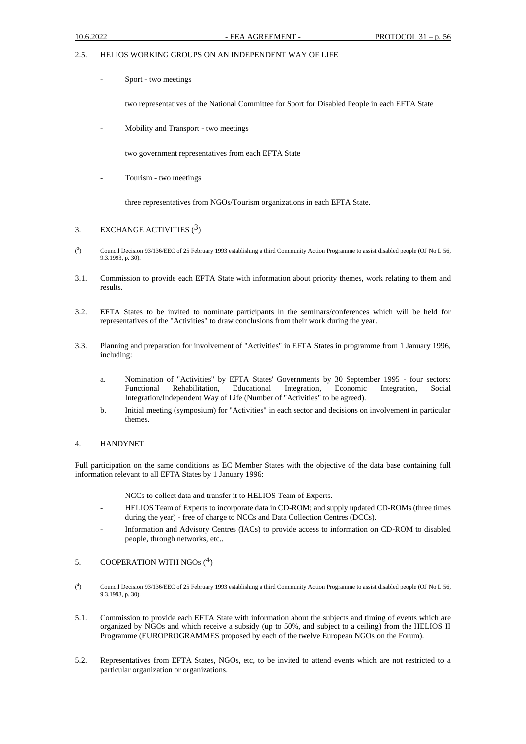### 2.5. HELIOS WORKING GROUPS ON AN INDEPENDENT WAY OF LIFE

Sport - two meetings

two representatives of the National Committee for Sport for Disabled People in each EFTA State

Mobility and Transport - two meetings

two government representatives from each EFTA State

Tourism - two meetings

three representatives from NGOs/Tourism organizations in each EFTA State.

### 3. EXCHANGE ACTIVITIES  $(3)$

- $\binom{3}{ }$ ) Council Decision 93/136/EEC of 25 February 1993 establishing a third Community Action Programme to assist disabled people (OJ No L 56, 9.3.1993, p. 30).
- 3.1. Commission to provide each EFTA State with information about priority themes, work relating to them and results.
- 3.2. EFTA States to be invited to nominate participants in the seminars/conferences which will be held for representatives of the "Activities" to draw conclusions from their work during the year.
- 3.3. Planning and preparation for involvement of "Activities" in EFTA States in programme from 1 January 1996, including:
	- a. Nomination of "Activities" by EFTA States' Governments by 30 September 1995 four sectors: Functional Rehabilitation, Educational Integration, Economic Integration, Social Integration/Independent Way of Life (Number of "Activities" to be agreed).
	- b. Initial meeting (symposium) for "Activities" in each sector and decisions on involvement in particular themes.

### 4. HANDYNET

Full participation on the same conditions as EC Member States with the objective of the data base containing full information relevant to all EFTA States by 1 January 1996:

- NCCs to collect data and transfer it to HELIOS Team of Experts.
- HELIOS Team of Experts to incorporate data in CD-ROM; and supply updated CD-ROMs (three times during the year) - free of charge to NCCs and Data Collection Centres (DCCs).
- Information and Advisory Centres (IACs) to provide access to information on CD-ROM to disabled people, through networks, etc..

### 5. COOPERATION WITH NGOs  $(^4)$

- $($ <sup>4</sup> ) Council Decision 93/136/EEC of 25 February 1993 establishing a third Community Action Programme to assist disabled people (OJ No L 56, 9.3.1993, p. 30).
- 5.1. Commission to provide each EFTA State with information about the subjects and timing of events which are organized by NGOs and which receive a subsidy (up to 50%, and subject to a ceiling) from the HELIOS II Programme (EUROPROGRAMMES proposed by each of the twelve European NGOs on the Forum).
- 5.2. Representatives from EFTA States, NGOs, etc, to be invited to attend events which are not restricted to a particular organization or organizations.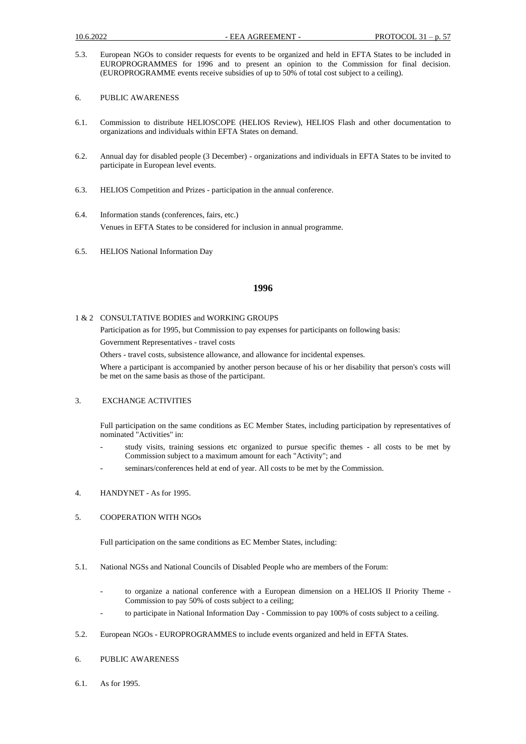- 5.3. European NGOs to consider requests for events to be organized and held in EFTA States to be included in EUROPROGRAMMES for 1996 and to present an opinion to the Commission for final decision. (EUROPROGRAMME events receive subsidies of up to 50% of total cost subject to a ceiling).
- 6. PUBLIC AWARENESS
- 6.1. Commission to distribute HELIOSCOPE (HELIOS Review), HELIOS Flash and other documentation to organizations and individuals within EFTA States on demand.
- 6.2. Annual day for disabled people (3 December) organizations and individuals in EFTA States to be invited to participate in European level events.
- 6.3. HELIOS Competition and Prizes participation in the annual conference.
- 6.4. Information stands (conferences, fairs, etc.) Venues in EFTA States to be considered for inclusion in annual programme.
- 6.5. HELIOS National Information Day

### **1996**

1 & 2 CONSULTATIVE BODIES and WORKING GROUPS

Participation as for 1995, but Commission to pay expenses for participants on following basis:

Government Representatives - travel costs

Others - travel costs, subsistence allowance, and allowance for incidental expenses.

Where a participant is accompanied by another person because of his or her disability that person's costs will be met on the same basis as those of the participant.

### 3. EXCHANGE ACTIVITIES

Full participation on the same conditions as EC Member States, including participation by representatives of nominated "Activities" in:

- study visits, training sessions etc organized to pursue specific themes all costs to be met by Commission subject to a maximum amount for each "Activity"; and
- seminars/conferences held at end of year. All costs to be met by the Commission.
- 4. HANDYNET As for 1995.

### 5. COOPERATION WITH NGOs

Full participation on the same conditions as EC Member States, including:

- 5.1. National NGSs and National Councils of Disabled People who are members of the Forum:
	- to organize a national conference with a European dimension on a HELIOS II Priority Theme -Commission to pay 50% of costs subject to a ceiling;
	- to participate in National Information Day Commission to pay 100% of costs subject to a ceiling.
- 5.2. European NGOs EUROPROGRAMMES to include events organized and held in EFTA States.
- 6. PUBLIC AWARENESS
- 6.1. As for 1995.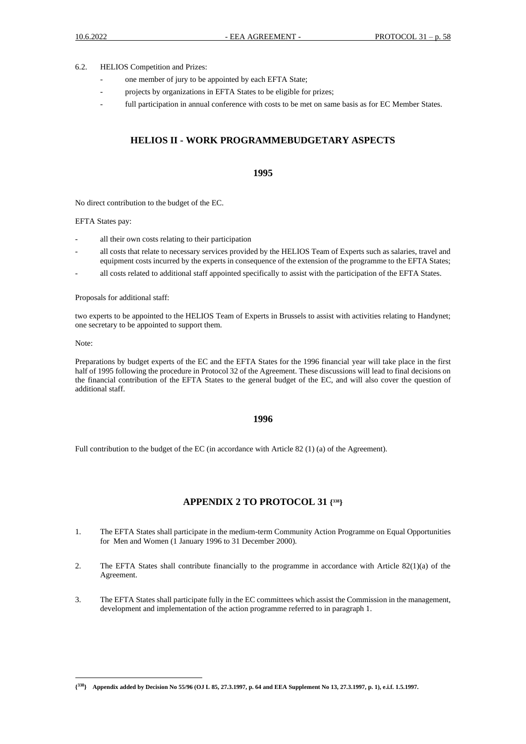6.2. HELIOS Competition and Prizes:

- one member of jury to be appointed by each EFTA State;
- projects by organizations in EFTA States to be eligible for prizes;
- full participation in annual conference with costs to be met on same basis as for EC Member States.

# **HELIOS II - WORK PROGRAMMEBUDGETARY ASPECTS**

### **1995**

No direct contribution to the budget of the EC.

EFTA States pay:

- all their own costs relating to their participation
- all costs that relate to necessary services provided by the HELIOS Team of Experts such as salaries, travel and equipment costs incurred by the experts in consequence of the extension of the programme to the EFTA States;
- all costs related to additional staff appointed specifically to assist with the participation of the EFTA States.

Proposals for additional staff:

two experts to be appointed to the HELIOS Team of Experts in Brussels to assist with activities relating to Handynet; one secretary to be appointed to support them.

Note:

Preparations by budget experts of the EC and the EFTA States for the 1996 financial year will take place in the first half of 1995 following the procedure in Protocol 32 of the Agreement. These discussions will lead to final decisions on the financial contribution of the EFTA States to the general budget of the EC, and will also cover the question of additional staff.

#### **1996**

Full contribution to the budget of the EC (in accordance with Article 82 (1) (a) of the Agreement).

### **APPENDIX 2 TO PROTOCOL 31 { <sup>338</sup>}**

- 1. The EFTA States shall participate in the medium-term Community Action Programme on Equal Opportunities for Men and Women (1 January 1996 to 31 December 2000).
- 2. The EFTA States shall contribute financially to the programme in accordance with Article 82(1)(a) of the Agreement.
- 3. The EFTA States shall participate fully in the EC committees which assist the Commission in the management, development and implementation of the action programme referred to in paragraph 1.

**<sup>{</sup> <sup>338</sup>} Appendix added by Decision No 55/96 (OJ L 85, 27.3.1997, p. 64 and EEA Supplement No 13, 27.3.1997, p. 1), e.i.f. 1.5.1997.**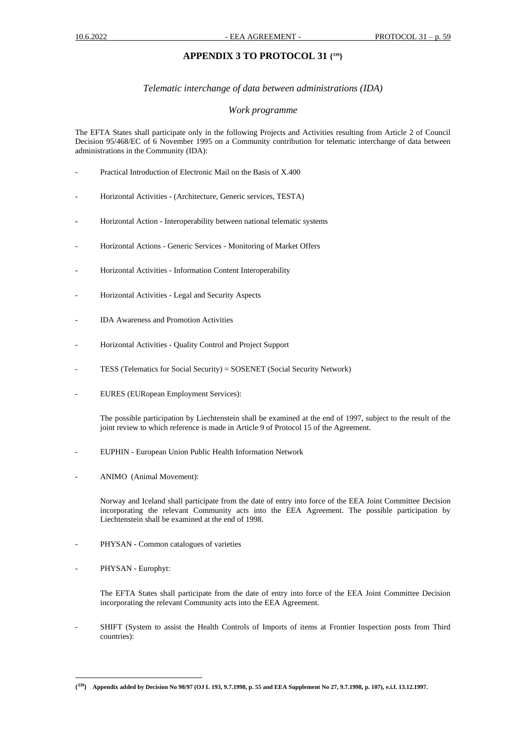# **APPENDIX 3 TO PROTOCOL 31 { <sup>339</sup>}**

### *Telematic interchange of data between administrations (IDA)*

### *Work programme*

The EFTA States shall participate only in the following Projects and Activities resulting from Article 2 of Council Decision 95/468/EC of 6 November 1995 on a Community contribution for telematic interchange of data between administrations in the Community (IDA):

- Practical Introduction of Electronic Mail on the Basis of X.400
- Horizontal Activities (Architecture, Generic services, TESTA)
- Horizontal Action Interoperability between national telematic systems
- Horizontal Actions Generic Services Monitoring of Market Offers
- Horizontal Activities Information Content Interoperability
- Horizontal Activities Legal and Security Aspects
- IDA Awareness and Promotion Activities
- Horizontal Activities Quality Control and Project Support
- TESS (Telematics for Social Security) = SOSENET (Social Security Network)
- EURES (EURopean Employment Services):

The possible participation by Liechtenstein shall be examined at the end of 1997, subject to the result of the joint review to which reference is made in Article 9 of Protocol 15 of the Agreement.

- EUPHIN European Union Public Health Information Network
- ANIMO (Animal Movement):

Norway and Iceland shall participate from the date of entry into force of the EEA Joint Committee Decision incorporating the relevant Community acts into the EEA Agreement. The possible participation by Liechtenstein shall be examined at the end of 1998.

- PHYSAN Common catalogues of varieties
- PHYSAN Europhyt:
	- The EFTA States shall participate from the date of entry into force of the EEA Joint Committee Decision incorporating the relevant Community acts into the EEA Agreement.
- SHIFT (System to assist the Health Controls of Imports of items at Frontier Inspection posts from Third countries):

**<sup>{</sup> <sup>339</sup>} Appendix added by Decision No 98/97 (OJ L 193, 9.7.1998, p. 55 and EEA Supplement No 27, 9.7.1998, p. 107), e.i.f. 13.12.1997.**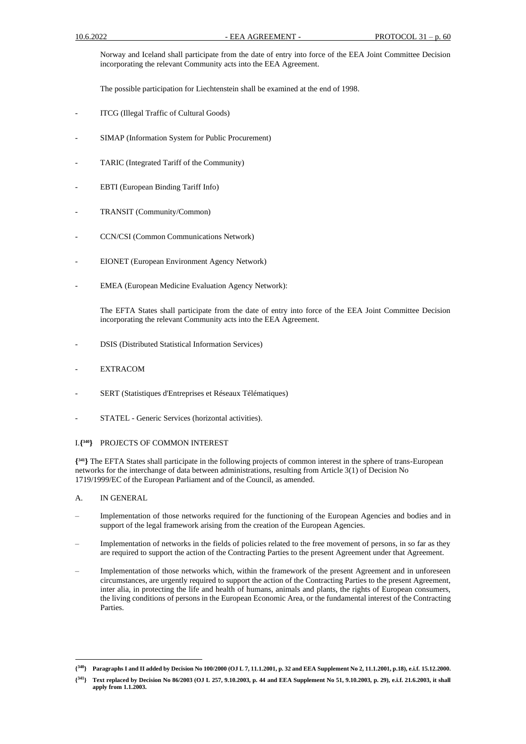Norway and Iceland shall participate from the date of entry into force of the EEA Joint Committee Decision incorporating the relevant Community acts into the EEA Agreement.

The possible participation for Liechtenstein shall be examined at the end of 1998.

- ITCG (Illegal Traffic of Cultural Goods)
- SIMAP (Information System for Public Procurement)
- TARIC (Integrated Tariff of the Community)
- EBTI (European Binding Tariff Info)
- TRANSIT (Community/Common)
- CCN/CSI (Common Communications Network)
- EIONET (European Environment Agency Network)
- EMEA (European Medicine Evaluation Agency Network):

The EFTA States shall participate from the date of entry into force of the EEA Joint Committee Decision incorporating the relevant Community acts into the EEA Agreement.

- DSIS (Distributed Statistical Information Services)
- **EXTRACOM**
- SERT (Statistiques d'Entreprises et Réseaux Télématiques)
- STATEL Generic Services (horizontal activities).

### I.**{ <sup>340</sup>}** PROJECTS OF COMMON INTEREST

**{ <sup>341</sup>}** The EFTA States shall participate in the following projects of common interest in the sphere of trans-European networks for the interchange of data between administrations, resulting from Article 3(1) of Decision No 1719/1999/EC of the European Parliament and of the Council, as amended.

- A. IN GENERAL
- Implementation of those networks required for the functioning of the European Agencies and bodies and in support of the legal framework arising from the creation of the European Agencies.
- Implementation of networks in the fields of policies related to the free movement of persons, in so far as they are required to support the action of the Contracting Parties to the present Agreement under that Agreement.
- Implementation of those networks which, within the framework of the present Agreement and in unforeseen circumstances, are urgently required to support the action of the Contracting Parties to the present Agreement, inter alia, in protecting the life and health of humans, animals and plants, the rights of European consumers, the living conditions of persons in the European Economic Area, or the fundamental interest of the Contracting Parties.

**<sup>{</sup> <sup>340</sup>} Paragraphs I and II added by Decision No 100/2000 (OJ L 7, 11.1.2001, p. 32 and EEA Supplement No 2, 11.1.2001, p.18), e.i.f. 15.12.2000.** 

**<sup>{</sup> <sup>341</sup>} Text replaced by Decision No 86/2003 (OJ L 257, 9.10.2003, p. 44 and EEA Supplement No 51, 9.10.2003, p. 29), e.i.f. 21.6.2003, it shall apply from 1.1.2003.**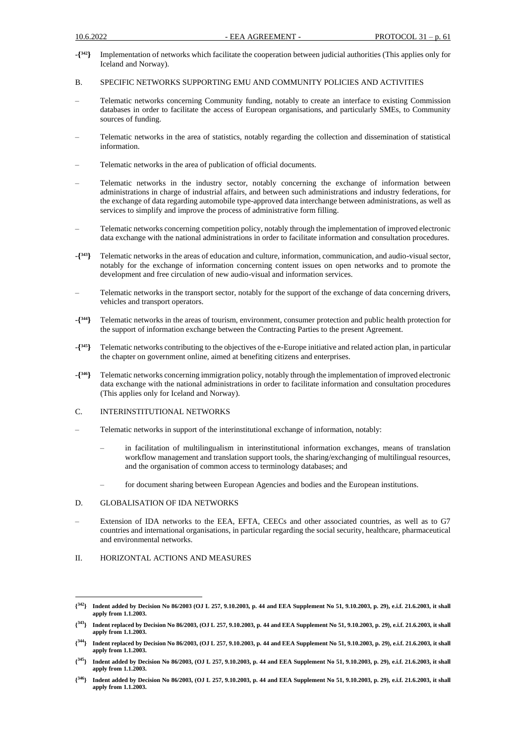- -**{ <sup>342</sup>}** Implementation of networks which facilitate the cooperation between judicial authorities (This applies only for Iceland and Norway).
- B. SPECIFIC NETWORKS SUPPORTING EMU AND COMMUNITY POLICIES AND ACTIVITIES
- Telematic networks concerning Community funding, notably to create an interface to existing Commission databases in order to facilitate the access of European organisations, and particularly SMEs, to Community sources of funding.
- Telematic networks in the area of statistics, notably regarding the collection and dissemination of statistical information.
- Telematic networks in the area of publication of official documents.
- Telematic networks in the industry sector, notably concerning the exchange of information between administrations in charge of industrial affairs, and between such administrations and industry federations, for the exchange of data regarding automobile type-approved data interchange between administrations, as well as services to simplify and improve the process of administrative form filling.
- Telematic networks concerning competition policy, notably through the implementation of improved electronic data exchange with the national administrations in order to facilitate information and consultation procedures.
- -**{ <sup>343</sup>}** Telematic networks in the areas of education and culture, information, communication, and audio-visual sector, notably for the exchange of information concerning content issues on open networks and to promote the development and free circulation of new audio-visual and information services.
- Telematic networks in the transport sector, notably for the support of the exchange of data concerning drivers, vehicles and transport operators.
- -**{ <sup>344</sup>}** Telematic networks in the areas of tourism, environment, consumer protection and public health protection for the support of information exchange between the Contracting Parties to the present Agreement.
- -**{ <sup>345</sup>}** Telematic networks contributing to the objectives of the e-Europe initiative and related action plan, in particular the chapter on government online, aimed at benefiting citizens and enterprises.
- -**{ <sup>346</sup>}** Telematic networks concerning immigration policy, notably through the implementation of improved electronic data exchange with the national administrations in order to facilitate information and consultation procedures (This applies only for Iceland and Norway).
- C. INTERINSTITUTIONAL NETWORKS
- Telematic networks in support of the interinstitutional exchange of information, notably:
	- in facilitation of multilingualism in interinstitutional information exchanges, means of translation workflow management and translation support tools, the sharing/exchanging of multilingual resources, and the organisation of common access to terminology databases; and
	- for document sharing between European Agencies and bodies and the European institutions.

#### D. GLOBALISATION OF IDA NETWORKS

- Extension of IDA networks to the EEA, EFTA, CEECs and other associated countries, as well as to G7 countries and international organisations, in particular regarding the social security, healthcare, pharmaceutical and environmental networks.
- II. HORIZONTAL ACTIONS AND MEASURES

**<sup>{</sup> <sup>342</sup>} Indent added by Decision No 86/2003 (OJ L 257, 9.10.2003, p. 44 and EEA Supplement No 51, 9.10.2003, p. 29), e.i.f. 21.6.2003, it shall apply from 1.1.2003.**

**<sup>{</sup> <sup>343</sup>} Indent replaced by Decision No 86/2003, (OJ L 257, 9.10.2003, p. 44 and EEA Supplement No 51, 9.10.2003, p. 29), e.i.f. 21.6.2003, it shall apply from 1.1.2003.** 

**<sup>{</sup> <sup>344</sup>} Indent replaced by Decision No 86/2003, (OJ L 257, 9.10.2003, p. 44 and EEA Supplement No 51, 9.10.2003, p. 29), e.i.f. 21.6.2003, it shall apply from 1.1.2003.** 

**<sup>{</sup> <sup>345</sup>} Indent added by Decision No 86/2003, (OJ L 257, 9.10.2003, p. 44 and EEA Supplement No 51, 9.10.2003, p. 29), e.i.f. 21.6.2003, it shall apply from 1.1.2003.** 

**<sup>{</sup> <sup>346</sup>} Indent added by Decision No 86/2003, (OJ L 257, 9.10.2003, p. 44 and EEA Supplement No 51, 9.10.2003, p. 29), e.i.f. 21.6.2003, it shall apply from 1.1.2003.**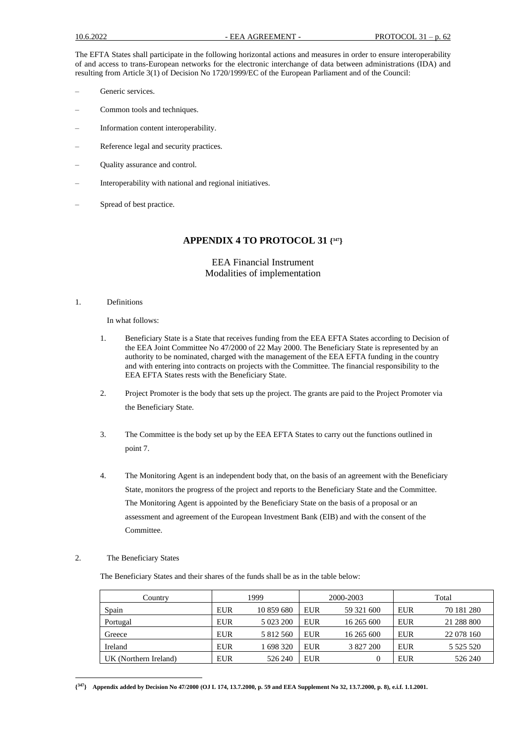The EFTA States shall participate in the following horizontal actions and measures in order to ensure interoperability of and access to trans-European networks for the electronic interchange of data between administrations (IDA) and resulting from Article 3(1) of Decision No 1720/1999/EC of the European Parliament and of the Council:

- Generic services.
- Common tools and techniques.
- Information content interoperability.
- Reference legal and security practices.
- Quality assurance and control.
- Interoperability with national and regional initiatives.
- Spread of best practice.

## **APPENDIX 4 TO PROTOCOL 31 { <sup>347</sup>}**

### EEA Financial Instrument Modalities of implementation

1. Definitions

In what follows:

- 1. Beneficiary State is a State that receives funding from the EEA EFTA States according to Decision of the EEA Joint Committee No 47/2000 of 22 May 2000. The Beneficiary State is represented by an authority to be nominated, charged with the management of the EEA EFTA funding in the country and with entering into contracts on projects with the Committee. The financial responsibility to the EEA EFTA States rests with the Beneficiary State.
- 2. Project Promoter is the body that sets up the project. The grants are paid to the Project Promoter via the Beneficiary State.
- 3. The Committee is the body set up by the EEA EFTA States to carry out the functions outlined in point 7.
- 4. The Monitoring Agent is an independent body that, on the basis of an agreement with the Beneficiary State, monitors the progress of the project and reports to the Beneficiary State and the Committee. The Monitoring Agent is appointed by the Beneficiary State on the basis of a proposal or an assessment and agreement of the European Investment Bank (EIB) and with the consent of the Committee.

### 2. The Beneficiary States

The Beneficiary States and their shares of the funds shall be as in the table below:

| Country               | 1999       |            |            | 2000-2003  | Total      |               |
|-----------------------|------------|------------|------------|------------|------------|---------------|
| Spain                 | <b>EUR</b> | 10 859 680 | <b>EUR</b> | 59 321 600 | <b>EUR</b> | 70 181 280    |
| Portugal              | <b>EUR</b> | 5 023 200  | <b>EUR</b> | 16 265 600 | <b>EUR</b> | 21 288 800    |
| Greece                | <b>EUR</b> | 5 812 560  | <b>EUR</b> | 16 265 600 | <b>EUR</b> | 22 078 160    |
| Ireland               | <b>EUR</b> | 1 698 320  | <b>EUR</b> | 3 827 200  | <b>EUR</b> | 5 5 2 5 5 2 0 |
| UK (Northern Ireland) | <b>EUR</b> | 526 240    | <b>EUR</b> |            | <b>EUR</b> | 526 240       |

**<sup>{</sup> <sup>347</sup>} Appendix added by Decision No 47/2000 (OJ L 174, 13.7.2000, p. 59 and EEA Supplement No 32, 13.7.2000, p. 8), e.i.f. 1.1.2001.**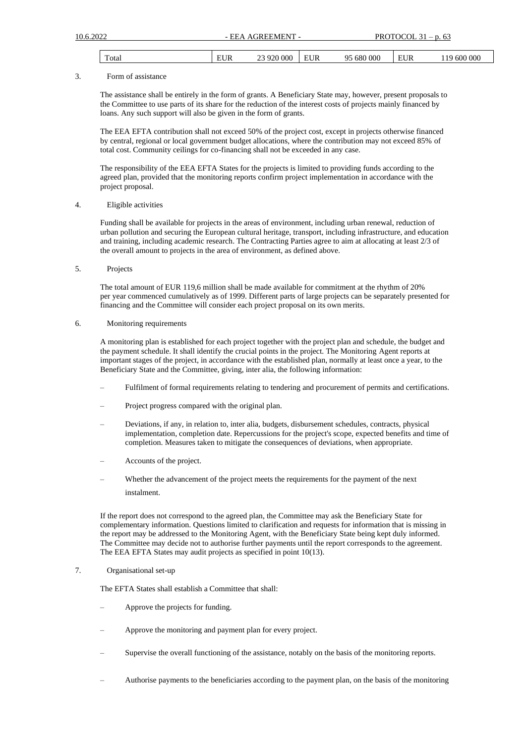| $\sim$<br>`ota | ~<br>$\Omega$<br> | ЮΟ<br>ι۱، | н | 00C |
|----------------|-------------------|-----------|---|-----|
|                | --                |           |   |     |
|                |                   |           |   |     |

#### 3. Form of assistance

The assistance shall be entirely in the form of grants. A Beneficiary State may, however, present proposals to the Committee to use parts of its share for the reduction of the interest costs of projects mainly financed by loans. Any such support will also be given in the form of grants.

The EEA EFTA contribution shall not exceed 50% of the project cost, except in projects otherwise financed by central, regional or local government budget allocations, where the contribution may not exceed 85% of total cost. Community ceilings for co-financing shall not be exceeded in any case.

The responsibility of the EEA EFTA States for the projects is limited to providing funds according to the agreed plan, provided that the monitoring reports confirm project implementation in accordance with the project proposal.

### 4. Eligible activities

Funding shall be available for projects in the areas of environment, including urban renewal, reduction of urban pollution and securing the European cultural heritage, transport, including infrastructure, and education and training, including academic research. The Contracting Parties agree to aim at allocating at least 2/3 of the overall amount to projects in the area of environment, as defined above.

5. Projects

The total amount of EUR 119,6 million shall be made available for commitment at the rhythm of 20% per year commenced cumulatively as of 1999. Different parts of large projects can be separately presented for financing and the Committee will consider each project proposal on its own merits.

### 6. Monitoring requirements

A monitoring plan is established for each project together with the project plan and schedule, the budget and the payment schedule. It shall identify the crucial points in the project. The Monitoring Agent reports at important stages of the project, in accordance with the established plan, normally at least once a year, to the Beneficiary State and the Committee, giving, inter alia, the following information:

- Fulfilment of formal requirements relating to tendering and procurement of permits and certifications.
- Project progress compared with the original plan.
- Deviations, if any, in relation to, inter alia, budgets, disbursement schedules, contracts, physical implementation, completion date. Repercussions for the project's scope, expected benefits and time of completion. Measures taken to mitigate the consequences of deviations, when appropriate.
- Accounts of the project.
- Whether the advancement of the project meets the requirements for the payment of the next instalment.

If the report does not correspond to the agreed plan, the Committee may ask the Beneficiary State for complementary information. Questions limited to clarification and requests for information that is missing in the report may be addressed to the Monitoring Agent, with the Beneficiary State being kept duly informed. The Committee may decide not to authorise further payments until the report corresponds to the agreement. The EEA EFTA States may audit projects as specified in point 10(13).

### 7. Organisational set-up

The EFTA States shall establish a Committee that shall:

- Approve the projects for funding.
- Approve the monitoring and payment plan for every project.
- Supervise the overall functioning of the assistance, notably on the basis of the monitoring reports.
- Authorise payments to the beneficiaries according to the payment plan, on the basis of the monitoring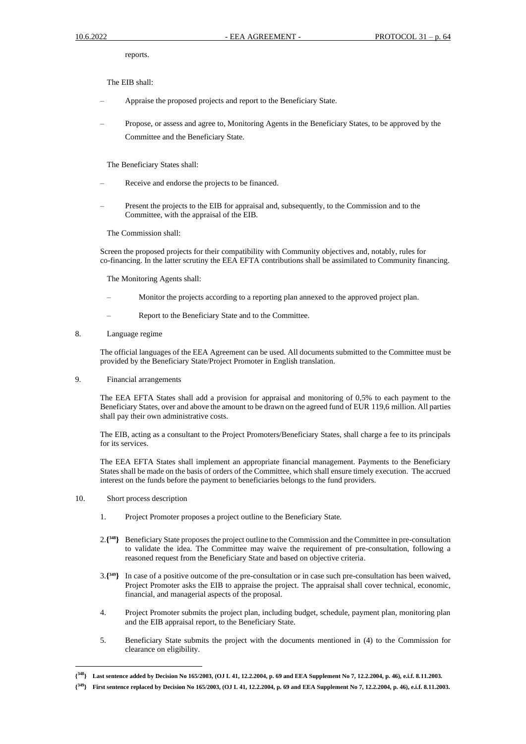reports.

The EIB shall:

- Appraise the proposed projects and report to the Beneficiary State.
- Propose, or assess and agree to, Monitoring Agents in the Beneficiary States, to be approved by the Committee and the Beneficiary State.

The Beneficiary States shall:

- Receive and endorse the projects to be financed.
- Present the projects to the EIB for appraisal and, subsequently, to the Commission and to the Committee, with the appraisal of the EIB.

The Commission shall:

Screen the proposed projects for their compatibility with Community objectives and, notably, rules for co-financing. In the latter scrutiny the EEA EFTA contributions shall be assimilated to Community financing.

The Monitoring Agents shall:

- Monitor the projects according to a reporting plan annexed to the approved project plan.
- Report to the Beneficiary State and to the Committee.
- 8. Language regime

The official languages of the EEA Agreement can be used. All documents submitted to the Committee must be provided by the Beneficiary State/Project Promoter in English translation.

9. Financial arrangements

The EEA EFTA States shall add a provision for appraisal and monitoring of 0,5% to each payment to the Beneficiary States, over and above the amount to be drawn on the agreed fund of EUR 119,6 million. All parties shall pay their own administrative costs.

The EIB, acting as a consultant to the Project Promoters/Beneficiary States, shall charge a fee to its principals for its services.

The EEA EFTA States shall implement an appropriate financial management. Payments to the Beneficiary States shall be made on the basis of orders of the Committee, which shall ensure timely execution. The accrued interest on the funds before the payment to beneficiaries belongs to the fund providers.

- 10. Short process description
	- 1. Project Promoter proposes a project outline to the Beneficiary State.
	- 2.**{ <sup>348</sup>}** Beneficiary State proposes the project outline to the Commission and the Committee in pre-consultation to validate the idea. The Committee may waive the requirement of pre-consultation, following a reasoned request from the Beneficiary State and based on objective criteria.
	- 3.**{ <sup>349</sup>}** In case of a positive outcome of the pre-consultation or in case such pre-consultation has been waived, Project Promoter asks the EIB to appraise the project. The appraisal shall cover technical, economic, financial, and managerial aspects of the proposal.
	- 4. Project Promoter submits the project plan, including budget, schedule, payment plan, monitoring plan and the EIB appraisal report, to the Beneficiary State.
	- 5. Beneficiary State submits the project with the documents mentioned in (4) to the Commission for clearance on eligibility.

**<sup>{</sup> <sup>348</sup>} Last sentence added by Decision No 165/2003, (OJ L 41, 12.2.2004, p. 69 and EEA Supplement No 7, 12.2.2004, p. 46), e.i.f. 8.11.2003.** 

**<sup>{</sup> <sup>349</sup>} First sentence replaced by Decision No 165/2003, (OJ L 41, 12.2.2004, p. 69 and EEA Supplement No 7, 12.2.2004, p. 46), e.i.f. 8.11.2003.**